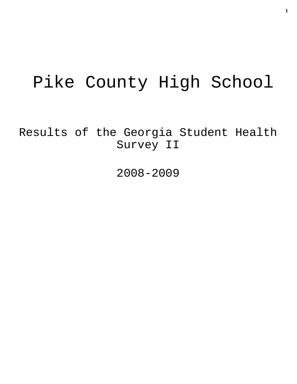# Pike County High School

Results of the Georgia Student Health Survey II

2008-2009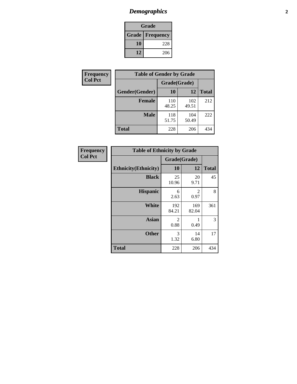# *Demographics* **2**

| Grade                    |     |  |  |
|--------------------------|-----|--|--|
| <b>Grade   Frequency</b> |     |  |  |
| 10                       | 228 |  |  |
| 12                       | 206 |  |  |

| <b>Frequency</b> | <b>Table of Gender by Grade</b> |              |              |              |  |  |
|------------------|---------------------------------|--------------|--------------|--------------|--|--|
| <b>Col Pct</b>   |                                 | Grade(Grade) |              |              |  |  |
|                  | Gender(Gender)                  | 10           | 12           | <b>Total</b> |  |  |
|                  | <b>Female</b>                   | 110<br>48.25 | 102<br>49.51 | 212          |  |  |
|                  | <b>Male</b>                     | 118<br>51.75 | 104<br>50.49 | 222          |  |  |
|                  | <b>Total</b>                    | 228          | 206          | 434          |  |  |

| Frequency<br>Col Pct |
|----------------------|

| <b>Table of Ethnicity by Grade</b> |              |              |              |  |  |  |
|------------------------------------|--------------|--------------|--------------|--|--|--|
|                                    | Grade(Grade) |              |              |  |  |  |
| <b>Ethnicity</b> (Ethnicity)       | 10           | 12           | <b>Total</b> |  |  |  |
| <b>Black</b>                       | 25<br>10.96  | 20<br>9.71   | 45           |  |  |  |
| <b>Hispanic</b>                    | 6<br>2.63    | 2<br>0.97    | 8            |  |  |  |
| White                              | 192<br>84.21 | 169<br>82.04 | 361          |  |  |  |
| <b>Asian</b>                       | 2<br>0.88    | 0.49         | 3            |  |  |  |
| <b>Other</b>                       | 3<br>1.32    | 14<br>6.80   | 17           |  |  |  |
| <b>Total</b>                       | 228          | 206          | 434          |  |  |  |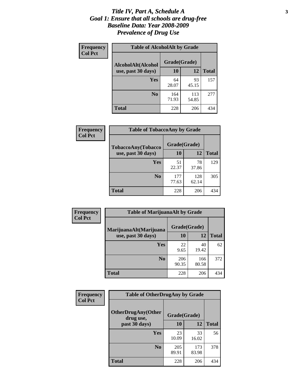#### *Title IV, Part A, Schedule A* **3** *Goal 1: Ensure that all schools are drug-free Baseline Data: Year 2008-2009 Prevalence of Drug Use*

| Frequency<br><b>Col Pct</b> | <b>Table of AlcoholAlt by Grade</b> |              |              |              |  |  |
|-----------------------------|-------------------------------------|--------------|--------------|--------------|--|--|
|                             | AlcoholAlt(Alcohol                  | Grade(Grade) |              |              |  |  |
|                             | use, past 30 days)                  | 10           | 12           | <b>Total</b> |  |  |
|                             | Yes                                 | 64<br>28.07  | 93<br>45.15  | 157          |  |  |
|                             | N <sub>0</sub>                      | 164<br>71.93 | 113<br>54.85 | 277          |  |  |
|                             | <b>Total</b>                        | 228          | 206          | 434          |  |  |

| Frequency      | <b>Table of TobaccoAny by Grade</b> |              |              |              |  |  |
|----------------|-------------------------------------|--------------|--------------|--------------|--|--|
| <b>Col Pct</b> | <b>TobaccoAny(Tobacco</b>           | Grade(Grade) |              |              |  |  |
|                | use, past 30 days)                  | 10           | 12           | <b>Total</b> |  |  |
|                | Yes                                 | 51<br>22.37  | 78<br>37.86  | 129          |  |  |
|                | N <sub>0</sub>                      | 177<br>77.63 | 128<br>62.14 | 305          |  |  |
|                | <b>Total</b>                        | 228          | 206          | 434          |  |  |

| Frequency<br><b>Col Pct</b> | <b>Table of MarijuanaAlt by Grade</b> |              |              |              |  |  |
|-----------------------------|---------------------------------------|--------------|--------------|--------------|--|--|
|                             | MarijuanaAlt(Marijuana                | Grade(Grade) |              |              |  |  |
|                             | use, past 30 days)                    | <b>10</b>    | 12           | <b>Total</b> |  |  |
|                             | Yes                                   | 22<br>9.65   | 40<br>19.42  | 62           |  |  |
|                             | N <sub>0</sub>                        | 206<br>90.35 | 166<br>80.58 | 372          |  |  |
|                             | <b>Total</b>                          | 228          | 206          | 434          |  |  |

| Frequency<br><b>Col Pct</b> | <b>Table of OtherDrugAny by Grade</b>  |              |              |              |  |  |
|-----------------------------|----------------------------------------|--------------|--------------|--------------|--|--|
|                             | <b>OtherDrugAny(Other</b><br>drug use, | Grade(Grade) |              |              |  |  |
|                             | past 30 days)                          | 10           | 12           | <b>Total</b> |  |  |
|                             | Yes                                    | 23<br>10.09  | 33<br>16.02  | 56           |  |  |
|                             | N <sub>0</sub>                         | 205<br>89.91 | 173<br>83.98 | 378          |  |  |
|                             | <b>Total</b>                           | 228          | 206          | 434          |  |  |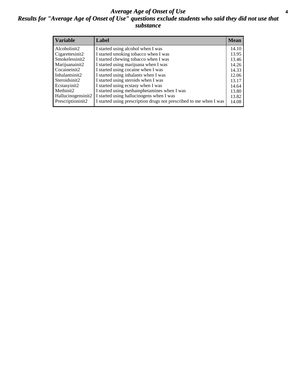#### *Average Age of Onset of Use* **4** *Results for "Average Age of Onset of Use" questions exclude students who said they did not use that substance*

| <b>Variable</b>    | Label                                                              | <b>Mean</b> |
|--------------------|--------------------------------------------------------------------|-------------|
| Alcoholinit2       | I started using alcohol when I was                                 | 14.10       |
| Cigarettesinit2    | I started smoking tobacco when I was                               | 13.95       |
| Smokelessinit2     | I started chewing tobacco when I was                               | 13.46       |
| Marijuanainit2     | I started using marijuana when I was                               | 14.26       |
| Cocaineinit2       | I started using cocaine when I was                                 | 14.33       |
| Inhalantsinit2     | I started using inhalants when I was                               | 12.06       |
| Steroidsinit2      | I started using steroids when I was                                | 13.17       |
| Ecstasyinit2       | I started using ecstasy when I was                                 | 14.64       |
| Methinit2          | I started using methamphetamines when I was                        | 13.80       |
| Hallucinogensinit2 | I started using hallucinogens when I was                           | 13.82       |
| Prescriptioninit2  | I started using prescription drugs not prescribed to me when I was | 14.08       |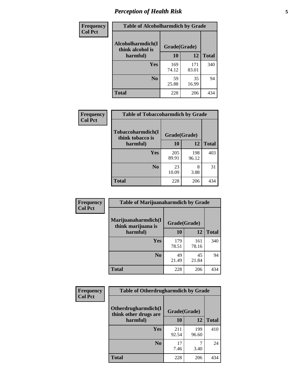# *Perception of Health Risk* **5**

| Frequency      | <b>Table of Alcoholharmdich by Grade</b> |              |              |              |  |
|----------------|------------------------------------------|--------------|--------------|--------------|--|
| <b>Col Pct</b> | Alcoholharmdich(I<br>think alcohol is    | Grade(Grade) |              |              |  |
|                | harmful)                                 | 10           | 12           | <b>Total</b> |  |
|                | <b>Yes</b>                               | 169<br>74.12 | 171<br>83.01 | 340          |  |
|                | N <sub>0</sub>                           | 59<br>25.88  | 35<br>16.99  | 94           |  |
|                | <b>Total</b>                             | 228          | 206          | 434          |  |

| Frequency      | <b>Table of Tobaccoharmdich by Grade</b> |              |              |              |
|----------------|------------------------------------------|--------------|--------------|--------------|
| <b>Col Pct</b> | Tobaccoharmdich(I<br>think tobacco is    | Grade(Grade) |              |              |
|                | harmful)                                 | 10           | 12           | <b>Total</b> |
|                | Yes                                      | 205<br>89.91 | 198<br>96.12 | 403          |
|                | N <sub>0</sub>                           | 23<br>10.09  | 8<br>3.88    | 31           |
|                | <b>Total</b>                             | 228          | 206          | 434          |

| <b>Frequency</b> | <b>Table of Marijuanaharmdich by Grade</b> |              |              |              |  |  |
|------------------|--------------------------------------------|--------------|--------------|--------------|--|--|
| <b>Col Pct</b>   | Marijuanaharmdich(I<br>think marijuana is  | Grade(Grade) |              |              |  |  |
|                  | harmful)                                   | 10           | 12           | <b>Total</b> |  |  |
|                  | Yes                                        | 179<br>78.51 | 161<br>78.16 | 340          |  |  |
|                  | N <sub>0</sub>                             | 49<br>21.49  | 45<br>21.84  | 94           |  |  |
|                  | <b>Total</b>                               | 228          | 206          | 434          |  |  |

| Frequency      | <b>Table of Otherdrugharmdich by Grade</b>                   |              |              |              |  |  |  |  |
|----------------|--------------------------------------------------------------|--------------|--------------|--------------|--|--|--|--|
| <b>Col Pct</b> | Otherdrugharmdich(I<br>Grade(Grade)<br>think other drugs are |              |              |              |  |  |  |  |
|                | harmful)                                                     | 10           | 12           | <b>Total</b> |  |  |  |  |
|                | <b>Yes</b>                                                   | 211<br>92.54 | 199<br>96.60 | 410          |  |  |  |  |
|                | N <sub>0</sub>                                               | 17<br>7.46   | 3.40         | 24           |  |  |  |  |
|                | <b>Total</b>                                                 | 228          | 206          | 434          |  |  |  |  |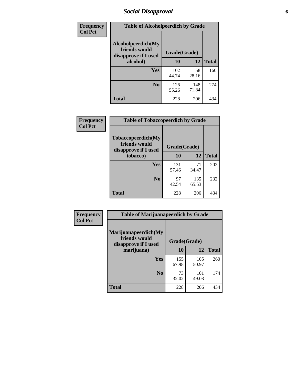# *Social Disapproval* **6**

| Frequency      | <b>Table of Alcoholpeerdich by Grade</b>                    |              |              |     |
|----------------|-------------------------------------------------------------|--------------|--------------|-----|
| <b>Col Pct</b> | Alcoholpeerdich(My<br>friends would<br>disapprove if I used | Grade(Grade) |              |     |
|                | alcohol)                                                    | 10           | <b>Total</b> |     |
|                | <b>Yes</b>                                                  | 102<br>44.74 | 58<br>28.16  | 160 |
|                | N <sub>0</sub>                                              | 126<br>55.26 | 148<br>71.84 | 274 |
|                | <b>Total</b>                                                | 228          | 206          | 434 |

| <b>Frequency</b> |
|------------------|
| <b>Col Pct</b>   |

| <b>Table of Tobaccopeerdich by Grade</b>                            |              |              |              |  |  |  |  |
|---------------------------------------------------------------------|--------------|--------------|--------------|--|--|--|--|
| <b>Tobaccopeerdich</b> (My<br>friends would<br>disapprove if I used | Grade(Grade) |              |              |  |  |  |  |
| tobacco)                                                            | 10           | 12           | <b>Total</b> |  |  |  |  |
| Yes                                                                 | 131<br>57.46 | 71<br>34.47  | 202          |  |  |  |  |
| N <sub>0</sub>                                                      | 97<br>42.54  | 135<br>65.53 | 232          |  |  |  |  |
| <b>Total</b>                                                        | 228          | 206          | 434          |  |  |  |  |

| Frequency      | <b>Table of Marijuanapeerdich by Grade</b>                    |              |              |              |  |  |  |  |
|----------------|---------------------------------------------------------------|--------------|--------------|--------------|--|--|--|--|
| <b>Col Pct</b> | Marijuanapeerdich(My<br>friends would<br>disapprove if I used | Grade(Grade) |              |              |  |  |  |  |
|                | marijuana)                                                    | 10           | 12           | <b>Total</b> |  |  |  |  |
|                | <b>Yes</b>                                                    | 155<br>67.98 | 105<br>50.97 | 260          |  |  |  |  |
|                | N <sub>0</sub>                                                | 73<br>32.02  | 101<br>49.03 | 174          |  |  |  |  |
|                | <b>Total</b>                                                  | 228          | 206          | 434          |  |  |  |  |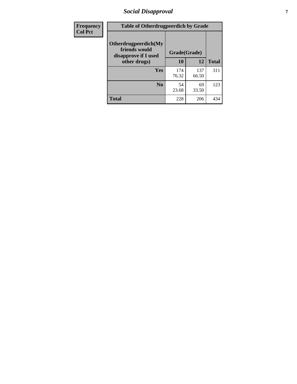# *Social Disapproval* **7**

| Frequency      | <b>Table of Otherdrugpeerdich by Grade</b>                    |              |              |              |  |  |  |  |
|----------------|---------------------------------------------------------------|--------------|--------------|--------------|--|--|--|--|
| <b>Col Pct</b> | Otherdrugpeerdich(My<br>friends would<br>disapprove if I used | Grade(Grade) |              |              |  |  |  |  |
|                | other drugs)                                                  | 10           | 12           | <b>Total</b> |  |  |  |  |
|                | <b>Yes</b>                                                    | 174<br>76.32 | 137<br>66.50 | 311          |  |  |  |  |
|                | N <sub>0</sub>                                                | 54<br>23.68  | 69<br>33.50  | 123          |  |  |  |  |
|                | <b>Total</b>                                                  | 228          | 206          | 434          |  |  |  |  |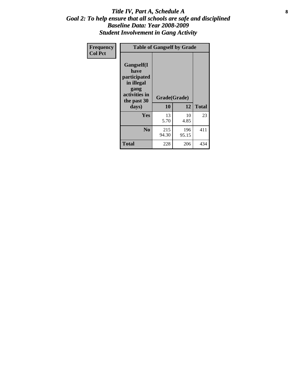#### Title IV, Part A, Schedule A **8** *Goal 2: To help ensure that all schools are safe and disciplined Baseline Data: Year 2008-2009 Student Involvement in Gang Activity*

| Frequency      | <b>Table of Gangself by Grade</b>                                                                         |                    |              |              |
|----------------|-----------------------------------------------------------------------------------------------------------|--------------------|--------------|--------------|
| <b>Col Pct</b> | <b>Gangself</b> (I<br>have<br>participated<br>in illegal<br>gang<br>activities in<br>the past 30<br>days) | Grade(Grade)<br>10 | 12           | <b>Total</b> |
|                | Yes                                                                                                       | 13<br>5.70         | 10<br>4.85   | 23           |
|                | N <sub>0</sub>                                                                                            | 215<br>94.30       | 196<br>95.15 | 411          |
|                | <b>Total</b>                                                                                              | 228                | 206          | 434          |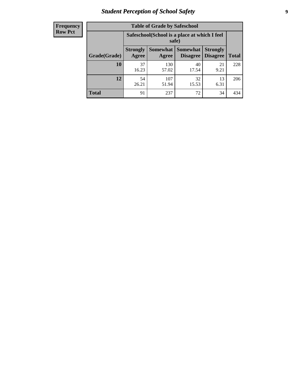# *Student Perception of School Safety* **9**

| <b>Frequency</b><br>Row Pct |
|-----------------------------|
|                             |

| <b>Table of Grade by Safeschool</b> |                          |                                                        |                      |                                    |              |  |  |
|-------------------------------------|--------------------------|--------------------------------------------------------|----------------------|------------------------------------|--------------|--|--|
|                                     |                          | Safeschool (School is a place at which I feel<br>safe) |                      |                                    |              |  |  |
| Grade(Grade)                        | <b>Strongly</b><br>Agree | Somewhat  <br>Agree                                    | Somewhat<br>Disagree | <b>Strongly</b><br><b>Disagree</b> | <b>Total</b> |  |  |
| 10                                  | 37<br>16.23              | 130<br>57.02                                           | 40<br>17.54          | 21<br>9.21                         | 228          |  |  |
| 12                                  | 54<br>26.21              | 107<br>51.94                                           | 32<br>15.53          | 13<br>6.31                         | 206          |  |  |
| <b>Total</b>                        | 91                       | 237                                                    | 72                   | 34                                 | 434          |  |  |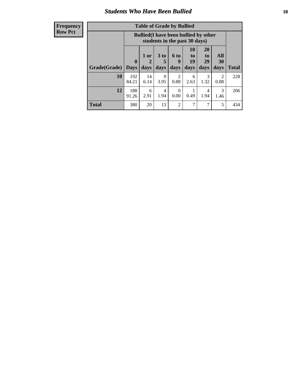#### *Students Who Have Been Bullied* **10**

| <b>Frequency</b> |
|------------------|
| Row Pct          |

| <b>Table of Grade by Bullied</b> |                             |                                                                               |                              |                          |                        |                               |                          |              |
|----------------------------------|-----------------------------|-------------------------------------------------------------------------------|------------------------------|--------------------------|------------------------|-------------------------------|--------------------------|--------------|
|                                  |                             | <b>Bullied</b> (I have been bullied by other<br>students in the past 30 days) |                              |                          |                        |                               |                          |              |
| Grade(Grade)                     | $\mathbf{0}$<br><b>Days</b> | 1 or<br>2<br>days                                                             | 3 <sub>to</sub><br>5<br>days | <b>6 to</b><br>9<br>days | 10<br>to<br>19<br>days | <b>20</b><br>to<br>29<br>days | <b>All</b><br>30<br>days | <b>Total</b> |
| 10                               | 192<br>84.21                | 14<br>6.14                                                                    | 9<br>3.95                    | 2<br>0.88                | 6<br>2.63              | 3<br>1.32                     | $\mathfrak{D}$<br>0.88   | 228          |
| 12                               | 188<br>91.26                | 6<br>2.91                                                                     | $\overline{4}$<br>1.94       | $\Omega$<br>0.00         | 0.49                   | 4<br>1.94                     | 3<br>1.46                | 206          |
| <b>Total</b>                     | 380                         | 20                                                                            | 13                           | $\overline{2}$           | 7                      | 7                             | 5                        | 434          |

 $\blacksquare$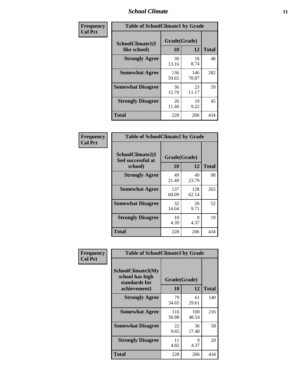#### *School Climate* **11**

| <b>Frequency</b> | <b>Table of SchoolClimate1 by Grade</b> |                    |              |              |  |  |  |
|------------------|-----------------------------------------|--------------------|--------------|--------------|--|--|--|
| <b>Col Pct</b>   | SchoolClimate1(I<br>like school)        | Grade(Grade)<br>10 | 12           | <b>Total</b> |  |  |  |
|                  | <b>Strongly Agree</b>                   | 30<br>13.16        | 18<br>8.74   | 48           |  |  |  |
|                  | <b>Somewhat Agree</b>                   | 136<br>59.65       | 146<br>70.87 | 282          |  |  |  |
|                  | <b>Somewhat Disagree</b>                | 36<br>15.79        | 23<br>11.17  | 59           |  |  |  |
|                  | <b>Strongly Disagree</b>                | 26<br>11.40        | 19<br>9.22   | 45           |  |  |  |
|                  | <b>Total</b>                            | 228                | 206          | 434          |  |  |  |

| <b>Frequency</b> |
|------------------|
| <b>Col Pct</b>   |

| <b>Table of SchoolClimate2 by Grade</b>           |                    |              |              |  |  |
|---------------------------------------------------|--------------------|--------------|--------------|--|--|
| SchoolClimate2(I<br>feel successful at<br>school) | Grade(Grade)<br>10 | 12           | <b>Total</b> |  |  |
| <b>Strongly Agree</b>                             | 49<br>21.49        | 49<br>23.79  | 98           |  |  |
| <b>Somewhat Agree</b>                             | 137<br>60.09       | 128<br>62.14 | 265          |  |  |
| <b>Somewhat Disagree</b>                          | 32<br>14.04        | 20<br>9.71   | 52           |  |  |
| <b>Strongly Disagree</b>                          | 10<br>4.39         | 9<br>4.37    | 19           |  |  |
| <b>Total</b>                                      | 228                | 206          | 434          |  |  |

| Frequency      | <b>Table of SchoolClimate3 by Grade</b>                                      |                    |              |              |  |
|----------------|------------------------------------------------------------------------------|--------------------|--------------|--------------|--|
| <b>Col Pct</b> | <b>SchoolClimate3(My</b><br>school has high<br>standards for<br>achievement) | Grade(Grade)<br>10 | 12           | <b>Total</b> |  |
|                | <b>Strongly Agree</b>                                                        | 79<br>34.65        | 61<br>29.61  | 140          |  |
|                | <b>Somewhat Agree</b>                                                        | 116<br>50.88       | 100<br>48.54 | 216          |  |
|                | <b>Somewhat Disagree</b>                                                     | 22<br>9.65         | 36<br>17.48  | 58           |  |
|                | <b>Strongly Disagree</b>                                                     | 11<br>4.82         | 9<br>4.37    | 20           |  |
|                | Total                                                                        | 228                | 206          | 434          |  |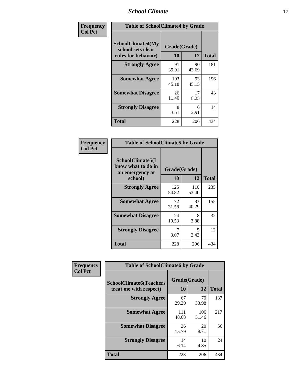### *School Climate* **12**

| Frequency      | <b>Table of SchoolClimate4 by Grade</b>                       |                    |             |              |  |
|----------------|---------------------------------------------------------------|--------------------|-------------|--------------|--|
| <b>Col Pct</b> | SchoolClimate4(My<br>school sets clear<br>rules for behavior) | Grade(Grade)<br>10 | 12          | <b>Total</b> |  |
|                | <b>Strongly Agree</b>                                         | 91<br>39.91        | 90<br>43.69 | 181          |  |
|                | <b>Somewhat Agree</b>                                         | 103<br>45.18       | 93<br>45.15 | 196          |  |
|                | <b>Somewhat Disagree</b>                                      | 26<br>11.40        | 17<br>8.25  | 43           |  |
|                | <b>Strongly Disagree</b>                                      | 8<br>3.51          | 6<br>2.91   | 14           |  |
|                | <b>Total</b>                                                  | 228                | 206         | 434          |  |

| <b>Table of SchoolClimate5 by Grade</b>                   |              |              |              |  |  |
|-----------------------------------------------------------|--------------|--------------|--------------|--|--|
| SchoolClimate5(I<br>know what to do in<br>an emergency at | Grade(Grade) |              |              |  |  |
| school)                                                   | 10           | 12           | <b>Total</b> |  |  |
| <b>Strongly Agree</b>                                     | 125<br>54.82 | 110<br>53.40 | 235          |  |  |
| <b>Somewhat Agree</b>                                     | 72<br>31.58  | 83<br>40.29  | 155          |  |  |
| <b>Somewhat Disagree</b>                                  | 24<br>10.53  | 8<br>3.88    | 32           |  |  |
| <b>Strongly Disagree</b>                                  | 7<br>3.07    | 5<br>2.43    | 12           |  |  |
| Total                                                     | 228          | 206          | 434          |  |  |

| <b>Frequency</b> | <b>Table of SchoolClimate6 by Grade</b>                  |                    |              |              |  |  |
|------------------|----------------------------------------------------------|--------------------|--------------|--------------|--|--|
| <b>Col Pct</b>   | <b>SchoolClimate6(Teachers</b><br>treat me with respect) | Grade(Grade)<br>10 | 12           | <b>Total</b> |  |  |
|                  | <b>Strongly Agree</b>                                    | 67<br>29.39        | 70<br>33.98  | 137          |  |  |
|                  | <b>Somewhat Agree</b>                                    | 111<br>48.68       | 106<br>51.46 | 217          |  |  |
|                  | <b>Somewhat Disagree</b>                                 | 36<br>15.79        | 20<br>9.71   | 56           |  |  |
|                  | <b>Strongly Disagree</b>                                 | 14<br>6.14         | 10<br>4.85   | 24           |  |  |
|                  | <b>Total</b>                                             | 228                | 206          | 434          |  |  |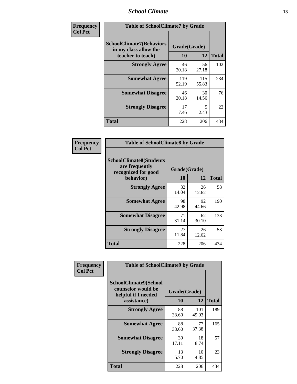### *School Climate* **13**

| Frequency      | <b>Table of SchoolClimate7 by Grade</b>                                       |                           |              |              |  |
|----------------|-------------------------------------------------------------------------------|---------------------------|--------------|--------------|--|
| <b>Col Pct</b> | <b>SchoolClimate7(Behaviors</b><br>in my class allow the<br>teacher to teach) | Grade(Grade)<br><b>10</b> | 12           | <b>Total</b> |  |
|                | <b>Strongly Agree</b>                                                         | 46<br>20.18               | 56<br>27.18  | 102          |  |
|                | <b>Somewhat Agree</b>                                                         | 119<br>52.19              | 115<br>55.83 | 234          |  |
|                | <b>Somewhat Disagree</b>                                                      | 46<br>20.18               | 30<br>14.56  | 76           |  |
|                | <b>Strongly Disagree</b>                                                      | 17<br>7.46                | 5<br>2.43    | 22           |  |
|                | <b>Total</b>                                                                  | 228                       | 206          | 434          |  |

| Frequency      | <b>Table of SchoolClimate8 by Grade</b>                                              |                    |             |              |  |
|----------------|--------------------------------------------------------------------------------------|--------------------|-------------|--------------|--|
| <b>Col Pct</b> | <b>SchoolClimate8(Students</b><br>are frequently<br>recognized for good<br>behavior) | Grade(Grade)<br>10 | 12          | <b>Total</b> |  |
|                | <b>Strongly Agree</b>                                                                | 32<br>14.04        | 26<br>12.62 | 58           |  |
|                | <b>Somewhat Agree</b>                                                                | 98<br>42.98        | 92<br>44.66 | 190          |  |
|                | <b>Somewhat Disagree</b>                                                             | 71<br>31.14        | 62<br>30.10 | 133          |  |
|                | <b>Strongly Disagree</b>                                                             | 27<br>11.84        | 26<br>12.62 | 53           |  |
|                | <b>Total</b>                                                                         | 228                | 206         | 434          |  |

| Frequency      | <b>Table of SchoolClimate9 by Grade</b>                                           |                    |              |              |  |
|----------------|-----------------------------------------------------------------------------------|--------------------|--------------|--------------|--|
| <b>Col Pct</b> | SchoolClimate9(School<br>counselor would be<br>helpful if I needed<br>assistance) | Grade(Grade)<br>10 | 12           | <b>Total</b> |  |
|                | <b>Strongly Agree</b>                                                             | 88<br>38.60        | 101<br>49.03 | 189          |  |
|                | <b>Somewhat Agree</b>                                                             | 88<br>38.60        | 77<br>37.38  | 165          |  |
|                | <b>Somewhat Disagree</b>                                                          | 39<br>17.11        | 18<br>8.74   | 57           |  |
|                | <b>Strongly Disagree</b>                                                          | 13<br>5.70         | 10<br>4.85   | 23           |  |
|                | Total                                                                             | 228                | 206          | 434          |  |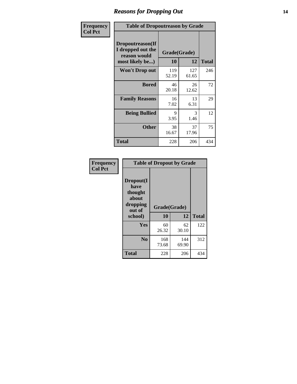### *Reasons for Dropping Out* **14**

| Frequency      | <b>Table of Dropoutreason by Grade</b>                                   |              |                    |              |  |
|----------------|--------------------------------------------------------------------------|--------------|--------------------|--------------|--|
| <b>Col Pct</b> | Dropoutreason(If<br>I dropped out the<br>reason would<br>most likely be) | 10           | Grade(Grade)<br>12 | <b>Total</b> |  |
|                | <b>Won't Drop out</b>                                                    | 119<br>52.19 | 127<br>61.65       | 246          |  |
|                | <b>Bored</b>                                                             | 46<br>20.18  | 26<br>12.62        | 72           |  |
|                | <b>Family Reasons</b>                                                    | 16<br>7.02   | 13<br>6.31         | 29           |  |
|                | <b>Being Bullied</b>                                                     | 9<br>3.95    | 3<br>1.46          | 12           |  |
|                | <b>Other</b>                                                             | 38<br>16.67  | 37<br>17.96        | 75           |  |
|                | <b>Total</b>                                                             | 228          | 206                | 434          |  |

| Frequency<br><b>Col Pct</b> | <b>Table of Dropout by Grade</b>                            |              |              |              |  |  |
|-----------------------------|-------------------------------------------------------------|--------------|--------------|--------------|--|--|
|                             | Dropout(I<br>have<br>thought<br>about<br>dropping<br>out of | Grade(Grade) |              |              |  |  |
|                             | school)                                                     | 10           | 12           | <b>Total</b> |  |  |
|                             | Yes                                                         | 60<br>26.32  | 62<br>30.10  | 122          |  |  |
|                             | N <sub>0</sub>                                              | 168<br>73.68 | 144<br>69.90 | 312          |  |  |
|                             |                                                             |              |              |              |  |  |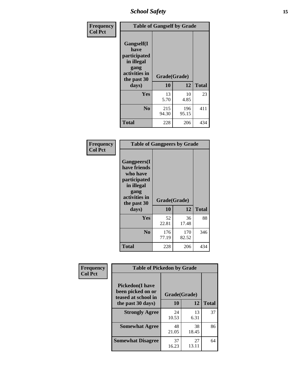*School Safety* **15**

| Frequency      | <b>Table of Gangself by Grade</b>                                                                 |                    |              |              |
|----------------|---------------------------------------------------------------------------------------------------|--------------------|--------------|--------------|
| <b>Col Pct</b> | Gangself(I<br>have<br>participated<br>in illegal<br>gang<br>activities in<br>the past 30<br>days) | Grade(Grade)<br>10 | 12           | <b>Total</b> |
|                | Yes                                                                                               | 13<br>5.70         | 10<br>4.85   | 23           |
|                | N <sub>0</sub>                                                                                    | 215<br>94.30       | 196<br>95.15 | 411          |
|                | <b>Total</b>                                                                                      | 228                | 206          | 434          |

| Frequency      | <b>Table of Gangpeers by Grade</b>                                                                                     |                    |              |              |  |  |  |  |  |  |
|----------------|------------------------------------------------------------------------------------------------------------------------|--------------------|--------------|--------------|--|--|--|--|--|--|
| <b>Col Pct</b> | Gangpeers(I<br>have friends<br>who have<br>participated<br>in illegal<br>gang<br>activities in<br>the past 30<br>days) | Grade(Grade)<br>10 | 12           | <b>Total</b> |  |  |  |  |  |  |
|                | Yes                                                                                                                    | 52<br>22.81        | 36<br>17.48  | 88           |  |  |  |  |  |  |
|                | N <sub>0</sub>                                                                                                         | 176<br>77.19       | 170<br>82.52 | 346          |  |  |  |  |  |  |
|                | Total                                                                                                                  | 228                | 206          | 434          |  |  |  |  |  |  |

| Frequency      | <b>Table of Pickedon by Grade</b>                                  |              |             |              |  |  |  |  |  |
|----------------|--------------------------------------------------------------------|--------------|-------------|--------------|--|--|--|--|--|
| <b>Col Pct</b> | <b>Pickedon(I have</b><br>been picked on or<br>teased at school in | Grade(Grade) |             |              |  |  |  |  |  |
|                | the past 30 days)                                                  | 10           | 12          | <b>Total</b> |  |  |  |  |  |
|                | <b>Strongly Agree</b>                                              | 24<br>10.53  | 13<br>6.31  | 37           |  |  |  |  |  |
|                | <b>Somewhat Agree</b>                                              | 48<br>21.05  | 38<br>18.45 | 86           |  |  |  |  |  |
|                | <b>Somewhat Disagree</b>                                           | 37<br>16.23  | 27<br>13.11 | 64           |  |  |  |  |  |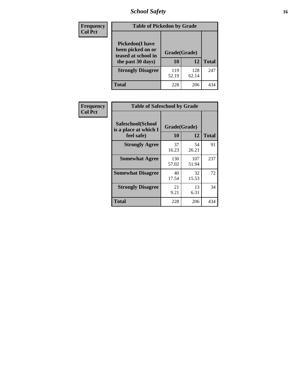# *School Safety* **16**

| Frequency      | <b>Table of Pickedon by Grade</b>                                                        |                    |              |              |
|----------------|------------------------------------------------------------------------------------------|--------------------|--------------|--------------|
| <b>Col Pct</b> | <b>Pickedon</b> (I have<br>been picked on or<br>teased at school in<br>the past 30 days) | Grade(Grade)<br>10 | 12           | <b>Total</b> |
|                | <b>Strongly Disagree</b>                                                                 | 119<br>52.19       | 128<br>62.14 | 247          |
|                | <b>Total</b>                                                                             | 228                | 206          | 434          |

| Frequency      | <b>Table of Safeschool by Grade</b>                      |                    |              |     |  |  |  |  |  |
|----------------|----------------------------------------------------------|--------------------|--------------|-----|--|--|--|--|--|
| <b>Col Pct</b> | Safeschool(School<br>is a place at which I<br>feel safe) | Grade(Grade)<br>10 | <b>Total</b> |     |  |  |  |  |  |
|                | <b>Strongly Agree</b>                                    | 37<br>16.23        | 54<br>26.21  | 91  |  |  |  |  |  |
|                | <b>Somewhat Agree</b>                                    | 130<br>57.02       | 107<br>51.94 | 237 |  |  |  |  |  |
|                | <b>Somewhat Disagree</b>                                 | 40<br>17.54        | 32<br>15.53  | 72  |  |  |  |  |  |
|                | <b>Strongly Disagree</b>                                 | 21<br>9.21         | 13<br>6.31   | 34  |  |  |  |  |  |
|                | <b>Total</b>                                             | 228                | 206          | 434 |  |  |  |  |  |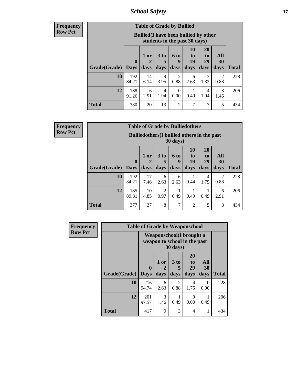*School Safety* **17**

**Frequency Row Pct**

| <b>Table of Grade by Bullied</b>  |              |                                                                               |                      |                        |                |                |                                                                                                                                                                         |              |  |  |
|-----------------------------------|--------------|-------------------------------------------------------------------------------|----------------------|------------------------|----------------|----------------|-------------------------------------------------------------------------------------------------------------------------------------------------------------------------|--------------|--|--|
|                                   |              | <b>Bullied</b> (I have been bullied by other<br>students in the past 30 days) |                      |                        |                |                |                                                                                                                                                                         |              |  |  |
|                                   | $\mathbf 0$  | $1$ or                                                                        | 3 <sub>to</sub><br>5 | 6 to<br>9              | 10<br>to<br>19 | 20<br>to<br>29 | All<br><b>30</b>                                                                                                                                                        | <b>Total</b> |  |  |
| <b>Grade</b> (Grade)   Days<br>10 | 192          | days<br>14                                                                    | days<br>9            | days<br>$\mathfrak{D}$ | days<br>6      | days<br>3      | days<br>$\mathcal{D}_{\mathcal{A}}^{\mathcal{A}}(\mathcal{A})=\mathcal{D}_{\mathcal{A}}^{\mathcal{A}}(\mathcal{A})\mathcal{D}_{\mathcal{A}}^{\mathcal{A}}(\mathcal{A})$ | 228          |  |  |
|                                   | 84.21        | 6.14                                                                          | 3.95                 | 0.88                   | 2.63           | 1.32           | 0.88                                                                                                                                                                    |              |  |  |
| 12                                | 188<br>91.26 | 6<br>2.91                                                                     | 4<br>1.94            | 0<br>0.00              | 0.49           | 4<br>1.94      | 3<br>1.46                                                                                                                                                               | 206          |  |  |
| <b>Total</b>                      | 380          | 20                                                                            | 13                   | $\overline{c}$         | 7              | 7              | 5                                                                                                                                                                       | 434          |  |  |

| <b>Frequency</b> |
|------------------|
| <b>Row Pct</b>   |

| <b>Table of Grade by Bulliedothers</b> |                                                                |              |                              |                   |                        |                        |                   |              |  |  |
|----------------------------------------|----------------------------------------------------------------|--------------|------------------------------|-------------------|------------------------|------------------------|-------------------|--------------|--|--|
|                                        | <b>Bulliedothers</b> (I bullied others in the past<br>30 days) |              |                              |                   |                        |                        |                   |              |  |  |
| Grade(Grade)                           | $\bf{0}$<br>  Days                                             | 1 or<br>days | 3 <sub>to</sub><br>5<br>days | 6 to<br>9<br>days | 10<br>to<br>19<br>days | 20<br>to<br>29<br>days | All<br>30<br>days | <b>Total</b> |  |  |
| 10                                     | 192<br>84.21                                                   | 17<br>7.46   | 6<br>2.63                    | 6<br>2.63         | 0.44                   | 4<br>1.75              | 2<br>0.88         | 228          |  |  |
| 12                                     | 185<br>89.81                                                   | 10<br>4.85   | 2<br>0.97                    | 0.49              | 0.49                   | 0.49                   | 6<br>2.91         | 206          |  |  |
| <b>Total</b>                           | 377                                                            | 27           | 8                            | 7                 | 2                      | 5                      | 8                 | 434          |  |  |

| Frequency<br><b>Row Pct</b> | <b>Table of Grade by Weaponschool</b> |                                                          |                   |                              |                        |                          |              |  |  |
|-----------------------------|---------------------------------------|----------------------------------------------------------|-------------------|------------------------------|------------------------|--------------------------|--------------|--|--|
|                             |                                       | Weaponschool(I brought a<br>weapon to school in the past |                   |                              |                        |                          |              |  |  |
|                             | Grade(Grade)                          | $\bf{0}$<br><b>Days</b>                                  | 1 or<br>2<br>days | 3 <sub>to</sub><br>5<br>days | 20<br>to<br>29<br>days | All<br><b>30</b><br>days | <b>Total</b> |  |  |
|                             | 10                                    | 216<br>94.74                                             | 6<br>2.63         | $\mathfrak{D}$<br>0.88       | 4<br>1.75              | $\theta$<br>0.00         | 228          |  |  |
|                             | 12                                    | 201<br>97.57                                             | 3<br>1.46         | 0.49                         | 0<br>0.00              | 0.49                     | 206          |  |  |
|                             | <b>Total</b>                          | 417                                                      | 9                 | 3                            | 4                      | 1                        | 434          |  |  |

ł,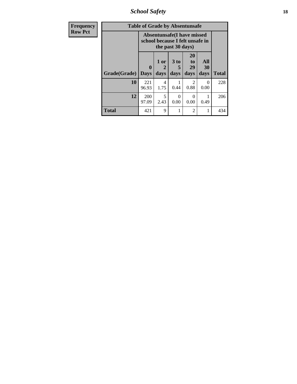*School Safety* **18**

| <b>Frequency</b> | <b>Table of Grade by Absentunsafe</b> |                                                                      |                   |                   |                        |                   |              |  |  |
|------------------|---------------------------------------|----------------------------------------------------------------------|-------------------|-------------------|------------------------|-------------------|--------------|--|--|
| <b>Row Pct</b>   |                                       | <b>Absentunsafe(I have missed</b><br>school because I felt unsafe in |                   |                   |                        |                   |              |  |  |
|                  | Grade(Grade)                          | $\bf{0}$<br><b>Days</b>                                              | 1 or<br>2<br>days | 3 to<br>5<br>days | 20<br>to<br>29<br>days | All<br>30<br>days | <b>Total</b> |  |  |
|                  | 10                                    | 221<br>96.93                                                         | 4<br>1.75         | 0.44              | $\mathfrak{D}$<br>0.88 | $\theta$<br>0.00  | 228          |  |  |
|                  | 12                                    | 200<br>97.09                                                         | 5<br>2.43         | $\Omega$<br>0.00  | 0<br>0.00              | 0.49              | 206          |  |  |
|                  | <b>Total</b>                          | 421                                                                  | 9                 |                   | $\overline{c}$         |                   | 434          |  |  |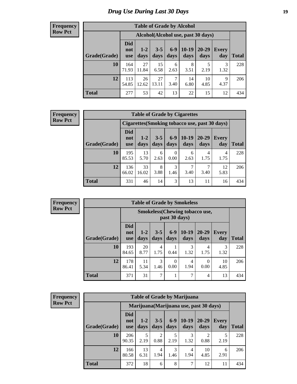### *Drug Use During Last 30 Days* **19**

#### **Frequency Row Pct**

| <b>Table of Grade by Alcohol</b> |                                 |                                    |                 |                 |                 |               |              |       |  |  |  |
|----------------------------------|---------------------------------|------------------------------------|-----------------|-----------------|-----------------|---------------|--------------|-------|--|--|--|
|                                  |                                 | Alcohol(Alcohol use, past 30 days) |                 |                 |                 |               |              |       |  |  |  |
| Grade(Grade)                     | <b>Did</b><br>not<br><b>use</b> | $1-2$<br>days                      | $3 - 5$<br>days | $6 - 9$<br>days | $10-19$<br>days | 20-29<br>days | Every<br>day | Total |  |  |  |
| 10                               | 164<br>71.93                    | 27<br>11.84                        | 15<br>6.58      | 6<br>2.63       | 8<br>3.51       | 5<br>2.19     | 3<br>1.32    | 228   |  |  |  |
| 12                               | 113<br>54.85                    | 26<br>12.62                        | 27<br>13.11     | 7<br>3.40       | 14<br>6.80      | 10<br>4.85    | 9<br>4.37    | 206   |  |  |  |
| <b>Total</b>                     | 277                             | 53                                 | 42              | 13              | 22              | 15            | 12           | 434   |  |  |  |

#### **Frequency Row Pct**

| <b>Table of Grade by Cigarettes</b> |                                 |                                                |                 |                  |               |               |              |              |  |  |  |
|-------------------------------------|---------------------------------|------------------------------------------------|-----------------|------------------|---------------|---------------|--------------|--------------|--|--|--|
|                                     |                                 | Cigarettes (Smoking tobacco use, past 30 days) |                 |                  |               |               |              |              |  |  |  |
| Grade(Grade)                        | <b>Did</b><br>not<br><b>use</b> | $1 - 2$<br>days                                | $3 - 5$<br>days | $6 - 9$<br>days  | 10-19<br>days | 20-29<br>days | Every<br>day | <b>Total</b> |  |  |  |
| 10                                  | 195<br>85.53                    | 13<br>5.70                                     | 6<br>2.63       | $\Omega$<br>0.00 | 6<br>2.63     | 4<br>1.75     | 4<br>1.75    | 228          |  |  |  |
| 12                                  | 136<br>66.02                    | 33<br>16.02                                    | 8<br>3.88       | 3<br>1.46        | 3.40          | 3.40          | 12<br>5.83   | 206          |  |  |  |
| <b>Total</b>                        | 331                             | 46                                             | 14              | 3                | 13            | 11            | 16           | 434          |  |  |  |

**Frequency Row Pct**

| <b>Table of Grade by Smokeless</b> |                                 |                                                        |                 |                  |                 |               |                     |       |  |  |
|------------------------------------|---------------------------------|--------------------------------------------------------|-----------------|------------------|-----------------|---------------|---------------------|-------|--|--|
|                                    |                                 | <b>Smokeless</b> (Chewing tobaccouse,<br>past 30 days) |                 |                  |                 |               |                     |       |  |  |
| Grade(Grade)                       | <b>Did</b><br>not<br><b>use</b> | $1 - 2$<br>days                                        | $3 - 5$<br>days | $6-9$<br>days    | $10-19$<br>days | 20-29<br>days | <b>Every</b><br>day | Total |  |  |
| 10                                 | 193<br>84.65                    | 20<br>8.77                                             | 4<br>1.75       | 0.44             | 3<br>1.32       | 4<br>1.75     | 3<br>1.32           | 228   |  |  |
| 12                                 | 178<br>86.41                    | 11<br>5.34                                             | 3<br>1.46       | $\Omega$<br>0.00 | 4<br>1.94       | 0<br>0.00     | 10<br>4.85          | 206   |  |  |
| <b>Total</b>                       | 371                             | 31                                                     | 7               |                  | 7               | 4             | 13                  | 434   |  |  |

**Frequency Row Pct**

| <b>Table of Grade by Marijuana</b> |                                 |                                         |                 |                 |                 |               |                     |              |  |
|------------------------------------|---------------------------------|-----------------------------------------|-----------------|-----------------|-----------------|---------------|---------------------|--------------|--|
|                                    |                                 | Marijuana (Marijuana use, past 30 days) |                 |                 |                 |               |                     |              |  |
| Grade(Grade)                       | <b>Did</b><br>not<br><b>use</b> | $1-2$<br>days                           | $3 - 5$<br>days | $6 - 9$<br>days | $10-19$<br>days | 20-29<br>days | <b>Every</b><br>day | <b>Total</b> |  |
| 10                                 | 206<br>90.35                    | 5<br>2.19                               | 2<br>0.88       | 5<br>2.19       | 3<br>1.32       | ∍<br>0.88     | 5<br>2.19           | 228          |  |
| 12                                 | 166<br>80.58                    | 13<br>6.31                              | 4<br>1.94       | 3<br>1.46       | 4<br>1.94       | 10<br>4.85    | 6<br>2.91           | 206          |  |
| <b>Total</b>                       | 372                             | 18                                      | 6               | 8               | 7               | 12            | 11                  | 434          |  |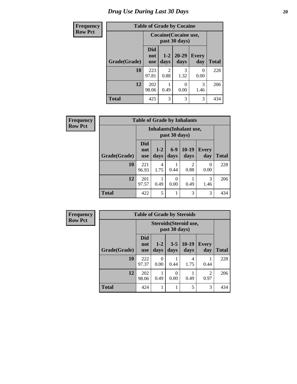# *Drug Use During Last 30 Days* 20

| <b>Frequency</b> | <b>Table of Grade by Cocaine</b> |                                 |                                        |                           |                     |              |  |  |
|------------------|----------------------------------|---------------------------------|----------------------------------------|---------------------------|---------------------|--------------|--|--|
| <b>Row Pct</b>   |                                  |                                 | Cocaine (Cocaine use,<br>past 30 days) |                           |                     |              |  |  |
|                  | Grade(Grade)                     | <b>Did</b><br>not<br><b>use</b> | $1 - 2$<br>days                        | $20 - 29$<br>days         | <b>Every</b><br>day | <b>Total</b> |  |  |
|                  | 10                               | 223<br>97.81                    | $\mathfrak{D}$<br>0.88                 | 3<br>1.32                 | 0<br>0.00           | 228          |  |  |
|                  | 12                               | 202<br>98.06                    | 0.49                                   | $\mathbf{\Omega}$<br>0.00 | 3<br>1.46           | 206          |  |  |
|                  | <b>Total</b>                     | 425                             | 3                                      | 3                         | 3                   | 434          |  |  |

| Frequency      | <b>Table of Grade by Inhalants</b> |                                 |                                                  |                  |                        |                  |              |  |  |
|----------------|------------------------------------|---------------------------------|--------------------------------------------------|------------------|------------------------|------------------|--------------|--|--|
| <b>Row Pct</b> |                                    |                                 | <b>Inhalants</b> (Inhalant use,<br>past 30 days) |                  |                        |                  |              |  |  |
|                | Grade(Grade)                       | <b>Did</b><br>not<br><b>use</b> | $1-2$<br>days                                    | $6-9$<br>days    | $10-19$<br>days        | Every<br>day     | <b>Total</b> |  |  |
|                | 10                                 | 221<br>96.93                    | 4<br>1.75                                        | 0.44             | $\mathfrak{D}$<br>0.88 | $\Omega$<br>0.00 | 228          |  |  |
|                | 12                                 | 201<br>97.57                    | 0.49                                             | $\Omega$<br>0.00 | 0.49                   | 3<br>1.46        | 206          |  |  |
|                | <b>Total</b>                       | 422                             | 5                                                |                  | 3                      | 3                | 434          |  |  |

| Frequency      | <b>Table of Grade by Steroids</b> |                                 |                                         |                 |                 |                        |              |  |
|----------------|-----------------------------------|---------------------------------|-----------------------------------------|-----------------|-----------------|------------------------|--------------|--|
| <b>Row Pct</b> |                                   |                                 | Steroids (Steroid use,<br>past 30 days) |                 |                 |                        |              |  |
|                | Grade(Grade)                      | <b>Did</b><br>not<br><b>use</b> | $1 - 2$<br>days                         | $3 - 5$<br>days | $10-19$<br>days | <b>Every</b><br>day    | <b>Total</b> |  |
|                | 10                                | 222<br>97.37                    | 0<br>0.00                               | 0.44            | 4<br>1.75       | 0.44                   | 228          |  |
|                | 12                                | 202<br>98.06                    | 0.49                                    | 0<br>0.00       | 0.49            | $\overline{2}$<br>0.97 | 206          |  |
|                | <b>Total</b>                      | 424                             |                                         | 1               | 5               | 3                      | 434          |  |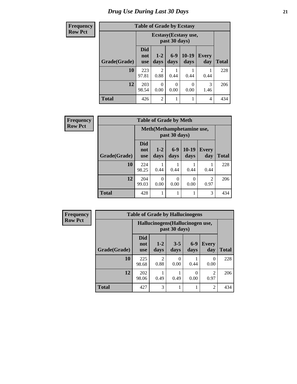# *Drug Use During Last 30 Days* **21**

| <b>Frequency</b> | <b>Table of Grade by Ecstasy</b> |                          |                        |                  |               |                     |              |
|------------------|----------------------------------|--------------------------|------------------------|------------------|---------------|---------------------|--------------|
| <b>Row Pct</b>   |                                  |                          |                        |                  |               |                     |              |
|                  | Grade(Grade)                     | Did<br>not<br><b>use</b> | $1 - 2$<br>days        | $6-9$<br>days    | 10-19<br>days | <b>Every</b><br>day | <b>Total</b> |
|                  | 10                               | 223<br>97.81             | $\mathfrak{D}$<br>0.88 | 0.44             | 0.44          | 0.44                | 228          |
|                  | 12                               | 203<br>98.54             | 0<br>0.00              | $\theta$<br>0.00 | 0<br>0.00     | 3<br>1.46           | 206          |
|                  | <b>Total</b>                     | 426                      | $\overline{2}$         |                  |               | $\overline{4}$      | 434          |

| <b>Frequency</b> | <b>Table of Grade by Meth</b> |                                 |                           |                  |                 |              |              |
|------------------|-------------------------------|---------------------------------|---------------------------|------------------|-----------------|--------------|--------------|
| <b>Row Pct</b>   |                               |                                 | Meth(Methamphetamine use, |                  |                 |              |              |
|                  | Grade(Grade)                  | <b>Did</b><br>not<br><b>use</b> | $1 - 2$<br>days           | $6 - 9$<br>days  | $10-19$<br>days | Every<br>day | <b>Total</b> |
|                  | 10                            | 224<br>98.25                    | 0.44                      | 0.44             | 0.44            | 0.44         | 228          |
|                  | 12                            | 204<br>99.03                    | 0<br>0.00                 | $\theta$<br>0.00 | 0<br>0.00       | 2<br>0.97    | 206          |
|                  | <b>Total</b>                  | 428                             |                           |                  |                 | 3            | 434          |

| <b>Frequency</b> |              | <b>Table of Grade by Hallucinogens</b> |                                  |                  |               |                        |              |  |  |
|------------------|--------------|----------------------------------------|----------------------------------|------------------|---------------|------------------------|--------------|--|--|
| <b>Row Pct</b>   |              |                                        | Hallucinogens (Hallucinogen use, |                  |               |                        |              |  |  |
|                  | Grade(Grade) | <b>Did</b><br>not<br><b>use</b>        | $1 - 2$<br>days                  | $3 - 5$<br>days  | $6-9$<br>days | <b>Every</b><br>day    | <b>Total</b> |  |  |
|                  | 10           | 225<br>98.68                           | $\mathfrak{D}$<br>0.88           | $\Omega$<br>0.00 | 0.44          | 0<br>0.00              | 228          |  |  |
|                  | 12           | 202<br>98.06                           | 0.49                             | 0.49             | 0<br>0.00     | $\mathfrak{D}$<br>0.97 | 206          |  |  |
|                  | <b>Total</b> | 427                                    | 3                                |                  | 1             | $\overline{2}$         | 434          |  |  |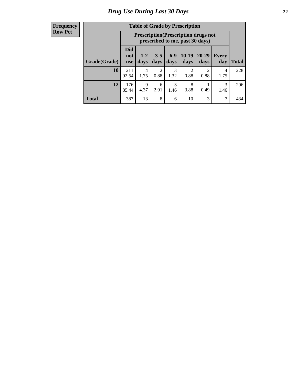#### **Frequency Row Pct**

| <b>Table of Grade by Prescription</b> |                                 |                                                                                |                 |               |                 |                                     |                     |       |  |
|---------------------------------------|---------------------------------|--------------------------------------------------------------------------------|-----------------|---------------|-----------------|-------------------------------------|---------------------|-------|--|
|                                       |                                 | <b>Prescription</b> (Prescription drugs not<br>prescribed to me, past 30 days) |                 |               |                 |                                     |                     |       |  |
| Grade(Grade)                          | <b>Did</b><br>not<br><b>use</b> | $1 - 2$<br>days                                                                | $3 - 5$<br>days | $6-9$<br>days | $10-19$<br>days | $20 - 29$<br>days                   | <b>Every</b><br>day | Total |  |
| 10                                    | 211<br>92.54                    | 4<br>1.75                                                                      | 2<br>0.88       | 3<br>1.32     | 2<br>0.88       | $\mathcal{D}_{\mathcal{L}}$<br>0.88 | 4<br>1.75           | 228   |  |
| 12                                    | 176<br>85.44                    | $\mathbf Q$<br>4.37                                                            | 6<br>2.91       | 3<br>1.46     | 8<br>3.88       | 0.49                                | 3<br>1.46           | 206   |  |
| <b>Total</b>                          | 387                             | 13                                                                             | 8               | 6             | 10              | 3                                   | 7                   | 434   |  |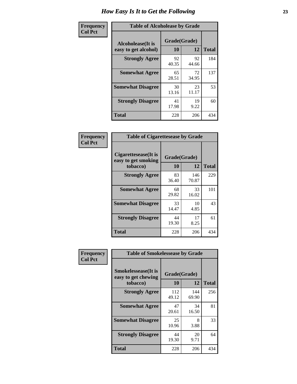| Frequency      | <b>Table of Alcoholease by Grade</b>              |                    |             |              |  |  |  |
|----------------|---------------------------------------------------|--------------------|-------------|--------------|--|--|--|
| <b>Col Pct</b> | <b>Alcoholease</b> (It is<br>easy to get alcohol) | Grade(Grade)<br>10 | 12          | <b>Total</b> |  |  |  |
|                | <b>Strongly Agree</b>                             | 92<br>40.35        | 92<br>44.66 | 184          |  |  |  |
|                | <b>Somewhat Agree</b>                             | 65<br>28.51        | 72<br>34.95 | 137          |  |  |  |
|                | <b>Somewhat Disagree</b>                          | 30<br>13.16        | 23<br>11.17 | 53           |  |  |  |
|                | <b>Strongly Disagree</b>                          | 41<br>17.98        | 19<br>9.22  | 60           |  |  |  |
|                | <b>Total</b>                                      | 228                | 206         | 434          |  |  |  |

| Frequency      | <b>Table of Cigarettesease by Grade</b>                  |                    |              |              |  |  |  |
|----------------|----------------------------------------------------------|--------------------|--------------|--------------|--|--|--|
| <b>Col Pct</b> | Cigarettesease (It is<br>easy to get smoking<br>tobacco) | Grade(Grade)<br>10 | 12           | <b>Total</b> |  |  |  |
|                | <b>Strongly Agree</b>                                    | 83<br>36.40        | 146<br>70.87 | 229          |  |  |  |
|                | <b>Somewhat Agree</b>                                    | 68<br>29.82        | 33<br>16.02  | 101          |  |  |  |
|                | <b>Somewhat Disagree</b>                                 | 33<br>14.47        | 10<br>4.85   | 43           |  |  |  |
|                | <b>Strongly Disagree</b>                                 | 44<br>19.30        | 17<br>8.25   | 61           |  |  |  |
|                | <b>Total</b>                                             | 228                | 206          | 434          |  |  |  |

| Frequency      | <b>Table of Smokelessease by Grade</b>             |              |              |              |
|----------------|----------------------------------------------------|--------------|--------------|--------------|
| <b>Col Pct</b> | <b>Smokelessease</b> (It is<br>easy to get chewing | Grade(Grade) |              |              |
|                | tobacco)                                           | 10           | 12           | <b>Total</b> |
|                | <b>Strongly Agree</b>                              | 112<br>49.12 | 144<br>69.90 | 256          |
|                | <b>Somewhat Agree</b>                              | 47<br>20.61  | 34<br>16.50  | 81           |
|                | <b>Somewhat Disagree</b>                           | 25<br>10.96  | 8<br>3.88    | 33           |
|                | <b>Strongly Disagree</b>                           | 44<br>19.30  | 20<br>9.71   | 64           |
|                | <b>Total</b>                                       | 228          | 206          | 434          |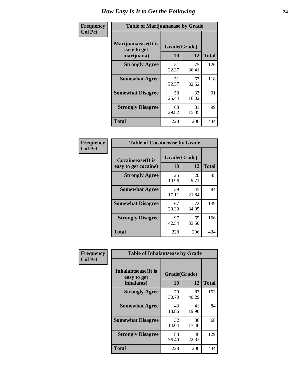| Frequency      | <b>Table of Marijuanaease by Grade</b>           |                    |             |              |  |  |  |
|----------------|--------------------------------------------------|--------------------|-------------|--------------|--|--|--|
| <b>Col Pct</b> | Marijuanaease(It is<br>easy to get<br>marijuana) | Grade(Grade)<br>10 | 12          | <b>Total</b> |  |  |  |
|                | <b>Strongly Agree</b>                            | 51<br>22.37        | 75<br>36.41 | 126          |  |  |  |
|                | <b>Somewhat Agree</b>                            | 51<br>22.37        | 67<br>32.52 | 118          |  |  |  |
|                | <b>Somewhat Disagree</b>                         | 58<br>25.44        | 33<br>16.02 | 91           |  |  |  |
|                | <b>Strongly Disagree</b>                         | 68<br>29.82        | 31<br>15.05 | 99           |  |  |  |
|                | <b>Total</b>                                     | 228                | 206         | 434          |  |  |  |

|                                                   | <b>Table of Cocaineease by Grade</b> |                    |     |  |  |  |  |  |  |  |  |  |
|---------------------------------------------------|--------------------------------------|--------------------|-----|--|--|--|--|--|--|--|--|--|
| <b>Cocaineease</b> (It is<br>easy to get cocaine) | 10                                   | Grade(Grade)<br>12 |     |  |  |  |  |  |  |  |  |  |
| <b>Strongly Agree</b>                             | 25<br>10.96                          | 20<br>9.71         | 45  |  |  |  |  |  |  |  |  |  |
| <b>Somewhat Agree</b>                             | 39<br>17.11                          | 45<br>21.84        | 84  |  |  |  |  |  |  |  |  |  |
| <b>Somewhat Disagree</b>                          | 67<br>29.39                          | 72<br>34.95        | 139 |  |  |  |  |  |  |  |  |  |
| <b>Strongly Disagree</b>                          | 97<br>42.54                          | 69<br>33.50        | 166 |  |  |  |  |  |  |  |  |  |
| <b>Total</b>                                      | 228                                  | 206                | 434 |  |  |  |  |  |  |  |  |  |

| Frequency      | <b>Table of Inhalantsease by Grade</b>     |              |             |              |
|----------------|--------------------------------------------|--------------|-------------|--------------|
| <b>Col Pct</b> | <b>Inhalantsease</b> (It is<br>easy to get | Grade(Grade) |             |              |
|                | inhalants)                                 | 10           | 12          | <b>Total</b> |
|                | <b>Strongly Agree</b>                      | 70<br>30.70  | 83<br>40.29 | 153          |
|                | <b>Somewhat Agree</b>                      | 43<br>18.86  | 41<br>19.90 | 84           |
|                | <b>Somewhat Disagree</b>                   | 32<br>14.04  | 36<br>17.48 | 68           |
|                | <b>Strongly Disagree</b>                   | 83<br>36.40  | 46<br>22.33 | 129          |
|                | <b>Total</b>                               | 228          | 206         | 434          |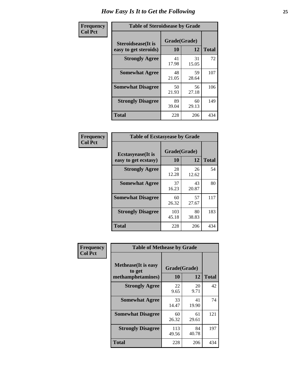| Frequency      |                                                     | <b>Table of Steroidsease by Grade</b> |             |              |  |  |  |  |  |  |  |  |
|----------------|-----------------------------------------------------|---------------------------------------|-------------|--------------|--|--|--|--|--|--|--|--|
| <b>Col Pct</b> | <b>Steroidsease</b> (It is<br>easy to get steroids) | Grade(Grade)<br>10                    | 12          | <b>Total</b> |  |  |  |  |  |  |  |  |
|                | <b>Strongly Agree</b>                               | 41<br>17.98                           | 31<br>15.05 | 72           |  |  |  |  |  |  |  |  |
|                | <b>Somewhat Agree</b>                               | 48<br>21.05                           | 59<br>28.64 | 107          |  |  |  |  |  |  |  |  |
|                | <b>Somewhat Disagree</b>                            | 50<br>21.93                           | 56<br>27.18 | 106          |  |  |  |  |  |  |  |  |
|                | <b>Strongly Disagree</b>                            | 89<br>39.04                           | 60<br>29.13 | 149          |  |  |  |  |  |  |  |  |
|                | <b>Total</b>                                        | 228                                   | 206         | 434          |  |  |  |  |  |  |  |  |

| Frequency      | <b>Table of Ecstasyease by Grade</b>              |                           |              |     |
|----------------|---------------------------------------------------|---------------------------|--------------|-----|
| <b>Col Pct</b> | <b>Ecstasyease</b> (It is<br>easy to get ecstasy) | Grade(Grade)<br><b>10</b> | <b>Total</b> |     |
|                | <b>Strongly Agree</b>                             | 28<br>12.28               | 26<br>12.62  | 54  |
|                | <b>Somewhat Agree</b>                             | 37<br>16.23               | 43<br>20.87  | 80  |
|                | <b>Somewhat Disagree</b>                          | 60<br>26.32               | 57<br>27.67  | 117 |
|                | <b>Strongly Disagree</b>                          | 103<br>45.18              | 80<br>38.83  | 183 |
|                | <b>Total</b>                                      | 228                       | 206          | 434 |

| Frequency      | <b>Table of Methease by Grade</b>                          |                    |             |              |
|----------------|------------------------------------------------------------|--------------------|-------------|--------------|
| <b>Col Pct</b> | <b>Methease</b> (It is easy<br>to get<br>methamphetamines) | Grade(Grade)<br>10 | 12          | <b>Total</b> |
|                | <b>Strongly Agree</b>                                      | 22<br>9.65         | 20<br>9.71  | 42           |
|                | <b>Somewhat Agree</b>                                      | 33<br>14.47        | 41<br>19.90 | 74           |
|                | <b>Somewhat Disagree</b>                                   | 60<br>26.32        | 61<br>29.61 | 121          |
|                | <b>Strongly Disagree</b>                                   | 113<br>49.56       | 84<br>40.78 | 197          |
|                | <b>Total</b>                                               | 228                | 206         | 434          |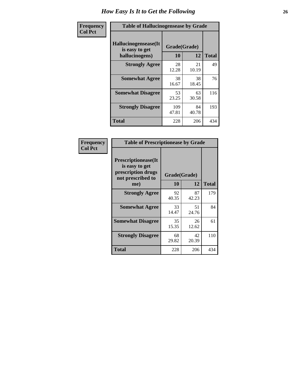| <b>Frequency</b> | <b>Table of Hallucinogensease by Grade</b>               |                    |              |     |
|------------------|----------------------------------------------------------|--------------------|--------------|-----|
| <b>Col Pct</b>   | Hallucinogensease(It<br>is easy to get<br>hallucinogens) | Grade(Grade)<br>10 | <b>Total</b> |     |
|                  | <b>Strongly Agree</b>                                    | 28<br>12.28        | 21<br>10.19  | 49  |
|                  | <b>Somewhat Agree</b>                                    | 38<br>16.67        | 38<br>18.45  | 76  |
|                  | <b>Somewhat Disagree</b>                                 | 53<br>23.25        | 63<br>30.58  | 116 |
|                  | <b>Strongly Disagree</b>                                 | 109<br>47.81       | 84<br>40.78  | 193 |
|                  | <b>Total</b>                                             | 228                | 206          | 434 |

| Frequency<br>  Col Pct |
|------------------------|

| <b>Table of Prescriptionease by Grade</b>                                                |              |             |              |
|------------------------------------------------------------------------------------------|--------------|-------------|--------------|
| <b>Prescriptionease</b> (It<br>is easy to get<br>prescription drugs<br>not prescribed to | Grade(Grade) |             |              |
| me)                                                                                      | 10           | 12          | <b>Total</b> |
| <b>Strongly Agree</b>                                                                    | 92<br>40.35  | 87<br>42.23 | 179          |
| <b>Somewhat Agree</b>                                                                    | 33<br>14.47  | 51<br>24.76 | 84           |
| <b>Somewhat Disagree</b>                                                                 | 35<br>15.35  | 26<br>12.62 | 61           |
| <b>Strongly Disagree</b>                                                                 | 68<br>29.82  | 42<br>20.39 | 110          |
| <b>Total</b>                                                                             | 228          | 206         | 434          |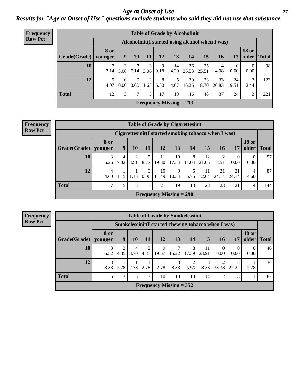*Age at Onset of Use* **27** *Results for "Age at Onset of Use" questions exclude students who said they did not use that substance*

| <b>Frequency</b> | <b>Table of Grade by Alcoholinit</b> |                        |                  |                  |                        |           |                           |                                                  |             |             |                  |                       |              |
|------------------|--------------------------------------|------------------------|------------------|------------------|------------------------|-----------|---------------------------|--------------------------------------------------|-------------|-------------|------------------|-----------------------|--------------|
| <b>Row Pct</b>   |                                      |                        |                  |                  |                        |           |                           | Alcoholinit (I started using alcohol when I was) |             |             |                  |                       |              |
|                  | Grade(Grade)                         | <b>8 or</b><br>younger | 9                | 10               | 11                     | 12        | 13                        | 14                                               | 15          | 16          | 17               | <b>18 or</b><br>older | <b>Total</b> |
|                  | 10                                   | 7.14                   | 3<br>3.06        | 7.14             | 3<br>3.06              | 9<br>9.18 | 14<br>14.29               | 26<br>26.53                                      | 25<br>25.51 | 4<br>4.08   | $\theta$<br>0.00 | $\Omega$<br>0.00      | 98           |
|                  | 12                                   | 5<br>4.07              | $\theta$<br>0.00 | $\Omega$<br>0.00 | $\overline{2}$<br>1.63 | 8<br>6.50 | 5<br>4.07                 | 20<br>16.26                                      | 23<br>18.70 | 33<br>26.83 | 24<br>19.51      | 3<br>2.44             | 123          |
|                  | <b>Total</b>                         | 12                     | 3                | 7                | 5                      | 17        | 19                        | 46                                               | 48          | 37          | 24               | 3                     | 221          |
|                  |                                      |                        |                  |                  |                        |           | Frequency Missing $= 213$ |                                                  |             |             |                  |                       |              |

#### **Frequency Row Pct**

| <b>Table of Grade by Cigarettesinit</b> |                        |                                                       |           |                  |                           |             |            |             |             |                  |                       |              |
|-----------------------------------------|------------------------|-------------------------------------------------------|-----------|------------------|---------------------------|-------------|------------|-------------|-------------|------------------|-----------------------|--------------|
|                                         |                        | Cigarettesinit (I started smoking tobacco when I was) |           |                  |                           |             |            |             |             |                  |                       |              |
| Grade(Grade)                            | 8 or<br>younger        | 9                                                     | 10        | 11               | 12                        | 13          | 14         | 15          | 16          | 17               | <b>18 or</b><br>older | <b>Total</b> |
| 10                                      | 3<br>5.26              | 4<br>7.02                                             | 2<br>3.51 | 5<br>8.77        | 11<br>19.30               | 10<br>17.54 | 8<br>14.04 | 12<br>21.05 | ↑<br>3.51   | $\theta$<br>0.00 | $\theta$<br>0.00      | 57           |
| 12                                      | $\overline{4}$<br>4.60 | 1.15                                                  | 1.15      | $\theta$<br>0.00 | 10<br>11.49               | 9<br>10.34  | 5<br>5.75  | 11<br>12.64 | 21<br>24.14 | 21<br>24.14      | 4<br>4.60             | 87           |
| <b>Total</b>                            | $\mathcal{L}$          | 5                                                     | 3         | 5                | 21                        | 19          | 13         | 23          | 23          | 21               | 4                     | 144          |
|                                         |                        |                                                       |           |                  | Frequency Missing $= 290$ |             |            |             |             |                  |                       |              |

**Frequency Row Pct**

|              | <b>Table of Grade by Smokelessinit</b> |                                                     |               |           |                           |            |            |             |                  |            |                       |              |  |
|--------------|----------------------------------------|-----------------------------------------------------|---------------|-----------|---------------------------|------------|------------|-------------|------------------|------------|-----------------------|--------------|--|
|              |                                        | Smokelessinit(I started chewing tobacco when I was) |               |           |                           |            |            |             |                  |            |                       |              |  |
| Grade(Grade) | 8 or<br>younger                        | 9                                                   | 10            | 11        | 12                        | 13         | 14         | 15          | 16               | 17         | <b>18 or</b><br>older | <b>Total</b> |  |
| 10           | 3<br>6.52                              | 4.35                                                | 4<br>8.70     | 2<br>4.35 | 9<br>19.57                | 7<br>15.22 | 8<br>17.39 | 11<br>23.91 | $\Omega$<br>0.00 | 0<br>0.00  | $\Omega$<br>0.00      | 46           |  |
| 12           | 3<br>8.33                              | 2.78                                                | 2.78          | 2.78      | 2.78                      | 3<br>8.33  | 2<br>5.56  | 3<br>8.33   | 12<br>33.33      | 8<br>22.22 | 2.78                  | 36           |  |
| <b>Total</b> | 6                                      | 3                                                   | $\mathcal{5}$ | 3         | 10                        | 10         | 10         | 14          | 12               | 8          |                       | 82           |  |
|              |                                        |                                                     |               |           | Frequency Missing $= 352$ |            |            |             |                  |            |                       |              |  |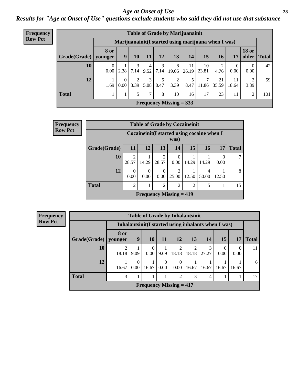#### *Age at Onset of Use* **28**

*Results for "Age at Onset of Use" questions exclude students who said they did not use that substance*

| <b>Frequency</b> |              |                        |                      | <b>Table of Grade by Marijuanainit</b> |               |           |                                |                                                      |             |             |                  |                             |     |  |  |  |
|------------------|--------------|------------------------|----------------------|----------------------------------------|---------------|-----------|--------------------------------|------------------------------------------------------|-------------|-------------|------------------|-----------------------------|-----|--|--|--|
| <b>Row Pct</b>   |              |                        |                      |                                        |               |           |                                | Marijuanainit (I started using marijuana when I was) |             |             |                  |                             |     |  |  |  |
|                  | Grade(Grade) | <b>8 or</b><br>younger | 9                    | 10                                     | 11            | 12        | 13                             | 14                                                   | 15          | <b>16</b>   | 17               | <b>18 or</b><br>older Total |     |  |  |  |
|                  | 10           | $\Omega$<br>0.00       | 2.38                 | 7.14                                   | 4<br>9.52     | 3<br>7.14 | 8<br>19.05                     | 11<br>26.19                                          | 10<br>23.81 | 4.76        | $\theta$<br>0.00 | $\overline{0}$<br>0.00      | 42  |  |  |  |
|                  | 12           | 1.69                   | $\Omega$<br>$0.00\,$ | 3.39                                   | 3<br>5.08     | 8.47      | 3.39                           | 5<br>8.47                                            | 11.86       | 21<br>35.59 | 11<br>18.64      | 2<br>3.39                   | 59  |  |  |  |
|                  | <b>Total</b> |                        |                      | 5                                      | $\mathcal{L}$ | 8         | 10                             | 16                                                   | 17          | 23          | 11               | $\overline{c}$              | 101 |  |  |  |
|                  |              |                        |                      |                                        |               |           | <b>Frequency Missing = 333</b> |                                                      |             |             |                  |                             |     |  |  |  |

| <b>Frequency</b> |              | <b>Table of Grade by Cocaineinit</b> |                                                     |                         |                           |                             |            |       |              |  |
|------------------|--------------|--------------------------------------|-----------------------------------------------------|-------------------------|---------------------------|-----------------------------|------------|-------|--------------|--|
| <b>Row Pct</b>   |              |                                      | Cocaineinit (I started using cocaine when I<br>was) |                         |                           |                             |            |       |              |  |
|                  | Grade(Grade) | <b>11</b>                            | 12                                                  | 13                      | 14                        | 15                          | <b>16</b>  | 17    | <b>Total</b> |  |
|                  | 10           | ◠<br>28.57                           | 14.29                                               | $\mathfrak{D}$<br>28.57 | 0.00                      | 14.29                       | 14.29      | 0.00  |              |  |
|                  | 12           | 0.00                                 | 0<br>0.00                                           | 0.00                    | $\mathfrak{D}$<br>25.00   | 12.50                       | 4<br>50.00 | 12.50 | 8            |  |
|                  | <b>Total</b> | ↑                                    |                                                     | $\mathcal{D}$           | $\mathfrak{D}$            | $\mathcal{D}_{\mathcal{A}}$ |            |       | 15           |  |
|                  |              |                                      |                                                     |                         | Frequency Missing $= 419$ |                             |            |       |              |  |

| <b>Frequency</b> | <b>Table of Grade by Inhalantsinit</b> |                        |          |           |                  |                                             |            |                |                                                      |                  |              |
|------------------|----------------------------------------|------------------------|----------|-----------|------------------|---------------------------------------------|------------|----------------|------------------------------------------------------|------------------|--------------|
| <b>Row Pct</b>   |                                        |                        |          |           |                  |                                             |            |                | Inhalantsinit (I started using inhalants when I was) |                  |              |
|                  | Grade(Grade)                           | <b>8 or</b><br>younger | 9        | <b>10</b> | 11               | <b>12</b>                                   | 13         | 14             | <b>15</b>                                            | 17               | <b>Total</b> |
|                  | 10                                     | 18.18                  | 9.09     | 0.00      | 9.09             | 2<br>18.18                                  | ↑<br>18.18 | 3<br>27.27     | 0<br>0.00                                            | $\Omega$<br>0.00 | 11           |
|                  | 12                                     | 16.67                  | $0.00\,$ | 16.67     | $\Omega$<br>0.00 | 0<br>$0.00\,$                               | 16.67      | 16.67          | 16.67                                                | 16.67            | 6            |
|                  | <b>Total</b>                           | 3                      |          |           |                  | 2                                           | 3          | $\overline{4}$ |                                                      |                  | 17           |
|                  |                                        |                        |          |           |                  | <b>Frequency Missing <math>= 417</math></b> |            |                |                                                      |                  |              |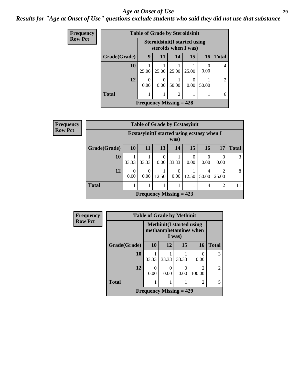#### *Age at Onset of Use* **29**

*Results for "Age at Onset of Use" questions exclude students who said they did not use that substance*

| <b>Frequency</b> |                                | <b>Table of Grade by Steroidsinit</b> |                                                              |                |       |           |       |  |  |
|------------------|--------------------------------|---------------------------------------|--------------------------------------------------------------|----------------|-------|-----------|-------|--|--|
| <b>Row Pct</b>   |                                |                                       | <b>Steroidsinit (I started using</b><br>steroids when I was) |                |       |           |       |  |  |
|                  | Grade(Grade)                   | 9                                     | 11                                                           | 14             | 15    | <b>16</b> | Total |  |  |
|                  | 10                             | 25.00                                 | 25.00                                                        | 25.00          | 25.00 | 0.00      | 4     |  |  |
|                  | 12                             | 0<br>0.00                             | 0<br>0.00                                                    | 50.00          | 0.00  | 50.00     | 2     |  |  |
|                  | <b>Total</b>                   |                                       |                                                              | $\mathfrak{D}$ |       |           | 6     |  |  |
|                  | <b>Frequency Missing = 428</b> |                                       |                                                              |                |       |           |       |  |  |

| <b>Frequency</b> | <b>Table of Grade by Ecstasyinit</b> |           |                     |       |                                                     |                  |                  |                         |              |  |  |
|------------------|--------------------------------------|-----------|---------------------|-------|-----------------------------------------------------|------------------|------------------|-------------------------|--------------|--|--|
| <b>Row Pct</b>   |                                      |           |                     |       | Ecstasyinit (I started using ecstasy when I<br>was) |                  |                  |                         |              |  |  |
|                  | Grade(Grade)                         | <b>10</b> | 11                  | 13    | 14                                                  | 15               | 16               | 17                      | <b>Total</b> |  |  |
|                  | 10                                   | 33.33     | 33.33               | 0.00  | 33.33                                               | $\Omega$<br>0.00 | $\Omega$<br>0.00 | 0<br>0.00               | 3            |  |  |
|                  | 12                                   | 0.00      | 0<br>$0.00^{\circ}$ | 12.50 | $\Omega$<br>0.00                                    | 12.50            | 4<br>50.00       | $\mathfrak{D}$<br>25.00 | 8            |  |  |
|                  | <b>Total</b>                         |           |                     |       |                                                     |                  | 4                | $\mathfrak{D}$          | 11           |  |  |
|                  |                                      |           |                     |       | Frequency Missing $= 423$                           |                  |                  |                         |              |  |  |

| Frequency      |              | <b>Table of Grade by Methinit</b> |                                                                    |       |             |                |  |  |  |
|----------------|--------------|-----------------------------------|--------------------------------------------------------------------|-------|-------------|----------------|--|--|--|
| <b>Row Pct</b> |              |                                   | <b>Methinit(I started using</b><br>methamphetamines when<br>I was) |       |             |                |  |  |  |
|                | Grade(Grade) | <b>10</b>                         | 12                                                                 | 15    | 16          | <b>Total</b>   |  |  |  |
|                | 10           | 33.33                             | 33.33                                                              | 33.33 | 0.00        | 3              |  |  |  |
|                | 12           | 0<br>0.00                         | 0.00                                                               | 0.00  | 2<br>100.00 | $\overline{c}$ |  |  |  |
|                | <b>Total</b> |                                   |                                                                    |       | 2           | 5              |  |  |  |
|                |              | Frequency Missing $= 429$         |                                                                    |       |             |                |  |  |  |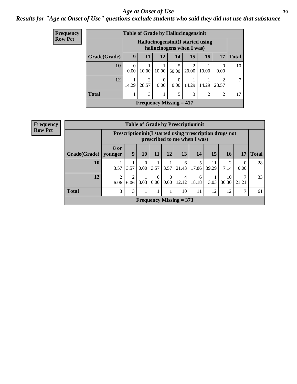#### Age at Onset of Use **30**

*Results for "Age at Onset of Use" questions exclude students who said they did not use that substance*

| <b>Frequency</b> |
|------------------|
| Row Pct          |

|              |       | <b>Table of Grade by Hallucinogensinit</b>  |           |            |                           |                |                |              |
|--------------|-------|---------------------------------------------|-----------|------------|---------------------------|----------------|----------------|--------------|
|              |       | Hallucinogensinit (I started using          |           |            | hallucinogens when I was) |                |                |              |
| Grade(Grade) | 9     | 11                                          | 12        | 14         | 15                        | 16             | 17             | <b>Total</b> |
| 10           | 0.00  | 10.00                                       | 10.00     | 5<br>50.00 | 2<br>20.00                | 10.00          | 0.00           | 10           |
| 12           | 14.29 | $\mathfrak{D}$<br>28.57                     | 0<br>0.00 | 0.00       | 14.29                     | 14.29          | 2<br>28.57     | 7            |
| <b>Total</b> |       | 3                                           |           | 5          | 3                         | $\mathfrak{D}$ | $\overline{c}$ | 17           |
|              |       | <b>Frequency Missing <math>= 417</math></b> |           |            |                           |                |                |              |

**Frequency Row Pct**

|              | <b>Table of Grade by Prescriptioninit</b>                                                  |                        |                  |                  |                  |                           |            |             |             |                  |              |
|--------------|--------------------------------------------------------------------------------------------|------------------------|------------------|------------------|------------------|---------------------------|------------|-------------|-------------|------------------|--------------|
|              | Prescription in it (I started using prescription drugs not<br>prescribed to me when I was) |                        |                  |                  |                  |                           |            |             |             |                  |              |
| Grade(Grade) | 8 or<br>younger                                                                            | 9                      | 10               | 11               | 12               | 13                        | 14         | 15          | <b>16</b>   | 17               | <b>Total</b> |
| 10           | 3.57                                                                                       | 3.57                   | $\Omega$<br>0.00 | 3.57             | 3.57             | 6<br>21.43                | 5<br>17.86 | 11<br>39.29 | 7.14        | $\theta$<br>0.00 | 28           |
| 12           | 2<br>6.06                                                                                  | $\overline{2}$<br>6.06 | 3.03             | $\Omega$<br>0.00 | $\Omega$<br>0.00 | 4<br>12.12                | 6<br>18.18 | 3.03        | 10<br>30.30 | 21.21            | 33           |
| <b>Total</b> | 3                                                                                          | 3                      |                  |                  |                  | 10                        | 11         | 12          | 12          | 7                | 61           |
|              |                                                                                            |                        |                  |                  |                  | Frequency Missing $= 373$ |            |             |             |                  |              |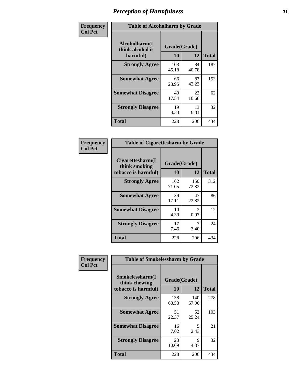| Frequency      | <b>Table of Alcoholharm by Grade</b>          |                    |             |              |  |  |  |
|----------------|-----------------------------------------------|--------------------|-------------|--------------|--|--|--|
| <b>Col Pct</b> | Alcoholharm(I<br>think alcohol is<br>harmful) | Grade(Grade)<br>10 | 12          | <b>Total</b> |  |  |  |
|                | <b>Strongly Agree</b>                         | 103<br>45.18       | 84<br>40.78 | 187          |  |  |  |
|                | <b>Somewhat Agree</b>                         | 66<br>28.95        | 87<br>42.23 | 153          |  |  |  |
|                | <b>Somewhat Disagree</b>                      | 40<br>17.54        | 22<br>10.68 | 62           |  |  |  |
|                | <b>Strongly Disagree</b>                      | 19<br>8.33         | 13<br>6.31  | 32           |  |  |  |
|                | <b>Total</b>                                  | 228                | 206         | 434          |  |  |  |

| <b>Table of Cigarettesharm by Grade</b>                  |                    |                        |              |  |  |  |  |  |
|----------------------------------------------------------|--------------------|------------------------|--------------|--|--|--|--|--|
| Cigarettesharm(I<br>think smoking<br>tobacco is harmful) | Grade(Grade)<br>10 | 12                     | <b>Total</b> |  |  |  |  |  |
| <b>Strongly Agree</b>                                    | 162<br>71.05       | 150<br>72.82           | 312          |  |  |  |  |  |
| <b>Somewhat Agree</b>                                    | 39<br>17.11        | 47<br>22.82            | 86           |  |  |  |  |  |
| <b>Somewhat Disagree</b>                                 | 10<br>4.39         | $\mathfrak{D}$<br>0.97 | 12           |  |  |  |  |  |
| <b>Strongly Disagree</b>                                 | 17<br>7.46         | 7<br>3.40              | 24           |  |  |  |  |  |
| <b>Total</b>                                             | 228                | 206                    | 434          |  |  |  |  |  |

| Frequency      | <b>Table of Smokelessharm by Grade</b>                  |                           |              |              |
|----------------|---------------------------------------------------------|---------------------------|--------------|--------------|
| <b>Col Pct</b> | Smokelessharm(I<br>think chewing<br>tobacco is harmful) | Grade(Grade)<br><b>10</b> | 12           | <b>Total</b> |
|                | <b>Strongly Agree</b>                                   | 138<br>60.53              | 140<br>67.96 | 278          |
|                | <b>Somewhat Agree</b>                                   | 51<br>22.37               | 52<br>25.24  | 103          |
|                | <b>Somewhat Disagree</b>                                | 16<br>7.02                | 5<br>2.43    | 21           |
|                | <b>Strongly Disagree</b>                                | 23<br>10.09               | 9<br>4.37    | 32           |
|                | <b>Total</b>                                            | 228                       | 206          | 434          |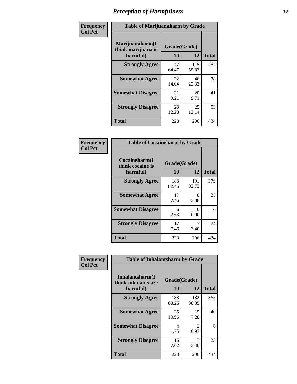| Frequency      |                                                   | <b>Table of Marijuanaharm by Grade</b> |              |              |  |  |  |  |
|----------------|---------------------------------------------------|----------------------------------------|--------------|--------------|--|--|--|--|
| <b>Col Pct</b> | Marijuanaharm(I<br>think marijuana is<br>harmful) | Grade(Grade)<br>10                     | 12           | <b>Total</b> |  |  |  |  |
|                | <b>Strongly Agree</b>                             | 147<br>64.47                           | 115<br>55.83 | 262          |  |  |  |  |
|                | <b>Somewhat Agree</b>                             | 32<br>14.04                            | 46<br>22.33  | 78           |  |  |  |  |
|                | <b>Somewhat Disagree</b>                          | 21<br>9.21                             | 20<br>9.71   | 41           |  |  |  |  |
|                | <b>Strongly Disagree</b>                          | 28<br>12.28                            | 25<br>12.14  | 53           |  |  |  |  |
|                | <b>Total</b>                                      | 228                                    | 206          | 434          |  |  |  |  |

| <b>Table of Cocaineharm by Grade</b>          |                    |              |     |  |  |  |
|-----------------------------------------------|--------------------|--------------|-----|--|--|--|
| Cocaineharm(I<br>think cocaine is<br>harmful) | Grade(Grade)<br>10 | <b>Total</b> |     |  |  |  |
| <b>Strongly Agree</b>                         | 188<br>82.46       | 191<br>92.72 | 379 |  |  |  |
| <b>Somewhat Agree</b>                         | 17<br>7.46         | 8<br>3.88    | 25  |  |  |  |
| <b>Somewhat Disagree</b>                      | 6<br>2.63          | 0<br>0.00    | 6   |  |  |  |
| <b>Strongly Disagree</b>                      | 17<br>7.46         | 7<br>3.40    | 24  |  |  |  |
| <b>Total</b>                                  | 228                | 206          | 434 |  |  |  |

| Frequency      | <b>Table of Inhalantsharm by Grade</b>             |                    |                                     |              |  |
|----------------|----------------------------------------------------|--------------------|-------------------------------------|--------------|--|
| <b>Col Pct</b> | Inhalantsharm(I<br>think inhalants are<br>harmful) | Grade(Grade)<br>10 | 12                                  | <b>Total</b> |  |
|                | <b>Strongly Agree</b>                              | 183<br>80.26       | 182<br>88.35                        | 365          |  |
|                | <b>Somewhat Agree</b>                              | 25<br>10.96        | 15<br>7.28                          | 40           |  |
|                | <b>Somewhat Disagree</b>                           | 4<br>1.75          | $\mathcal{D}_{\mathcal{L}}$<br>0.97 | 6            |  |
|                | <b>Strongly Disagree</b>                           | 16<br>7.02         | 7<br>3.40                           | 23           |  |
|                | <b>Total</b>                                       | 228                | 206                                 | 434          |  |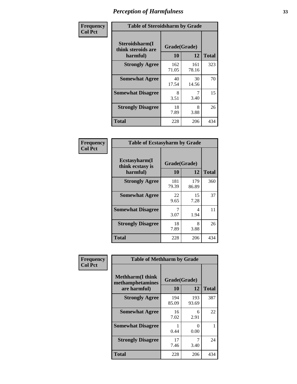| Frequency      | <b>Table of Steroidsharm by Grade</b>            |                    |              |              |  |
|----------------|--------------------------------------------------|--------------------|--------------|--------------|--|
| <b>Col Pct</b> | Steroidsharm(I<br>think steroids are<br>harmful) | Grade(Grade)<br>10 | 12           | <b>Total</b> |  |
|                | <b>Strongly Agree</b>                            | 162<br>71.05       | 161<br>78.16 | 323          |  |
|                | <b>Somewhat Agree</b>                            | 40<br>17.54        | 30<br>14.56  | 70           |  |
|                | <b>Somewhat Disagree</b>                         | 8<br>3.51          | 7<br>3.40    | 15           |  |
|                | <b>Strongly Disagree</b>                         | 18<br>7.89         | 8<br>3.88    | 26           |  |
|                | <b>Total</b>                                     | 228                | 206          | 434          |  |

| <b>Table of Ecstasyharm by Grade</b>                |                    |              |              |  |  |
|-----------------------------------------------------|--------------------|--------------|--------------|--|--|
| $E$ cstasyharm $(I$<br>think ecstasy is<br>harmful) | Grade(Grade)<br>10 | 12           | <b>Total</b> |  |  |
| <b>Strongly Agree</b>                               | 181<br>79.39       | 179<br>86.89 | 360          |  |  |
| <b>Somewhat Agree</b>                               | 22<br>9.65         | 15<br>7.28   | 37           |  |  |
| <b>Somewhat Disagree</b>                            | 7<br>3.07          | 4<br>1.94    | 11           |  |  |
| <b>Strongly Disagree</b>                            | 18<br>7.89         | 8<br>3.88    | 26           |  |  |
| Total                                               | 228                | 206          | 434          |  |  |

| Frequency      | <b>Table of Methharm by Grade</b>            |              |              |              |  |
|----------------|----------------------------------------------|--------------|--------------|--------------|--|
| <b>Col Pct</b> | <b>Methharm</b> (I think<br>methamphetamines | Grade(Grade) |              |              |  |
|                | are harmful)                                 | 10           | 12           | <b>Total</b> |  |
|                | <b>Strongly Agree</b>                        | 194<br>85.09 | 193<br>93.69 | 387          |  |
|                | <b>Somewhat Agree</b>                        | 16<br>7.02   | 6<br>2.91    | 22           |  |
|                | <b>Somewhat Disagree</b>                     | 0.44         | 0<br>0.00    |              |  |
|                | <b>Strongly Disagree</b>                     | 17<br>7.46   | 7<br>3.40    | 24           |  |
|                | Total                                        | 228          | 206          | 434          |  |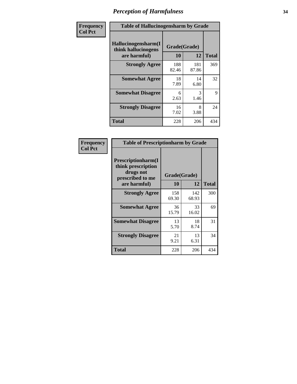| Frequency | <b>Table of Hallucinogensharm by Grade</b>                 |                    |              |              |
|-----------|------------------------------------------------------------|--------------------|--------------|--------------|
| Col Pct   | Hallucinogensharm(I<br>think hallucinogens<br>are harmful) | Grade(Grade)<br>10 | 12           | <b>Total</b> |
|           | <b>Strongly Agree</b>                                      | 188<br>82.46       | 181<br>87.86 | 369          |
|           | <b>Somewhat Agree</b>                                      | 18<br>7.89         | 14<br>6.80   | 32           |
|           | <b>Somewhat Disagree</b>                                   | 6<br>2.63          | 3<br>1.46    | 9            |
|           | <b>Strongly Disagree</b>                                   | 16<br>7.02         | 8<br>3.88    | 24           |
|           | <b>Total</b>                                               | 228                | 206          | 434          |

| <b>Table of Prescriptionharm by Grade</b>                                 |             |                    |              |  |
|---------------------------------------------------------------------------|-------------|--------------------|--------------|--|
| Prescriptionharm(I<br>think prescription<br>drugs not<br>prescribed to me | 10          | Grade(Grade)<br>12 | <b>Total</b> |  |
| are harmful)<br><b>Strongly Agree</b>                                     | 158         | 142                | 300          |  |
|                                                                           | 69.30       | 68.93              |              |  |
| <b>Somewhat Agree</b>                                                     | 36<br>15.79 | 33<br>16.02        | 69           |  |
| <b>Somewhat Disagree</b>                                                  | 13<br>5.70  | 18<br>8.74         | 31           |  |
| <b>Strongly Disagree</b>                                                  | 21<br>9.21  | 13<br>6.31         | 34           |  |
| <b>Total</b>                                                              | 228         | 206                | 434          |  |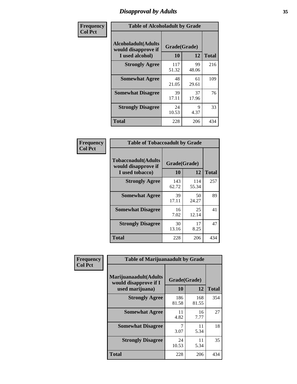# *Disapproval by Adults* **35**

| Frequency      | <b>Table of Alcoholadult by Grade</b>                                 |                    |             |              |  |
|----------------|-----------------------------------------------------------------------|--------------------|-------------|--------------|--|
| <b>Col Pct</b> | <b>Alcoholadult</b> (Adults<br>would disapprove if<br>I used alcohol) | Grade(Grade)<br>10 | 12          | <b>Total</b> |  |
|                | <b>Strongly Agree</b>                                                 | 117<br>51.32       | 99<br>48.06 | 216          |  |
|                | <b>Somewhat Agree</b>                                                 | 48<br>21.05        | 61<br>29.61 | 109          |  |
|                | <b>Somewhat Disagree</b>                                              | 39<br>17.11        | 37<br>17.96 | 76           |  |
|                | <b>Strongly Disagree</b>                                              | 24<br>10.53        | 9<br>4.37   | 33           |  |
|                | <b>Total</b>                                                          | 228                | 206         | 434          |  |

| <b>Table of Tobaccoadult by Grade</b>                                 |                    |              |              |  |  |
|-----------------------------------------------------------------------|--------------------|--------------|--------------|--|--|
| <b>Tobaccoadult</b> (Adults<br>would disapprove if<br>I used tobacco) | Grade(Grade)<br>10 | 12           | <b>Total</b> |  |  |
| <b>Strongly Agree</b>                                                 | 143<br>62.72       | 114<br>55.34 | 257          |  |  |
| <b>Somewhat Agree</b>                                                 | 39<br>17.11        | 50<br>24.27  | 89           |  |  |
| <b>Somewhat Disagree</b>                                              | 16<br>7.02         | 25<br>12.14  | 41           |  |  |
| <b>Strongly Disagree</b>                                              | 30<br>13.16        | 17<br>8.25   | 47           |  |  |
| <b>Total</b>                                                          | 228                | 206          | 434          |  |  |

| Frequency      | <b>Table of Marijuanaadult by Grade</b>                           |                    |              |              |  |
|----------------|-------------------------------------------------------------------|--------------------|--------------|--------------|--|
| <b>Col Pct</b> | Marijuanaadult(Adults<br>would disapprove if I<br>used marijuana) | Grade(Grade)<br>10 | 12           | <b>Total</b> |  |
|                | <b>Strongly Agree</b>                                             | 186<br>81.58       | 168<br>81.55 | 354          |  |
|                | <b>Somewhat Agree</b>                                             | 11<br>4.82         | 16<br>7.77   | 27           |  |
|                | <b>Somewhat Disagree</b>                                          | 7<br>3.07          | 11<br>5.34   | 18           |  |
|                | <b>Strongly Disagree</b>                                          | 24<br>10.53        | 11<br>5.34   | 35           |  |
|                | <b>Total</b>                                                      | 228                | 206          | 434          |  |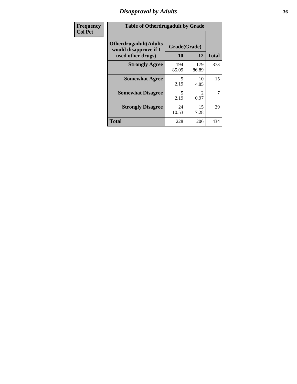### *Disapproval by Adults* **36**

| Frequency      | <b>Table of Otherdrugadult by Grade</b>                                     |                    |                                     |                |  |
|----------------|-----------------------------------------------------------------------------|--------------------|-------------------------------------|----------------|--|
| <b>Col Pct</b> | <b>Otherdrugadult</b> (Adults<br>would disapprove if I<br>used other drugs) | Grade(Grade)<br>10 | 12                                  | <b>Total</b>   |  |
|                | <b>Strongly Agree</b>                                                       | 194<br>85.09       | 179<br>86.89                        | 373            |  |
|                | <b>Somewhat Agree</b>                                                       | 5<br>2.19          | 10<br>4.85                          | 15             |  |
|                | <b>Somewhat Disagree</b>                                                    | 5<br>2.19          | $\mathcal{D}_{\mathcal{L}}$<br>0.97 | $\overline{7}$ |  |
|                | <b>Strongly Disagree</b>                                                    | 24<br>10.53        | 15<br>7.28                          | 39             |  |
|                | <b>Total</b>                                                                | 228                | 206                                 | 434            |  |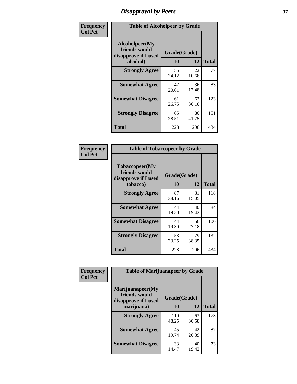# *Disapproval by Peers* **37**

| Frequency      | <b>Table of Alcoholpeer by Grade</b>                    |              |             |              |  |
|----------------|---------------------------------------------------------|--------------|-------------|--------------|--|
| <b>Col Pct</b> | Alcoholpeer(My<br>friends would<br>disapprove if I used | Grade(Grade) |             |              |  |
|                | alcohol)                                                | 10           | 12          | <b>Total</b> |  |
|                | <b>Strongly Agree</b>                                   | 55<br>24.12  | 22<br>10.68 | 77           |  |
|                | <b>Somewhat Agree</b>                                   | 47<br>20.61  | 36<br>17.48 | 83           |  |
|                | <b>Somewhat Disagree</b>                                | 61<br>26.75  | 62<br>30.10 | 123          |  |
|                | <b>Strongly Disagree</b>                                | 65<br>28.51  | 86<br>41.75 | 151          |  |
|                | Total                                                   | 228          | 206         | 434          |  |

| Frequency      | <b>Table of Tobaccopeer by Grade</b>                                |                    |             |              |  |
|----------------|---------------------------------------------------------------------|--------------------|-------------|--------------|--|
| <b>Col Pct</b> | Tobaccopeer(My<br>friends would<br>disapprove if I used<br>tobacco) | Grade(Grade)<br>10 | 12          | <b>Total</b> |  |
|                | <b>Strongly Agree</b>                                               | 87<br>38.16        | 31<br>15.05 | 118          |  |
|                | <b>Somewhat Agree</b>                                               | 44<br>19.30        | 40<br>19.42 | 84           |  |
|                | <b>Somewhat Disagree</b>                                            | 44<br>19.30        | 56<br>27.18 | 100          |  |
|                | <b>Strongly Disagree</b>                                            | 53<br>23.25        | 79<br>38.35 | 132          |  |
|                | Total                                                               | 228                | 206         | 434          |  |

| Frequency      | <b>Table of Marijuanapeer by Grade</b>                    |              |             |              |
|----------------|-----------------------------------------------------------|--------------|-------------|--------------|
| <b>Col Pct</b> | Marijuanapeer(My<br>friends would<br>disapprove if I used | Grade(Grade) |             |              |
|                | marijuana)                                                | 10           | 12          | <b>Total</b> |
|                | <b>Strongly Agree</b>                                     | 110<br>48.25 | 63<br>30.58 | 173          |
|                | <b>Somewhat Agree</b>                                     | 45<br>19.74  | 42<br>20.39 | 87           |
|                | <b>Somewhat Disagree</b>                                  | 33<br>14.47  | 40<br>19.42 | 73           |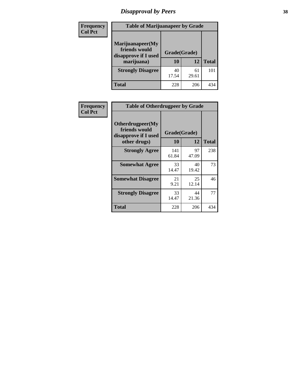# *Disapproval by Peers* **38**

| <b>Frequency</b> | <b>Table of Marijuanapeer by Grade</b>                                  |                    |             |              |  |
|------------------|-------------------------------------------------------------------------|--------------------|-------------|--------------|--|
| <b>Col Pct</b>   | Marijuanapeer(My<br>friends would<br>disapprove if I used<br>marijuana) | Grade(Grade)<br>10 | 12          | <b>Total</b> |  |
|                  | <b>Strongly Disagree</b>                                                | 40<br>17.54        | 61<br>29.61 | 101          |  |
|                  | <b>Total</b>                                                            | 228                | 206         | 434          |  |

| <b>Frequency</b> | <b>Table of Otherdrugpeer by Grade</b>                    |              |              |              |
|------------------|-----------------------------------------------------------|--------------|--------------|--------------|
| <b>Col Pct</b>   | Otherdrugpeer(My<br>friends would<br>disapprove if I used |              | Grade(Grade) |              |
|                  | other drugs)                                              | <b>10</b>    | 12           | <b>Total</b> |
|                  | <b>Strongly Agree</b>                                     | 141<br>61.84 | 97<br>47.09  | 238          |
|                  | <b>Somewhat Agree</b>                                     | 33<br>14.47  | 40<br>19.42  | 73           |
|                  | <b>Somewhat Disagree</b>                                  | 21<br>9.21   | 25<br>12.14  | 46           |
|                  | <b>Strongly Disagree</b>                                  | 33<br>14.47  | 44<br>21.36  | 77           |
|                  | <b>Total</b>                                              | 228          | 206          | 434          |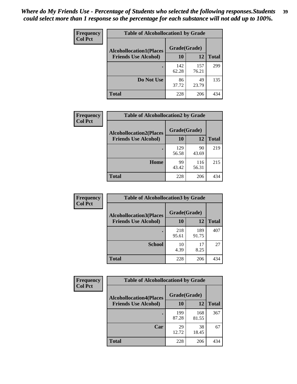| Frequency<br><b>Col Pct</b> | <b>Table of Alcohollocation1 by Grade</b> |              |              |              |
|-----------------------------|-------------------------------------------|--------------|--------------|--------------|
|                             | <b>Alcohollocation1(Places</b>            | Grade(Grade) |              |              |
|                             | <b>Friends Use Alcohol)</b>               | 10           | 12           | <b>Total</b> |
|                             |                                           | 142<br>62.28 | 157<br>76.21 | 299          |
|                             | Do Not Use                                | 86<br>37.72  | 49<br>23.79  | 135          |
|                             | <b>Total</b>                              | 228          | 206          | 434          |

| Frequency      | <b>Table of Alcohollocation2 by Grade</b>                     |                    |              |              |
|----------------|---------------------------------------------------------------|--------------------|--------------|--------------|
| <b>Col Pct</b> | <b>Alcohollocation2(Places</b><br><b>Friends Use Alcohol)</b> | Grade(Grade)<br>10 | 12           | <b>Total</b> |
|                |                                                               | 129<br>56.58       | 90<br>43.69  | 219          |
|                | Home                                                          | 99<br>43.42        | 116<br>56.31 | 215          |
|                | Total                                                         | 228                | 206          | 434          |

| Frequency<br><b>Col Pct</b> | <b>Table of Alcohollocation 3 by Grade</b>                    |                    |              |              |
|-----------------------------|---------------------------------------------------------------|--------------------|--------------|--------------|
|                             | <b>Alcohollocation3(Places</b><br><b>Friends Use Alcohol)</b> | Grade(Grade)<br>10 | 12           | <b>Total</b> |
|                             |                                                               | 218<br>95.61       | 189<br>91.75 | 407          |
|                             | <b>School</b>                                                 | 10<br>4.39         | 17<br>8.25   | 27           |
|                             | <b>Total</b>                                                  | 228                | 206          | 434          |

| Frequency      | <b>Table of Alcohollocation4 by Grade</b> |              |              |              |  |
|----------------|-------------------------------------------|--------------|--------------|--------------|--|
| <b>Col Pct</b> | <b>Alcohollocation4(Places</b>            | Grade(Grade) |              |              |  |
|                | <b>Friends Use Alcohol)</b>               | 10           | 12           | <b>Total</b> |  |
|                |                                           | 199<br>87.28 | 168<br>81.55 | 367          |  |
|                | Car                                       | 29<br>12.72  | 38<br>18.45  | 67           |  |
|                | <b>Total</b>                              | 228          | 206          | 434          |  |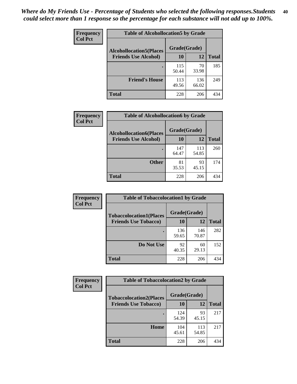| <b>Frequency</b><br><b>Col Pct</b> | <b>Table of Alcohollocation5 by Grade</b>      |              |              |              |  |
|------------------------------------|------------------------------------------------|--------------|--------------|--------------|--|
|                                    | Grade(Grade)<br><b>Alcohollocation5(Places</b> |              |              |              |  |
|                                    | <b>Friends Use Alcohol)</b>                    | 10           | 12           | <b>Total</b> |  |
|                                    |                                                | 115<br>50.44 | 70<br>33.98  | 185          |  |
|                                    | <b>Friend's House</b>                          | 113<br>49.56 | 136<br>66.02 | 249          |  |
|                                    | Total                                          | 228          | 206          | 434          |  |

| <b>Frequency</b> | <b>Table of Alcohollocation6 by Grade</b> |              |              |              |
|------------------|-------------------------------------------|--------------|--------------|--------------|
| <b>Col Pct</b>   | <b>Alcohollocation6(Places</b>            | Grade(Grade) |              |              |
|                  | <b>Friends Use Alcohol)</b>               | <b>10</b>    | 12           | <b>Total</b> |
|                  |                                           | 147<br>64.47 | 113<br>54.85 | 260          |
|                  | <b>Other</b>                              | 81<br>35.53  | 93<br>45.15  | 174          |
|                  | Total                                     | 228          | 206          | 434          |

| Frequency<br><b>Col Pct</b> | <b>Table of Tobaccolocation1 by Grade</b>                     |                    |              |              |
|-----------------------------|---------------------------------------------------------------|--------------------|--------------|--------------|
|                             | <b>Tobaccolocation1(Places</b><br><b>Friends Use Tobacco)</b> | Grade(Grade)<br>10 | 12           | <b>Total</b> |
|                             |                                                               | 136<br>59.65       | 146<br>70.87 | 282          |
|                             | <b>Do Not Use</b>                                             | 92<br>40.35        | 60<br>29.13  | 152          |
|                             | <b>Total</b>                                                  | 228                | 206          | 434          |

| Frequency      | <b>Table of Tobaccolocation2 by Grade</b> |              |              |              |  |
|----------------|-------------------------------------------|--------------|--------------|--------------|--|
| <b>Col Pct</b> | <b>Tobaccolocation2(Places</b>            | Grade(Grade) |              |              |  |
|                | <b>Friends Use Tobacco)</b>               | 10           | 12           | <b>Total</b> |  |
|                |                                           | 124<br>54.39 | 93<br>45.15  | 217          |  |
|                | Home                                      | 104<br>45.61 | 113<br>54.85 | 217          |  |
|                | <b>Total</b>                              | 228          | 206          | 434          |  |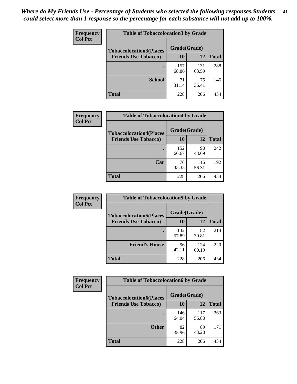| Frequency      | <b>Table of Tobaccolocation 3 by Grade</b> |              |              |              |  |
|----------------|--------------------------------------------|--------------|--------------|--------------|--|
| <b>Col Pct</b> | <b>Tobaccolocation3(Places</b>             | Grade(Grade) |              |              |  |
|                | <b>Friends Use Tobacco)</b>                | 10           | 12           | <b>Total</b> |  |
|                |                                            | 157<br>68.86 | 131<br>63.59 | 288          |  |
|                | <b>School</b>                              | 71<br>31.14  | 75<br>36.41  | 146          |  |
|                | <b>Total</b>                               | 228          | 206          | 434          |  |

| Frequency      | <b>Table of Tobaccolocation4 by Grade</b> |                    |              |              |
|----------------|-------------------------------------------|--------------------|--------------|--------------|
| <b>Col Pct</b> | <b>Tobaccolocation4(Places</b>            | Grade(Grade)<br>10 |              |              |
|                | <b>Friends Use Tobacco)</b>               |                    | 12           | <b>Total</b> |
|                |                                           | 152<br>66.67       | 90<br>43.69  | 242          |
|                | Car                                       | 76<br>33.33        | 116<br>56.31 | 192          |
|                | <b>Total</b>                              | 228                | 206          | 434          |

| Frequency      | <b>Table of Tobaccolocation5 by Grade</b> |              |              |              |
|----------------|-------------------------------------------|--------------|--------------|--------------|
| <b>Col Pct</b> | <b>Tobaccolocation5(Places</b>            | Grade(Grade) |              |              |
|                | <b>Friends Use Tobacco)</b>               | 10           | 12           | <b>Total</b> |
|                |                                           | 132<br>57.89 | 82<br>39.81  | 214          |
|                | <b>Friend's House</b>                     | 96<br>42.11  | 124<br>60.19 | 220          |
|                | <b>Total</b>                              | 228          | 206          | 434          |

| <b>Frequency</b> | <b>Table of Tobaccolocation6 by Grade</b> |              |              |              |  |
|------------------|-------------------------------------------|--------------|--------------|--------------|--|
| <b>Col Pct</b>   | <b>Tobaccolocation6(Places</b>            | Grade(Grade) |              |              |  |
|                  | <b>Friends Use Tobacco)</b>               | 10           | 12           | <b>Total</b> |  |
|                  |                                           | 146<br>64.04 | 117<br>56.80 | 263          |  |
|                  | <b>Other</b>                              | 82<br>35.96  | 89<br>43.20  | 171          |  |
|                  | <b>Total</b>                              | 228          | 206          | 434          |  |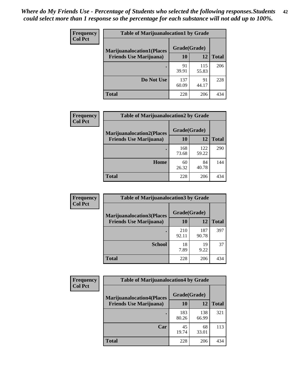| <b>Frequency</b> | <b>Table of Marijuanalocation1 by Grade</b> |              |              |              |
|------------------|---------------------------------------------|--------------|--------------|--------------|
| <b>Col Pct</b>   | <b>Marijuanalocation1(Places</b>            | Grade(Grade) |              |              |
|                  | <b>Friends Use Marijuana</b> )              | <b>10</b>    | 12           | <b>Total</b> |
|                  |                                             | 91<br>39.91  | 115<br>55.83 | 206          |
|                  | Do Not Use                                  | 137<br>60.09 | 91<br>44.17  | 228          |
|                  | <b>Total</b>                                | 228          | 206          | 434          |

| <b>Frequency</b> | <b>Table of Marijuanalocation2 by Grade</b>                        |                    |              |              |
|------------------|--------------------------------------------------------------------|--------------------|--------------|--------------|
| <b>Col Pct</b>   | <b>Marijuanalocation2(Places</b><br><b>Friends Use Marijuana</b> ) | Grade(Grade)<br>10 | 12           | <b>Total</b> |
|                  |                                                                    | 168<br>73.68       | 122<br>59.22 | 290          |
|                  | Home                                                               | 60<br>26.32        | 84<br>40.78  | 144          |
|                  | <b>Total</b>                                                       | 228                | 206          | 434          |

| Frequency      | <b>Table of Marijuanalocation3 by Grade</b> |              |              |              |
|----------------|---------------------------------------------|--------------|--------------|--------------|
| <b>Col Pct</b> | <b>Marijuanalocation3</b> (Places           | Grade(Grade) |              |              |
|                | <b>Friends Use Marijuana</b> )              | 10           | 12           | <b>Total</b> |
|                |                                             | 210<br>92.11 | 187<br>90.78 | 397          |
|                | <b>School</b>                               | 18<br>7.89   | 19<br>9.22   | 37           |
|                | <b>Total</b>                                | 228          | 206          | 434          |

| <b>Frequency</b> | <b>Table of Marijuanalocation4 by Grade</b> |              |              |              |  |
|------------------|---------------------------------------------|--------------|--------------|--------------|--|
| <b>Col Pct</b>   | <b>Marijuanalocation4(Places</b>            | Grade(Grade) |              |              |  |
|                  | <b>Friends Use Marijuana</b> )              | 10           | 12           | <b>Total</b> |  |
|                  |                                             | 183<br>80.26 | 138<br>66.99 | 321          |  |
|                  | Car                                         | 45<br>19.74  | 68<br>33.01  | 113          |  |
|                  | <b>Total</b>                                | 228          | 206          | 434          |  |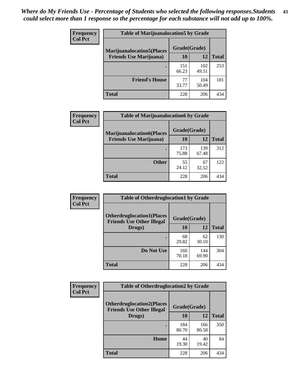| <b>Frequency</b> | <b>Table of Marijuanalocation5 by Grade</b> |              |              |              |
|------------------|---------------------------------------------|--------------|--------------|--------------|
| <b>Col Pct</b>   | <b>Marijuanalocation5</b> (Places           | Grade(Grade) |              |              |
|                  | <b>Friends Use Marijuana</b> )              | 10           | 12           | <b>Total</b> |
|                  |                                             | 151<br>66.23 | 102<br>49.51 | 253          |
|                  | <b>Friend's House</b>                       | 77<br>33.77  | 104<br>50.49 | 181          |
|                  | <b>Total</b>                                | 228          | 206          | 434          |

| <b>Frequency</b> | <b>Table of Marijuanalocation6 by Grade</b>                        |                    |              |              |
|------------------|--------------------------------------------------------------------|--------------------|--------------|--------------|
| <b>Col Pct</b>   | <b>Marijuanalocation6(Places</b><br><b>Friends Use Marijuana</b> ) | Grade(Grade)<br>10 | 12           | <b>Total</b> |
|                  |                                                                    | 173<br>75.88       | 139<br>67.48 | 312          |
|                  | <b>Other</b>                                                       | 55<br>24.12        | 67<br>32.52  | 122          |
|                  | <b>Total</b>                                                       | 228                | 206          | 434          |

| <b>Frequency</b> | <b>Table of Otherdruglocation1 by Grade</b>                          |              |              |              |
|------------------|----------------------------------------------------------------------|--------------|--------------|--------------|
| <b>Col Pct</b>   | <b>Otherdruglocation1(Places</b><br><b>Friends Use Other Illegal</b> | Grade(Grade) |              |              |
|                  | Drugs)                                                               | 10           | 12           | <b>Total</b> |
|                  |                                                                      | 68<br>29.82  | 62<br>30.10  | 130          |
|                  | Do Not Use                                                           | 160<br>70.18 | 144<br>69.90 | 304          |
|                  | <b>Total</b>                                                         | 228          | 206          | 434          |

| Frequency      | <b>Table of Otherdruglocation2 by Grade</b>                           |              |              |              |
|----------------|-----------------------------------------------------------------------|--------------|--------------|--------------|
| <b>Col Pct</b> | <b>Otherdruglocation2(Places)</b><br><b>Friends Use Other Illegal</b> | Grade(Grade) |              |              |
|                | Drugs)                                                                | 10           | 12           | <b>Total</b> |
|                |                                                                       | 184<br>80.70 | 166<br>80.58 | 350          |
|                | Home                                                                  | 44<br>19.30  | 40<br>19.42  | 84           |
|                | <b>Total</b>                                                          | 228          | 206          | 434          |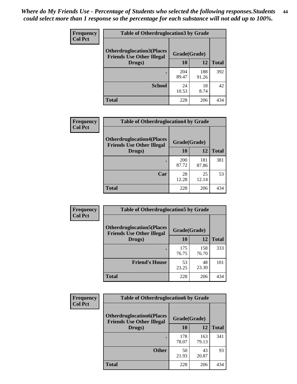| <b>Frequency</b> | <b>Table of Otherdruglocation 3 by Grade</b>                          |              |              |              |
|------------------|-----------------------------------------------------------------------|--------------|--------------|--------------|
| <b>Col Pct</b>   | <b>Otherdruglocation3(Places)</b><br><b>Friends Use Other Illegal</b> | Grade(Grade) |              |              |
|                  | Drugs)                                                                | 10           | 12           | <b>Total</b> |
|                  |                                                                       | 204<br>89.47 | 188<br>91.26 | 392          |
|                  | <b>School</b>                                                         | 24<br>10.53  | 18<br>8.74   | 42           |
|                  | <b>Total</b>                                                          | 228          | 206          | 434          |

| Frequency      | <b>Table of Otherdruglocation4 by Grade</b>                          |              |              |              |
|----------------|----------------------------------------------------------------------|--------------|--------------|--------------|
| <b>Col Pct</b> | <b>Otherdruglocation4(Places</b><br><b>Friends Use Other Illegal</b> | Grade(Grade) |              |              |
|                | Drugs)                                                               | 10           | 12           | <b>Total</b> |
|                |                                                                      | 200<br>87.72 | 181<br>87.86 | 381          |
|                | Car                                                                  | 28<br>12.28  | 25<br>12.14  | 53           |
|                | <b>Total</b>                                                         | 228          | 206          | 434          |

| Frequency      | <b>Table of Otherdruglocation5 by Grade</b>                          |              |              |              |
|----------------|----------------------------------------------------------------------|--------------|--------------|--------------|
| <b>Col Pct</b> | <b>Otherdruglocation5(Places</b><br><b>Friends Use Other Illegal</b> | Grade(Grade) |              |              |
|                | Drugs)                                                               | 10           | 12           | <b>Total</b> |
|                |                                                                      | 175<br>76.75 | 158<br>76.70 | 333          |
|                | <b>Friend's House</b>                                                | 53<br>23.25  | 48<br>23.30  | 101          |
|                | <b>Total</b>                                                         | 228          | 206          | 434          |

| <b>Frequency</b> | <b>Table of Otherdruglocation6 by Grade</b>                          |              |              |              |
|------------------|----------------------------------------------------------------------|--------------|--------------|--------------|
| <b>Col Pct</b>   | <b>Otherdruglocation6(Places</b><br><b>Friends Use Other Illegal</b> | Grade(Grade) |              |              |
|                  | Drugs)                                                               | 10           | 12           | <b>Total</b> |
|                  |                                                                      | 178<br>78.07 | 163<br>79.13 | 341          |
|                  | <b>Other</b>                                                         | 50<br>21.93  | 43<br>20.87  | 93           |
|                  | Total                                                                | 228          | 206          | 434          |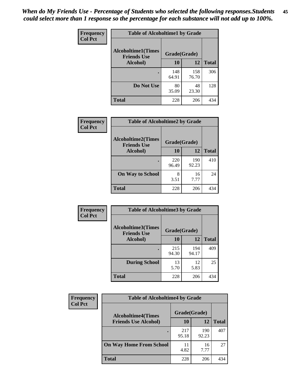| Frequency      | <b>Table of Alcoholtime1 by Grade</b>           |              |              |              |
|----------------|-------------------------------------------------|--------------|--------------|--------------|
| <b>Col Pct</b> | <b>Alcoholtime1(Times</b><br><b>Friends Use</b> | Grade(Grade) |              |              |
|                | Alcohol)                                        | 10           | 12           | <b>Total</b> |
|                |                                                 | 148<br>64.91 | 158<br>76.70 | 306          |
|                | Do Not Use                                      | 80<br>35.09  | 48<br>23.30  | 128          |
|                | <b>Total</b>                                    | 228          | 206          | 434          |

| Frequency      | <b>Table of Alcoholtime2 by Grade</b>           |              |              |              |
|----------------|-------------------------------------------------|--------------|--------------|--------------|
| <b>Col Pct</b> | <b>Alcoholtime2(Times</b><br><b>Friends Use</b> | Grade(Grade) |              |              |
|                | Alcohol)                                        | 10           | 12           | <b>Total</b> |
|                |                                                 | 220<br>96.49 | 190<br>92.23 | 410          |
|                | <b>On Way to School</b>                         | 8<br>3.51    | 16<br>7.77   | 24           |
|                | <b>Total</b>                                    | 228          | 206          | 434          |

| Frequency      | <b>Table of Alcoholtime3 by Grade</b>    |              |              |              |
|----------------|------------------------------------------|--------------|--------------|--------------|
| <b>Col Pct</b> | Alcoholtime3(Times<br><b>Friends Use</b> | Grade(Grade) |              |              |
|                | <b>Alcohol</b> )                         | 10           | 12           | <b>Total</b> |
|                |                                          | 215<br>94.30 | 194<br>94.17 | 409          |
|                | <b>During School</b>                     | 13<br>5.70   | 12<br>5.83   | 25           |
|                | <b>Total</b>                             | 228          | 206          | 434          |

| <b>Frequency</b> | <b>Table of Alcoholtime4 by Grade</b> |              |              |              |
|------------------|---------------------------------------|--------------|--------------|--------------|
| <b>Col Pct</b>   | <b>Alcoholtime4(Times</b>             | Grade(Grade) |              |              |
|                  | <b>Friends Use Alcohol)</b>           | 10           | 12           | <b>Total</b> |
|                  |                                       | 217<br>95.18 | 190<br>92.23 | 407          |
|                  | <b>On Way Home From School</b>        | 11<br>4.82   | 16<br>7.77   | 27           |
|                  | <b>Total</b>                          | 228          | 206          | 434          |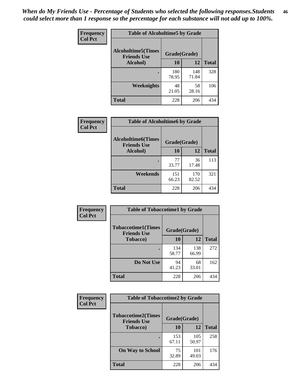*When do My Friends Use - Percentage of Students who selected the following responses.Students could select more than 1 response so the percentage for each substance will not add up to 100%.* **46**

| Frequency      | <b>Table of Alcoholtime5 by Grade</b>           |              |              |              |
|----------------|-------------------------------------------------|--------------|--------------|--------------|
| <b>Col Pct</b> | <b>Alcoholtime5(Times</b><br><b>Friends Use</b> | Grade(Grade) |              |              |
|                | Alcohol)                                        | 10           | 12           | <b>Total</b> |
|                |                                                 | 180<br>78.95 | 148<br>71.84 | 328          |
|                | Weeknights                                      | 48<br>21.05  | 58<br>28.16  | 106          |
|                | <b>Total</b>                                    | 228          | 206          | 434          |

| Frequency      | <b>Table of Alcoholtime6 by Grade</b>           |              |              |              |
|----------------|-------------------------------------------------|--------------|--------------|--------------|
| <b>Col Pct</b> | <b>Alcoholtime6(Times</b><br><b>Friends Use</b> | Grade(Grade) |              |              |
|                | Alcohol)                                        | 10           | 12           | <b>Total</b> |
|                |                                                 | 77<br>33.77  | 36<br>17.48  | 113          |
|                | Weekends                                        | 151<br>66.23 | 170<br>82.52 | 321          |
|                | <b>Total</b>                                    | 228          | 206          | 434          |

| <b>Frequency</b> | <b>Table of Tobaccotime1 by Grade</b>           |              |              |              |
|------------------|-------------------------------------------------|--------------|--------------|--------------|
| <b>Col Pct</b>   | <b>Tobaccotime1(Times</b><br><b>Friends Use</b> | Grade(Grade) |              |              |
|                  | <b>Tobacco</b> )                                | 10           | 12           | <b>Total</b> |
|                  |                                                 | 134<br>58.77 | 138<br>66.99 | 272          |
|                  | Do Not Use                                      | 94<br>41.23  | 68<br>33.01  | 162          |
|                  | <b>Total</b>                                    | 228          | 206          | 434          |

| Frequency      |                                                 | <b>Table of Tobaccotime2 by Grade</b> |              |              |  |
|----------------|-------------------------------------------------|---------------------------------------|--------------|--------------|--|
| <b>Col Pct</b> | <b>Tobaccotime2(Times</b><br><b>Friends Use</b> | Grade(Grade)                          |              |              |  |
|                | <b>Tobacco</b> )                                | 10                                    | 12           | <b>Total</b> |  |
|                |                                                 | 153<br>67.11                          | 105<br>50.97 | 258          |  |
|                | <b>On Way to School</b>                         | 75<br>32.89                           | 101<br>49.03 | 176          |  |
|                | <b>Total</b>                                    | 228                                   | 206          | 434          |  |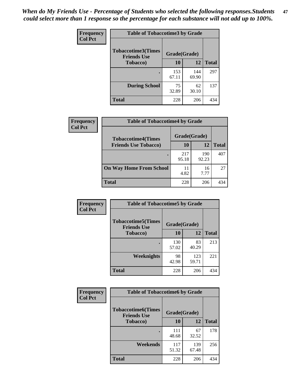*When do My Friends Use - Percentage of Students who selected the following responses.Students could select more than 1 response so the percentage for each substance will not add up to 100%.* **47**

| <b>Frequency</b> | <b>Table of Tobaccotime3 by Grade</b>           |              |              |              |  |
|------------------|-------------------------------------------------|--------------|--------------|--------------|--|
| <b>Col Pct</b>   | <b>Tobaccotime3(Times</b><br><b>Friends Use</b> | Grade(Grade) |              |              |  |
|                  | <b>Tobacco</b> )                                | 10           | 12           | <b>Total</b> |  |
|                  |                                                 | 153<br>67.11 | 144<br>69.90 | 297          |  |
|                  | <b>During School</b>                            | 75<br>32.89  | 62<br>30.10  | 137          |  |
|                  | <b>Total</b>                                    | 228          | 206          | 434          |  |

| <b>Frequency</b><br><b>Col Pct</b> | <b>Table of Tobaccotime4 by Grade</b> |              |              |              |
|------------------------------------|---------------------------------------|--------------|--------------|--------------|
|                                    | <b>Tobaccotime4(Times</b>             | Grade(Grade) |              |              |
|                                    | <b>Friends Use Tobacco)</b>           | 10           | 12           | <b>Total</b> |
|                                    |                                       | 217<br>95.18 | 190<br>92.23 | 407          |
|                                    | <b>On Way Home From School</b>        | 11<br>4.82   | 16<br>7.77   | 27           |
|                                    | <b>Total</b>                          | 228          | 206          | 434          |

| <b>Frequency</b> | <b>Table of Tobaccotime5 by Grade</b>           |              |              |              |
|------------------|-------------------------------------------------|--------------|--------------|--------------|
| <b>Col Pct</b>   | <b>Tobaccotime5(Times</b><br><b>Friends Use</b> | Grade(Grade) |              |              |
|                  | <b>Tobacco</b> )                                | 10           | 12           | <b>Total</b> |
|                  |                                                 | 130<br>57.02 | 83<br>40.29  | 213          |
|                  | Weeknights                                      | 98<br>42.98  | 123<br>59.71 | 221          |
|                  | <b>Total</b>                                    | 228          | 206          | 434          |

| Frequency      | <b>Table of Tobaccotime6 by Grade</b>                           |              |              |              |
|----------------|-----------------------------------------------------------------|--------------|--------------|--------------|
| <b>Col Pct</b> | <b>Tobaccotime6(Times</b><br>Grade(Grade)<br><b>Friends Use</b> |              |              |              |
|                | <b>Tobacco</b> )                                                | 10           | 12           | <b>Total</b> |
|                |                                                                 | 111<br>48.68 | 67<br>32.52  | 178          |
|                | Weekends                                                        | 117<br>51.32 | 139<br>67.48 | 256          |
|                | <b>Total</b>                                                    | 228          | 206          | 434          |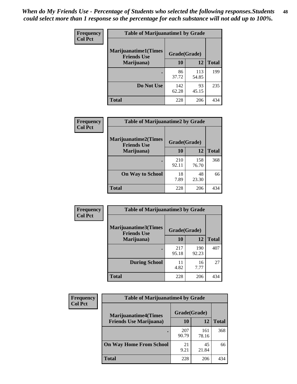| Frequency      | <b>Table of Marijuanatime1 by Grade</b>           |              |              |              |
|----------------|---------------------------------------------------|--------------|--------------|--------------|
| <b>Col Pct</b> | <b>Marijuanatime1(Times</b><br><b>Friends Use</b> | Grade(Grade) |              |              |
|                | Marijuana)                                        | 10           | 12           | <b>Total</b> |
|                |                                                   | 86<br>37.72  | 113<br>54.85 | 199          |
|                | Do Not Use                                        | 142<br>62.28 | 93<br>45.15  | 235          |
|                | <b>Total</b>                                      | 228          | 206          | 434          |

| <b>Frequency</b> | <b>Table of Marijuanatime2 by Grade</b>           |              |              |              |
|------------------|---------------------------------------------------|--------------|--------------|--------------|
| <b>Col Pct</b>   | <b>Marijuanatime2(Times</b><br><b>Friends Use</b> | Grade(Grade) |              |              |
|                  | Marijuana)                                        | 10           | 12           | <b>Total</b> |
|                  | ٠                                                 | 210<br>92.11 | 158<br>76.70 | 368          |
|                  | <b>On Way to School</b>                           | 18<br>7.89   | 48<br>23.30  | 66           |
|                  | <b>Total</b>                                      | 228          | 206          | 434          |

| Frequency<br><b>Col Pct</b> | <b>Table of Marijuanatime3 by Grade</b>    |              |              |              |  |
|-----------------------------|--------------------------------------------|--------------|--------------|--------------|--|
|                             | Marijuanatime3(Times<br><b>Friends Use</b> | Grade(Grade) |              |              |  |
|                             | Marijuana)                                 | 10           | 12           | <b>Total</b> |  |
|                             |                                            | 217<br>95.18 | 190<br>92.23 | 407          |  |
|                             | <b>During School</b>                       | 11<br>4.82   | 16<br>7.77   | 27           |  |
|                             | <b>Total</b>                               | 228          | 206          | 434          |  |

| <b>Frequency</b><br><b>Col Pct</b> | <b>Table of Marijuanatime4 by Grade</b> |              |              |       |
|------------------------------------|-----------------------------------------|--------------|--------------|-------|
|                                    | <b>Marijuanatime4</b> (Times            | Grade(Grade) |              |       |
|                                    | <b>Friends Use Marijuana</b> )          | 10           | 12           | Total |
|                                    |                                         | 207<br>90.79 | 161<br>78.16 | 368   |
|                                    | <b>On Way Home From School</b>          | 21<br>9.21   | 45<br>21.84  | 66    |
|                                    | <b>Total</b>                            | 228          | 206          | 434   |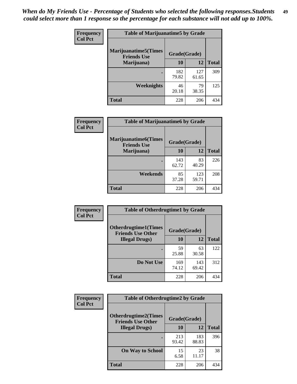| Frequency      | <b>Table of Marijuanatime5 by Grade</b>            |              |              |              |  |
|----------------|----------------------------------------------------|--------------|--------------|--------------|--|
| <b>Col Pct</b> | <b>Marijuanatime5</b> (Times<br><b>Friends Use</b> | Grade(Grade) |              |              |  |
|                | Marijuana)                                         | 10           | 12           | <b>Total</b> |  |
|                |                                                    | 182<br>79.82 | 127<br>61.65 | 309          |  |
|                | Weeknights                                         | 46<br>20.18  | 79<br>38.35  | 125          |  |
|                | <b>Total</b>                                       | 228          | 206          | 434          |  |

| <b>Frequency</b> | <b>Table of Marijuanatime6 by Grade</b>            |              |              |              |
|------------------|----------------------------------------------------|--------------|--------------|--------------|
| <b>Col Pct</b>   | <b>Marijuanatime6</b> (Times<br><b>Friends Use</b> | Grade(Grade) |              |              |
|                  | Marijuana)                                         | 10           | 12           | <b>Total</b> |
|                  |                                                    | 143<br>62.72 | 83<br>40.29  | 226          |
|                  | Weekends                                           | 85<br>37.28  | 123<br>59.71 | 208          |
|                  | <b>Total</b>                                       | 228          | 206          | 434          |

| <b>Frequency</b> | <b>Table of Otherdrugtime1 by Grade</b>                 |              |              |              |  |
|------------------|---------------------------------------------------------|--------------|--------------|--------------|--|
| <b>Col Pct</b>   | <b>Otherdrugtime1(Times</b><br><b>Friends Use Other</b> | Grade(Grade) |              |              |  |
|                  | <b>Illegal Drugs</b> )                                  | 10           | 12           | <b>Total</b> |  |
|                  |                                                         | 59<br>25.88  | 63<br>30.58  | 122          |  |
|                  | Do Not Use                                              | 169<br>74.12 | 143<br>69.42 | 312          |  |
|                  | <b>Total</b>                                            | 228          | 206          | 434          |  |

| Frequency      | <b>Table of Otherdrugtime2 by Grade</b>                 |              |              |              |  |  |
|----------------|---------------------------------------------------------|--------------|--------------|--------------|--|--|
| <b>Col Pct</b> | <b>Otherdrugtime2(Times</b><br><b>Friends Use Other</b> | Grade(Grade) |              |              |  |  |
|                | <b>Illegal Drugs</b> )                                  | 10           | 12           | <b>Total</b> |  |  |
|                |                                                         | 213<br>93.42 | 183<br>88.83 | 396          |  |  |
|                | <b>On Way to School</b>                                 | 15<br>6.58   | 23<br>11.17  | 38           |  |  |
|                | Total                                                   | 228          | 206          | 434          |  |  |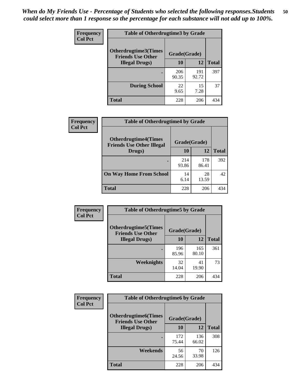| <b>Frequency</b>       | <b>Table of Otherdrugtime3 by Grade</b>                 |              |              |              |  |  |
|------------------------|---------------------------------------------------------|--------------|--------------|--------------|--|--|
| <b>Col Pct</b>         | <b>Otherdrugtime3(Times</b><br><b>Friends Use Other</b> |              | Grade(Grade) |              |  |  |
| <b>Illegal Drugs</b> ) |                                                         | 10           | 12           | <b>Total</b> |  |  |
|                        |                                                         | 206<br>90.35 | 191<br>92.72 | 397          |  |  |
|                        | <b>During School</b>                                    | 22<br>9.65   | 15<br>7.28   | 37           |  |  |
|                        | Total                                                   | 228          | 206          | 434          |  |  |

| Frequency      | <b>Table of Otherdrugtime4 by Grade</b>                         |              |              |              |  |  |
|----------------|-----------------------------------------------------------------|--------------|--------------|--------------|--|--|
| <b>Col Pct</b> | <b>Otherdrugtime4(Times</b><br><b>Friends Use Other Illegal</b> | Grade(Grade) |              |              |  |  |
|                | Drugs)                                                          | 10           | 12           | <b>Total</b> |  |  |
|                | ٠                                                               | 214<br>93.86 | 178<br>86.41 | 392          |  |  |
|                | <b>On Way Home From School</b>                                  | 14<br>6.14   | 28<br>13.59  | 42           |  |  |
|                | Total                                                           | 228          | 206          | 434          |  |  |

| <b>Frequency</b><br><b>Col Pct</b> | <b>Table of Otherdrugtime5 by Grade</b>                  |              |              |              |  |  |
|------------------------------------|----------------------------------------------------------|--------------|--------------|--------------|--|--|
|                                    | <b>Otherdrugtime5</b> (Times<br><b>Friends Use Other</b> | Grade(Grade) |              |              |  |  |
|                                    | <b>Illegal Drugs</b> )                                   | 10           | 12           | <b>Total</b> |  |  |
|                                    |                                                          | 196<br>85.96 | 165<br>80.10 | 361          |  |  |
|                                    | Weeknights                                               | 32<br>14.04  | 41<br>19.90  | 73           |  |  |
|                                    | Total                                                    | 228          | 206          | 434          |  |  |

| <b>Frequency</b> | <b>Table of Otherdrugtime6 by Grade</b>                 |              |              |              |  |  |
|------------------|---------------------------------------------------------|--------------|--------------|--------------|--|--|
| <b>Col Pct</b>   | <b>Otherdrugtime6(Times</b><br><b>Friends Use Other</b> | Grade(Grade) |              |              |  |  |
|                  | <b>Illegal Drugs</b> )                                  | 10           | 12           | <b>Total</b> |  |  |
|                  |                                                         | 172<br>75.44 | 136<br>66.02 | 308          |  |  |
|                  | Weekends                                                | 56<br>24.56  | 70<br>33.98  | 126          |  |  |
|                  | Total                                                   | 228          | 206          | 434          |  |  |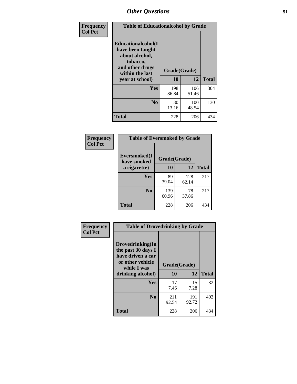| Frequency      | <b>Table of Educationalcohol by Grade</b>                                                                  |              |              |              |  |  |
|----------------|------------------------------------------------------------------------------------------------------------|--------------|--------------|--------------|--|--|
| <b>Col Pct</b> | Educationalcohol(I<br>have been taught<br>about alcohol,<br>tobacco,<br>and other drugs<br>within the last | Grade(Grade) |              |              |  |  |
|                | year at school)                                                                                            | 10           | 12           | <b>Total</b> |  |  |
|                | <b>Yes</b>                                                                                                 | 198<br>86.84 | 106<br>51.46 | 304          |  |  |
|                | N <sub>0</sub>                                                                                             | 30<br>13.16  | 100<br>48.54 | 130          |  |  |
|                | <b>Total</b>                                                                                               | 228          | 206          | 434          |  |  |

| Frequency      | <b>Table of Eversmoked by Grade</b> |              |              |              |  |  |  |
|----------------|-------------------------------------|--------------|--------------|--------------|--|--|--|
| <b>Col Pct</b> | Eversmoked(I<br>have smoked         | Grade(Grade) |              |              |  |  |  |
|                | a cigarette)                        | 10           | 12           | <b>Total</b> |  |  |  |
|                | Yes                                 | 89<br>39.04  | 128<br>62.14 | 217          |  |  |  |
|                | N <sub>0</sub>                      | 139<br>60.96 | 78<br>37.86  | 217          |  |  |  |
|                | <b>Total</b>                        | 228          | 206          | 434          |  |  |  |

| Frequency<br><b>Col Pct</b> | <b>Table of Drovedrinking by Grade</b>                                                                              |                    |              |              |  |  |
|-----------------------------|---------------------------------------------------------------------------------------------------------------------|--------------------|--------------|--------------|--|--|
|                             | Drovedrinking(In<br>the past 30 days I<br>have driven a car<br>or other vehicle<br>while I was<br>drinking alcohol) | Grade(Grade)<br>10 | 12           | <b>Total</b> |  |  |
|                             | <b>Yes</b>                                                                                                          | 17<br>7.46         | 15<br>7.28   | 32           |  |  |
|                             | N <sub>0</sub>                                                                                                      | 211<br>92.54       | 191<br>92.72 | 402          |  |  |
|                             | <b>Total</b>                                                                                                        | 228                | 206          | 434          |  |  |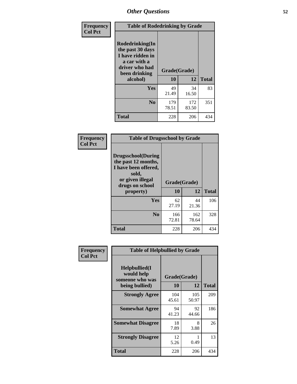| Frequency<br><b>Col Pct</b> | <b>Table of Rodedrinking by Grade</b>                                                                      |              |              |              |  |  |
|-----------------------------|------------------------------------------------------------------------------------------------------------|--------------|--------------|--------------|--|--|
|                             | Rodedrinking(In<br>the past 30 days<br>I have ridden in<br>a car with a<br>driver who had<br>been drinking | Grade(Grade) |              |              |  |  |
|                             | alcohol)                                                                                                   | 10           | 12           | <b>Total</b> |  |  |
|                             | Yes                                                                                                        | 49<br>21.49  | 34<br>16.50  | 83           |  |  |
|                             | N <sub>0</sub>                                                                                             | 179<br>78.51 | 172<br>83.50 | 351          |  |  |
|                             | <b>Total</b>                                                                                               | 228          | 206          | 434          |  |  |

### **Frequency Col Pct**

| <b>Table of Drugsschool by Grade</b>                                                                                      |              |              |              |  |  |  |
|---------------------------------------------------------------------------------------------------------------------------|--------------|--------------|--------------|--|--|--|
| <b>Drugsschool</b> (During<br>the past 12 months,<br>I have been offered,<br>sold,<br>or given illegal<br>drugs on school | Grade(Grade) |              |              |  |  |  |
| property)                                                                                                                 | 10           | 12           | <b>Total</b> |  |  |  |
| Yes                                                                                                                       | 62<br>27.19  | 44<br>21.36  | 106          |  |  |  |
| N <sub>0</sub>                                                                                                            | 166<br>72.81 | 162<br>78.64 | 328          |  |  |  |
| <b>Total</b>                                                                                                              | 228          | 206          | 434          |  |  |  |

| Frequency      | <b>Table of Helpbullied by Grade</b>                 |                                 |              |              |  |  |  |
|----------------|------------------------------------------------------|---------------------------------|--------------|--------------|--|--|--|
| <b>Col Pct</b> | $Helpb$ ullied $(I$<br>would help<br>someone who was | Grade(Grade)<br><b>10</b><br>12 |              |              |  |  |  |
|                | being bullied)                                       |                                 |              | <b>Total</b> |  |  |  |
|                | <b>Strongly Agree</b>                                | 104<br>45.61                    | 105<br>50.97 | 209          |  |  |  |
|                | <b>Somewhat Agree</b>                                | 94<br>41.23                     | 92<br>44.66  | 186          |  |  |  |
|                | <b>Somewhat Disagree</b>                             | 18<br>7.89                      | 8<br>3.88    | 26           |  |  |  |
|                | <b>Strongly Disagree</b>                             | 12<br>5.26                      | 0.49         | 13           |  |  |  |
|                | <b>Total</b>                                         | 228                             | 206          | 434          |  |  |  |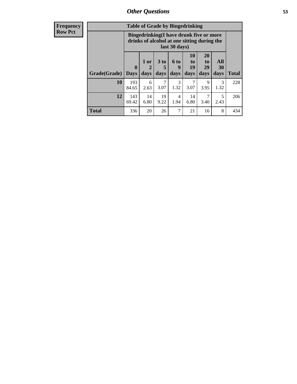| <b>Frequency</b> | <b>Table of Grade by Bingedrinking</b> |                                                                                                         |                     |                              |              |                               |                        |                       |              |
|------------------|----------------------------------------|---------------------------------------------------------------------------------------------------------|---------------------|------------------------------|--------------|-------------------------------|------------------------|-----------------------|--------------|
| <b>Row Pct</b>   |                                        | Bingedrinking(I have drunk five or more<br>drinks of alcohol at one sitting during the<br>last 30 days) |                     |                              |              |                               |                        |                       |              |
|                  | Grade(Grade)                           | $\boldsymbol{0}$<br><b>Days</b>                                                                         | $1$ or<br>2<br>days | 3 <sub>to</sub><br>5<br>days | 6 to<br>days | <b>10</b><br>to<br>19<br>days | 20<br>to<br>29<br>days | All<br>30<br>days     | <b>Total</b> |
|                  | 10                                     | 193<br>84.65                                                                                            | 6<br>2.63           | 7<br>3.07                    | 3<br>1.32    | 7<br>3.07                     | 9<br>3.95              | $\mathcal{R}$<br>1.32 | 228          |
|                  | 12                                     | 143<br>69.42                                                                                            | 14<br>6.80          | 19<br>9.22                   | 4<br>1.94    | 14<br>6.80                    | 7<br>3.40              | 5<br>2.43             | 206          |
|                  | <b>Total</b>                           | 336                                                                                                     | 20                  | 26                           | 7            | 21                            | 16                     | 8                     | 434          |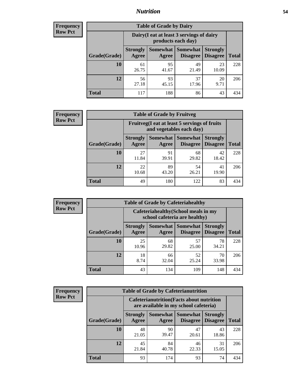## *Nutrition* **54**

| <b>Frequency</b><br>Row Pct |
|-----------------------------|
|                             |

| <b>Table of Grade by Dairy</b> |                                                                                                                           |                                                                 |             |             |     |  |  |
|--------------------------------|---------------------------------------------------------------------------------------------------------------------------|-----------------------------------------------------------------|-------------|-------------|-----|--|--|
|                                |                                                                                                                           | Dairy (I eat at least 3 servings of dairy<br>products each day) |             |             |     |  |  |
| Grade(Grade)                   | Somewhat<br><b>Somewhat</b><br><b>Strongly</b><br><b>Strongly</b><br><b>Disagree</b><br><b>Disagree</b><br>Agree<br>Agree |                                                                 |             |             |     |  |  |
| 10                             | 61<br>26.75                                                                                                               | 95<br>41.67                                                     | 49<br>21.49 | 23<br>10.09 | 228 |  |  |
| 12                             | 56<br>27.18                                                                                                               | 93<br>45.15                                                     | 37<br>17.96 | 20<br>9.71  | 206 |  |  |
| <b>Total</b>                   | 117                                                                                                                       | 188                                                             | 86          | 43          | 434 |  |  |

| <b>Frequency</b> |  |
|------------------|--|
| <b>Row Pct</b>   |  |

| <b>Table of Grade by Fruitveg</b> |                                                                          |             |                               |                                    |              |  |
|-----------------------------------|--------------------------------------------------------------------------|-------------|-------------------------------|------------------------------------|--------------|--|
|                                   | Fruitveg(I eat at least 5 servings of fruits<br>and vegetables each day) |             |                               |                                    |              |  |
| Grade(Grade)                      | <b>Strongly</b><br>Agree                                                 | Agree       | Somewhat Somewhat<br>Disagree | <b>Strongly</b><br><b>Disagree</b> | <b>Total</b> |  |
| 10                                | 27<br>11.84                                                              | 91<br>39.91 | 68<br>29.82                   | 42<br>18.42                        | 228          |  |
| 12                                | 22<br>10.68                                                              | 89<br>43.20 | 54<br>26.21                   | 41<br>19.90                        | 206          |  |
| <b>Total</b>                      | 49                                                                       | 180         | 122                           | 83                                 | 434          |  |

| Frequency      | <b>Table of Grade by Cafeteriahealthy</b> |                                                                       |                     |                                    |                                    |              |  |
|----------------|-------------------------------------------|-----------------------------------------------------------------------|---------------------|------------------------------------|------------------------------------|--------------|--|
| <b>Row Pct</b> |                                           | Cafeteriahealthy (School meals in my<br>school cafeteria are healthy) |                     |                                    |                                    |              |  |
|                | Grade(Grade)                              | <b>Strongly</b><br>Agree                                              | Somewhat  <br>Agree | <b>Somewhat</b><br><b>Disagree</b> | <b>Strongly</b><br><b>Disagree</b> | <b>Total</b> |  |
|                | <b>10</b>                                 | 25<br>10.96                                                           | 68<br>29.82         | 57<br>25.00                        | 78<br>34.21                        | 228          |  |
|                | 12                                        | 18<br>8.74                                                            | 66<br>32.04         | 52<br>25.24                        | 70<br>33.98                        | 206          |  |
|                | <b>Total</b>                              | 43                                                                    | 134                 | 109                                | 148                                | 434          |  |

**Frequency Row Pct**

| <b>Table of Grade by Cafeterianutrition</b> |              |                          |                                                                                           |                      |                                    |              |  |  |
|---------------------------------------------|--------------|--------------------------|-------------------------------------------------------------------------------------------|----------------------|------------------------------------|--------------|--|--|
|                                             |              |                          | <b>Cafeterianutrition</b> (Facts about nutrition<br>are available in my school cafeteria) |                      |                                    |              |  |  |
|                                             | Grade(Grade) | <b>Strongly</b><br>Agree | Somewhat<br>Agree                                                                         | Somewhat<br>Disagree | <b>Strongly</b><br><b>Disagree</b> | <b>Total</b> |  |  |
|                                             | 10           | 48<br>21.05              | 90<br>39.47                                                                               | 47<br>20.61          | 43<br>18.86                        | 228          |  |  |
|                                             | 12           | 45<br>21.84              | 84<br>40.78                                                                               | 46<br>22.33          | 31<br>15.05                        | 206          |  |  |
|                                             | <b>Total</b> | 93                       | 174                                                                                       | 93                   | 74                                 | 434          |  |  |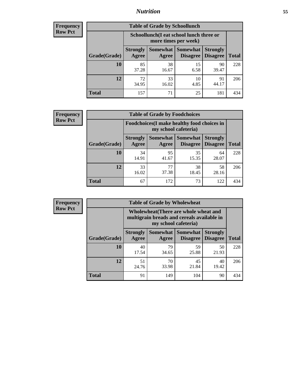## *Nutrition* **55**

| <b>Frequency</b> |
|------------------|
| Row Pct          |

| <b>Table of Grade by Schoollunch</b> |                                                                                                                          |                                                                 |            |             |     |  |  |
|--------------------------------------|--------------------------------------------------------------------------------------------------------------------------|-----------------------------------------------------------------|------------|-------------|-----|--|--|
|                                      |                                                                                                                          | Schoollunch(I eat school lunch three or<br>more times per week) |            |             |     |  |  |
| Grade(Grade)                         | Somewhat Somewhat<br><b>Strongly</b><br><b>Strongly</b><br><b>Disagree</b><br>Disagree<br><b>Total</b><br>Agree<br>Agree |                                                                 |            |             |     |  |  |
| 10                                   | 85<br>37.28                                                                                                              | 38<br>16.67                                                     | 15<br>6.58 | 90<br>39.47 | 228 |  |  |
| 12                                   | 72<br>34.95                                                                                                              | 33<br>16.02                                                     | 10<br>4.85 | 91<br>44.17 | 206 |  |  |
| <b>Total</b>                         | 157                                                                                                                      | 71                                                              | 25         | 181         | 434 |  |  |

| <b>Frequency</b> |  |
|------------------|--|
| <b>Row Pct</b>   |  |

| <b>Table of Grade by Foodchoices</b> |                                                                            |             |                                               |                                    |              |  |
|--------------------------------------|----------------------------------------------------------------------------|-------------|-----------------------------------------------|------------------------------------|--------------|--|
|                                      | <b>Foodchoices</b> (I make healthy food choices in<br>my school cafeteria) |             |                                               |                                    |              |  |
| Grade(Grade)                         | <b>Strongly</b><br>Agree                                                   | Agree       | <b>Somewhat   Somewhat</b><br><b>Disagree</b> | <b>Strongly</b><br><b>Disagree</b> | <b>Total</b> |  |
| 10                                   | 34<br>14.91                                                                | 95<br>41.67 | 35<br>15.35                                   | 64<br>28.07                        | 228          |  |
| 12                                   | 33<br>16.02                                                                | 77<br>37.38 | 38<br>18.45                                   | 58<br>28.16                        | 206          |  |
| <b>Total</b>                         | 67                                                                         | 172         | 73                                            | 122                                | 434          |  |

| Frequency      | <b>Table of Grade by Wholewheat</b> |                                                                                                             |                   |                                    |                                    |              |  |  |
|----------------|-------------------------------------|-------------------------------------------------------------------------------------------------------------|-------------------|------------------------------------|------------------------------------|--------------|--|--|
| <b>Row Pct</b> |                                     | Wholewheat (There are whole wheat and<br>multigrain breads and cereals available in<br>my school cafeteria) |                   |                                    |                                    |              |  |  |
|                | Grade(Grade)                        | <b>Strongly</b><br>Agree                                                                                    | Somewhat<br>Agree | <b>Somewhat</b><br><b>Disagree</b> | <b>Strongly</b><br><b>Disagree</b> | <b>Total</b> |  |  |
|                | 10                                  | 40<br>17.54                                                                                                 | 79<br>34.65       | 59<br>25.88                        | 50<br>21.93                        | 228          |  |  |
|                | 12                                  | 51<br>24.76                                                                                                 | 70<br>33.98       | 45<br>21.84                        | 40<br>19.42                        | 206          |  |  |
|                | <b>Total</b>                        | 91                                                                                                          | 149               | 104                                | 90                                 | 434          |  |  |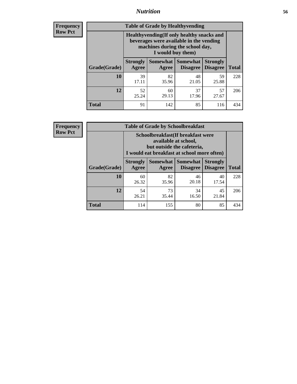## *Nutrition* **56**

**Frequency Row Pct**

| <b>Table of Grade by Healthyvending</b> |                                                                                                                                               |                          |                                    |                                    |              |  |  |
|-----------------------------------------|-----------------------------------------------------------------------------------------------------------------------------------------------|--------------------------|------------------------------------|------------------------------------|--------------|--|--|
|                                         | Healthyvending (If only healthy snacks and<br>beverages were available in the vending<br>machines during the school day,<br>I would buy them) |                          |                                    |                                    |              |  |  |
| Grade(Grade)                            | <b>Strongly</b><br>Agree                                                                                                                      | <b>Somewhat</b><br>Agree | <b>Somewhat</b><br><b>Disagree</b> | <b>Strongly</b><br><b>Disagree</b> | <b>Total</b> |  |  |
| 10                                      | 39<br>17.11                                                                                                                                   | 82<br>35.96              | 48<br>21.05                        | 59<br>25.88                        | 228          |  |  |
| 12                                      | 52<br>25.24                                                                                                                                   | 60<br>29.13              | 37<br>17.96                        | 57<br>27.67                        | 206          |  |  |
| Total                                   | 91                                                                                                                                            | 142                      | 85                                 | 116                                | 434          |  |  |

**Frequency Row Pct**

| <b>Table of Grade by Schoolbreakfast</b> |                                                                                                                                         |             |                                        |                                    |              |  |
|------------------------------------------|-----------------------------------------------------------------------------------------------------------------------------------------|-------------|----------------------------------------|------------------------------------|--------------|--|
|                                          | Schoolbreakfast (If breakfast were<br>available at school,<br>but outside the cafeteria,<br>I would eat breakfast at school more often) |             |                                        |                                    |              |  |
| Grade(Grade)                             | <b>Strongly</b><br>Agree                                                                                                                | Agree       | Somewhat   Somewhat<br><b>Disagree</b> | <b>Strongly</b><br><b>Disagree</b> | <b>Total</b> |  |
| 10                                       | 60<br>26.32                                                                                                                             | 82<br>35.96 | 46<br>20.18                            | 40<br>17.54                        | 228          |  |
| 12                                       | 54<br>26.21                                                                                                                             | 73<br>35.44 | 34<br>16.50                            | 45<br>21.84                        | 206          |  |
| <b>Total</b>                             | 114                                                                                                                                     | 155         | 80                                     | 85                                 | 434          |  |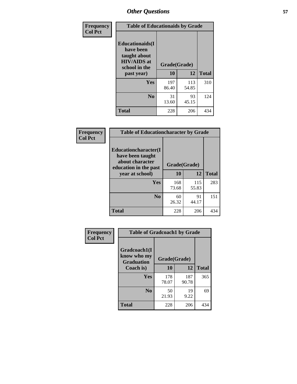| Frequency<br><b>Col Pct</b> | <b>Table of Educationaids by Grade</b>                                                                    |                    |              |              |
|-----------------------------|-----------------------------------------------------------------------------------------------------------|--------------------|--------------|--------------|
|                             | <b>Educationaids</b> (I<br>have been<br>taught about<br><b>HIV/AIDS</b> at<br>school in the<br>past year) | Grade(Grade)<br>10 | 12           | <b>Total</b> |
|                             | Yes                                                                                                       | 197<br>86.40       | 113<br>54.85 | 310          |
|                             | N <sub>0</sub>                                                                                            | 31<br>13.60        | 93<br>45.15  | 124          |
|                             | <b>Total</b>                                                                                              | 228                | 206          | 434          |

| <b>Frequency</b> | <b>Table of Educationcharacter by Grade</b>                                                                     |              |              |              |
|------------------|-----------------------------------------------------------------------------------------------------------------|--------------|--------------|--------------|
| <b>Col Pct</b>   | <b>Educationcharacter</b> (I<br>have been taught<br>about character<br>education in the past<br>year at school) | Grade(Grade) |              |              |
|                  |                                                                                                                 | 10           | 12           | <b>Total</b> |
|                  | Yes                                                                                                             | 168<br>73.68 | 115<br>55.83 | 283          |
|                  | N <sub>0</sub>                                                                                                  | 60<br>26.32  | 91<br>44.17  | 151          |
|                  | <b>Total</b>                                                                                                    | 228          | 206          | 434          |

| Frequency<br><b>Col Pct</b> | <b>Table of Gradcoach1 by Grade</b>              |              |              |              |  |
|-----------------------------|--------------------------------------------------|--------------|--------------|--------------|--|
|                             | Gradcoach1(I<br>know who my<br><b>Graduation</b> | Grade(Grade) |              |              |  |
|                             | Coach is)                                        | 10           | 12           | <b>Total</b> |  |
|                             | Yes                                              | 178<br>78.07 | 187<br>90.78 | 365          |  |
|                             | N <sub>0</sub>                                   | 50<br>21.93  | 19<br>9.22   | 69           |  |
|                             | <b>Total</b>                                     | 228          | 206          | 434          |  |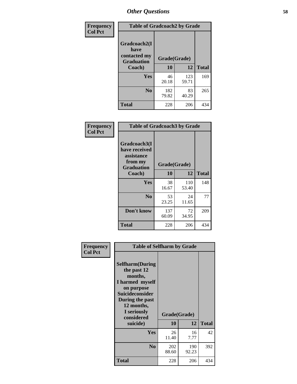| Frequency      | <b>Table of Gradcoach2 by Grade</b> |              |              |              |
|----------------|-------------------------------------|--------------|--------------|--------------|
| <b>Col Pct</b> |                                     |              |              |              |
|                | Gradcoach2(I<br>have                |              |              |              |
|                | contacted my<br><b>Graduation</b>   | Grade(Grade) |              |              |
|                | Coach)                              | 10           | 12           | <b>Total</b> |
|                | Yes                                 | 46<br>20.18  | 123<br>59.71 | 169          |
|                | N <sub>0</sub>                      | 182<br>79.82 | 83<br>40.29  | 265          |
|                | <b>Total</b>                        | 228          | 206          | 434          |

| <b>Frequency</b><br><b>Col Pct</b> | <b>Table of Gradcoach3 by Grade</b>                                         |              |              |              |
|------------------------------------|-----------------------------------------------------------------------------|--------------|--------------|--------------|
|                                    | Gradcoach3(I<br>have received<br>assistance<br>from my<br><b>Graduation</b> | Grade(Grade) |              |              |
|                                    | Coach)                                                                      | 10           | 12           | <b>Total</b> |
|                                    | Yes                                                                         | 38<br>16.67  | 110<br>53.40 | 148          |
|                                    | N <sub>0</sub>                                                              | 53<br>23.25  | 24<br>11.65  | 77           |
|                                    | Don't know                                                                  | 137<br>60.09 | 72<br>34.95  | 209          |
|                                    | <b>Total</b>                                                                | 228          | 206          | 434          |

| Frequency      | <b>Table of Selfharm by Grade</b>                                                                                                             |              |              |              |
|----------------|-----------------------------------------------------------------------------------------------------------------------------------------------|--------------|--------------|--------------|
| <b>Col Pct</b> | <b>Selfharm</b> (During<br>the past 12<br>months,<br>I harmed myself<br>on purpose<br><b>Suicideconsider</b><br>During the past<br>12 months, |              |              |              |
|                | I seriously<br>considered                                                                                                                     | Grade(Grade) |              |              |
|                | suicide)                                                                                                                                      | 10           | 12           | <b>Total</b> |
|                | Yes                                                                                                                                           | 26<br>11.40  | 16<br>7.77   | 42           |
|                | N <sub>0</sub>                                                                                                                                | 202<br>88.60 | 190<br>92.23 | 392          |
|                | <b>Total</b>                                                                                                                                  | 228          | 206          | 434          |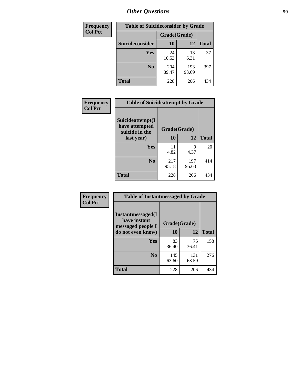| <b>Frequency</b> | <b>Table of Suicideconsider by Grade</b> |              |              |              |
|------------------|------------------------------------------|--------------|--------------|--------------|
| <b>Col Pct</b>   |                                          | Grade(Grade) |              |              |
|                  | Suicideconsider                          | 10           | 12           | <b>Total</b> |
|                  | Yes                                      | 24<br>10.53  | 13<br>6.31   | 37           |
|                  | N <sub>0</sub>                           | 204<br>89.47 | 193<br>93.69 | 397          |
|                  | <b>Total</b>                             | 228          | 206          | 434          |

| Frequency      | <b>Table of Suicideattempt by Grade</b>              |              |              |              |
|----------------|------------------------------------------------------|--------------|--------------|--------------|
| <b>Col Pct</b> | Suicideattempt(I<br>have attempted<br>suicide in the | Grade(Grade) |              |              |
|                | last year)                                           | <b>10</b>    | 12           | <b>Total</b> |
|                | Yes                                                  | 11<br>4.82   | 9<br>4.37    | 20           |
|                | N <sub>0</sub>                                       | 217<br>95.18 | 197<br>95.63 | 414          |
|                | <b>Total</b>                                         | 228          | 206          | 434          |

| Frequency      | <b>Table of Instantmessaged by Grade</b>               |              |              |              |
|----------------|--------------------------------------------------------|--------------|--------------|--------------|
| <b>Col Pct</b> | Instantmessaged(I<br>have instant<br>messaged people I | Grade(Grade) |              |              |
|                | do not even know)                                      | 10           | 12           | <b>Total</b> |
|                | Yes                                                    | 83<br>36.40  | 75<br>36.41  | 158          |
|                | N <sub>0</sub>                                         | 145<br>63.60 | 131<br>63.59 | 276          |
|                | <b>Total</b>                                           | 228          | 206          | 434          |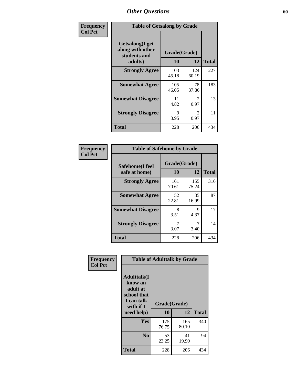| Frequency      | <b>Table of Getsalong by Grade</b>                          |              |                        |              |
|----------------|-------------------------------------------------------------|--------------|------------------------|--------------|
| <b>Col Pct</b> | <b>Getsalong</b> (I get<br>along with other<br>students and | Grade(Grade) |                        |              |
|                | adults)                                                     | 10           | 12                     | <b>Total</b> |
|                | <b>Strongly Agree</b>                                       | 103<br>45.18 | 124<br>60.19           | 227          |
|                | <b>Somewhat Agree</b>                                       | 105<br>46.05 | 78<br>37.86            | 183          |
|                | <b>Somewhat Disagree</b>                                    | 11<br>4.82   | 2<br>0.97              | 13           |
|                | <b>Strongly Disagree</b>                                    | 9<br>3.95    | $\mathfrak{D}$<br>0.97 | 11           |
|                | <b>Total</b>                                                | 228          | 206                    | 434          |

| Frequency      | <b>Table of Safehome by Grade</b> |                    |              |              |  |
|----------------|-----------------------------------|--------------------|--------------|--------------|--|
| <b>Col Pct</b> | Safehome(I feel<br>safe at home)  | Grade(Grade)<br>10 | 12           | <b>Total</b> |  |
|                | <b>Strongly Agree</b>             | 161<br>70.61       | 155<br>75.24 | 316          |  |
|                | <b>Somewhat Agree</b>             | 52<br>22.81        | 35<br>16.99  | 87           |  |
|                | <b>Somewhat Disagree</b>          | 8<br>3.51          | 9<br>4.37    | 17           |  |
|                | <b>Strongly Disagree</b>          | 3.07               | 7<br>3.40    | 14           |  |
|                | <b>Total</b>                      | 228                | 206          | 434          |  |

| Frequency      |                                                                                     | <b>Table of Adulttalk by Grade</b> |              |              |
|----------------|-------------------------------------------------------------------------------------|------------------------------------|--------------|--------------|
| <b>Col Pct</b> | <b>Adulttalk(I</b><br>know an<br>adult at<br>school that<br>I can talk<br>with if I | Grade(Grade)                       |              |              |
|                | need help)                                                                          | 10                                 | 12           | <b>Total</b> |
|                | <b>Yes</b>                                                                          | 175<br>76.75                       | 165<br>80.10 | 340          |
|                | $\bf No$                                                                            | 53<br>23.25                        | 41<br>19.90  | 94           |
|                | <b>Total</b>                                                                        | 228                                | 206          | 434          |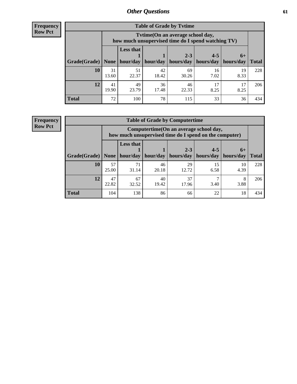**Frequency Row Pct**

| <b>Table of Grade by Tvtime</b> |             |                                                                                         |             |             |            |            |              |  |  |  |
|---------------------------------|-------------|-----------------------------------------------------------------------------------------|-------------|-------------|------------|------------|--------------|--|--|--|
|                                 |             | Tvtime (On an average school day,<br>how much unsupervised time do I spend watching TV) |             |             |            |            |              |  |  |  |
|                                 |             | <b>Less that</b><br>$2 - 3$<br>$4 - 5$<br>$6+$                                          |             |             |            |            |              |  |  |  |
| Grade(Grade)   None             |             | hour/day                                                                                | hour/day    | hours/day   | hours/day  | hours/day  | <b>Total</b> |  |  |  |
| 10                              | 31<br>13.60 | 51<br>22.37                                                                             | 42<br>18.42 | 69<br>30.26 | 16<br>7.02 | 19<br>8.33 | 228          |  |  |  |
| 12                              | 41<br>19.90 | 49<br>23.79                                                                             | 36<br>17.48 | 46<br>22.33 | 17<br>8.25 | 17<br>8.25 | 206          |  |  |  |
| <b>Total</b>                    | 72          | 100                                                                                     | 78          | 115         | 33         | 36         | 434          |  |  |  |

**Frequency Row Pct**

| <b>Table of Grade by Computertime</b> |             |                                                                                                                              |             |             |            |            |     |  |  |  |
|---------------------------------------|-------------|------------------------------------------------------------------------------------------------------------------------------|-------------|-------------|------------|------------|-----|--|--|--|
|                                       |             | Computertime (On an average school day,<br>how much unsupervised time do I spend on the computer)                            |             |             |            |            |     |  |  |  |
| Grade(Grade)                          | None $ $    | <b>Less that</b><br>$2 - 3$<br>$4 - 5$<br>$6+$<br>hours/day<br>hour/day   hour/day<br>hours/day<br>hours/day<br><b>Total</b> |             |             |            |            |     |  |  |  |
| 10                                    | 57<br>25.00 | 71<br>31.14                                                                                                                  | 46<br>20.18 | 29<br>12.72 | 15<br>6.58 | 10<br>4.39 | 228 |  |  |  |
| 12                                    | 47<br>22.82 | 67<br>32.52                                                                                                                  | 40<br>19.42 | 37<br>17.96 | 3.40       | 8<br>3.88  | 206 |  |  |  |
| <b>Total</b>                          | 104         | 138                                                                                                                          | 86          | 66          | 22         | 18         | 434 |  |  |  |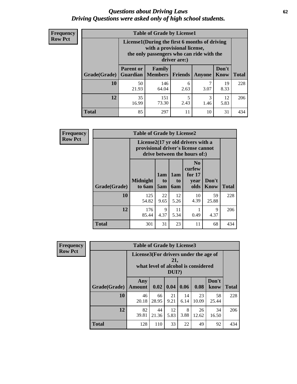## *Questions about Driving Laws* **62** *Driving Questions were asked only of high school students.*

| <b>Frequency</b> |
|------------------|
| <b>Row Pct</b>   |

| <b>Table of Grade by License1</b> |                                     |                                                                                                                                           |                |               |                      |              |  |  |  |
|-----------------------------------|-------------------------------------|-------------------------------------------------------------------------------------------------------------------------------------------|----------------|---------------|----------------------|--------------|--|--|--|
|                                   |                                     | License1(During the first 6 months of driving<br>with a provisional license,<br>the only passengers who can ride with the<br>driver are:) |                |               |                      |              |  |  |  |
| Grade(Grade)                      | <b>Parent or</b><br><b>Guardian</b> | Family<br><b>Members</b>                                                                                                                  | <b>Friends</b> | <b>Anyone</b> | Don't<br><b>Know</b> | <b>Total</b> |  |  |  |
| 10                                | 50<br>21.93                         | 146<br>64.04                                                                                                                              | 6<br>2.63      | 7<br>3.07     | 19<br>8.33           | 228          |  |  |  |
| 12                                | 35<br>16.99                         | 151<br>73.30                                                                                                                              | 5<br>2.43      | 3<br>1.46     | 12<br>5.83           | 206          |  |  |  |
| Total                             | 85                                  | 297                                                                                                                                       | 11             | 10            | 31                   | 434          |  |  |  |

| <b>Frequency</b> | <b>Table of Grade by License2</b> |                                                                                                          |                  |                              |                                                      |               |              |  |
|------------------|-----------------------------------|----------------------------------------------------------------------------------------------------------|------------------|------------------------------|------------------------------------------------------|---------------|--------------|--|
| <b>Row Pct</b>   |                                   | License2(17 yr old drivers with a<br>provisional driver's license cannot<br>drive between the hours of:) |                  |                              |                                                      |               |              |  |
|                  | Grade(Grade)                      | <b>Midnight</b><br>to 6am                                                                                | 1am<br>to<br>5am | 1am<br>t <sub>0</sub><br>6am | N <sub>0</sub><br>curfew<br>for $17$<br>vear<br>olds | Don't<br>Know | <b>Total</b> |  |
|                  | 10                                | 125<br>54.82                                                                                             | 22<br>9.65       | 12<br>5.26                   | 10<br>4.39                                           | 59<br>25.88   | 228          |  |
|                  | 12                                | 176<br>85.44                                                                                             | 9<br>4.37        | 11<br>5.34                   | 0.49                                                 | 9<br>4.37     | 206          |  |
|                  | <b>Total</b>                      | 301                                                                                                      | 31               | 23                           | 11                                                   | 68            | 434          |  |

| Frequency      | <b>Table of Grade by License3</b> |                                       |             |                 |            |                                     |               |              |  |
|----------------|-----------------------------------|---------------------------------------|-------------|-----------------|------------|-------------------------------------|---------------|--------------|--|
| <b>Row Pct</b> |                                   | License3(For drivers under the age of |             | 21,<br>$DUI$ ?) |            | what level of alcohol is considered |               |              |  |
|                | Grade(Grade)                      | Any<br><b>Amount</b>                  | 0.02        | 0.04            | 0.06       | 0.08                                | Don't<br>know | <b>Total</b> |  |
|                | 10                                | 46<br>20.18                           | 66<br>28.95 | 21<br>9.21      | 14<br>6.14 | 23<br>10.09                         | 58<br>25.44   | 228          |  |
|                | 12                                | 82<br>39.81                           | 44<br>21.36 | 12<br>5.83      | 8<br>3.88  | 26<br>12.62                         | 34<br>16.50   | 206          |  |
|                | <b>Total</b>                      | 128                                   | 110         | 33              | 22         | 49                                  | 92            | 434          |  |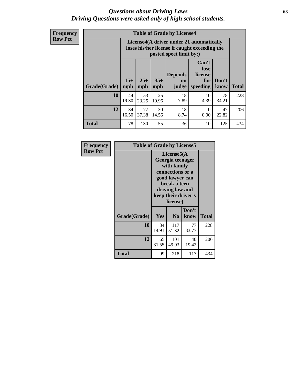## *Questions about Driving Laws* **63** *Driving Questions were asked only of high school students.*

**Frequency Row Pct**

| <b>Table of Grade by License4</b> |              |                                                                                                                      |              |                                      |                                             |               |              |  |  |  |
|-----------------------------------|--------------|----------------------------------------------------------------------------------------------------------------------|--------------|--------------------------------------|---------------------------------------------|---------------|--------------|--|--|--|
|                                   |              | License4(A driver under 21 automatically<br>loses his/her license if caught exceeding the<br>posted speet limit by:) |              |                                      |                                             |               |              |  |  |  |
| Grade(Grade)                      | $15+$<br>mph | $25+$<br>mph                                                                                                         | $35+$<br>mph | <b>Depends</b><br><b>on</b><br>judge | Can't<br>lose<br>license<br>for<br>speeding | Don't<br>know | <b>Total</b> |  |  |  |
| 10                                | 44<br>19.30  | 53<br>23.25                                                                                                          | 25<br>10.96  | 18<br>7.89                           | 10<br>4.39                                  | 78<br>34.21   | 228          |  |  |  |
| 12                                | 34<br>16.50  | 77<br>37.38                                                                                                          | 30<br>14.56  | 18<br>8.74                           | 0<br>0.00                                   | 47<br>22.82   | 206          |  |  |  |
| <b>Total</b>                      | 78           | 130                                                                                                                  | 55           | 36                                   | 10                                          | 125           | 434          |  |  |  |

| Frequency      | <b>Table of Grade by License5</b> |                                                                                                                                                            |                |               |       |
|----------------|-----------------------------------|------------------------------------------------------------------------------------------------------------------------------------------------------------|----------------|---------------|-------|
| <b>Row Pct</b> |                                   | License5(A<br>Georgia teenager<br>with family<br>connections or a<br>good lawyer can<br>break a teen<br>driving law and<br>keep their driver's<br>license) |                |               |       |
|                | Grade(Grade)                      | <b>Yes</b>                                                                                                                                                 | N <sub>0</sub> | Don't<br>know | Total |
|                | 10                                | 34<br>14.91                                                                                                                                                | 117<br>51.32   | 77<br>33.77   | 228   |
|                | 12                                | 65<br>31.55                                                                                                                                                | 101<br>49.03   | 40<br>19.42   | 206   |
|                | Total                             | 99                                                                                                                                                         | 218            | 117           | 434   |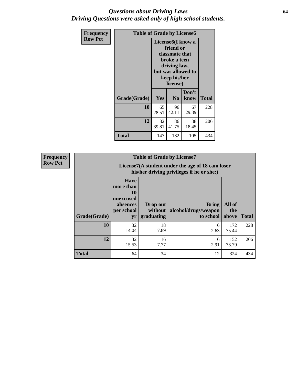## *Questions about Driving Laws* **64** *Driving Questions were asked only of high school students.*

| <b>Frequency</b> |              | <b>Table of Grade by License6</b> |                                                                                                                                                 |               |              |  |  |
|------------------|--------------|-----------------------------------|-------------------------------------------------------------------------------------------------------------------------------------------------|---------------|--------------|--|--|
| <b>Row Pct</b>   |              |                                   | License <sub>6</sub> (I know a<br>friend or<br>classmate that<br>broke a teen<br>driving law,<br>but was allowed to<br>keep his/her<br>license) |               |              |  |  |
|                  | Grade(Grade) | Yes                               | N <sub>0</sub>                                                                                                                                  | Don't<br>know | <b>Total</b> |  |  |
|                  | 10           | 65<br>28.51                       | 96<br>42.11                                                                                                                                     | 67<br>29.39   | 228          |  |  |
|                  | 12           | 82<br>39.81                       | 86<br>41.75                                                                                                                                     | 38<br>18.45   | 206          |  |  |
|                  | Total        | 147                               | 182                                                                                                                                             | 105           | 434          |  |  |

| <b>Frequency</b> | <b>Table of Grade by License7</b> |                                                                             |                                     |                                                                                               |                        |              |  |  |  |  |
|------------------|-----------------------------------|-----------------------------------------------------------------------------|-------------------------------------|-----------------------------------------------------------------------------------------------|------------------------|--------------|--|--|--|--|
| <b>Row Pct</b>   |                                   |                                                                             |                                     | License7(A student under the age of 18 cam loser<br>his/her driving privileges if he or she:) |                        |              |  |  |  |  |
|                  | Grade(Grade)                      | <b>Have</b><br>more than<br>10<br>unexcused<br>absences<br>per school<br>yr | Drop out<br>without  <br>graduating | <b>Bring</b><br>alcohol/drugs/weapon<br>to school                                             | All of<br>the<br>above | <b>Total</b> |  |  |  |  |
|                  | 10                                | 32<br>14.04                                                                 | 18<br>7.89                          | 6<br>2.63                                                                                     | 172<br>75.44           | 228          |  |  |  |  |
|                  | 12                                | 32<br>15.53                                                                 | 16<br>7.77                          | 6<br>2.91                                                                                     | 152<br>73.79           | 206          |  |  |  |  |
|                  | <b>Total</b>                      | 64                                                                          | 34                                  | 12                                                                                            | 324                    | 434          |  |  |  |  |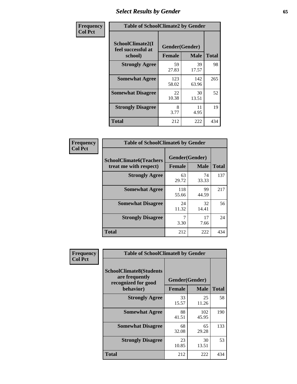# *Select Results by Gender* **65**

| Frequency      |                                                   | <b>Table of SchoolClimate2 by Gender</b> |              |              |  |  |  |  |
|----------------|---------------------------------------------------|------------------------------------------|--------------|--------------|--|--|--|--|
| <b>Col Pct</b> | SchoolClimate2(I<br>feel successful at<br>school) | Gender(Gender)<br><b>Female</b>          | <b>Male</b>  | <b>Total</b> |  |  |  |  |
|                | <b>Strongly Agree</b>                             | 59<br>27.83                              | 39<br>17.57  | 98           |  |  |  |  |
|                | <b>Somewhat Agree</b>                             | 123<br>58.02                             | 142<br>63.96 | 265          |  |  |  |  |
|                | <b>Somewhat Disagree</b>                          | 22<br>10.38                              | 30<br>13.51  | 52           |  |  |  |  |
|                | <b>Strongly Disagree</b>                          | 8<br>3.77                                | 11<br>4.95   | 19           |  |  |  |  |
|                | <b>Total</b>                                      | 212                                      | 222          | 434          |  |  |  |  |

| <b>Frequency</b> | <b>Table of SchoolClimate6 by Gender</b>                 |                |             |              |  |
|------------------|----------------------------------------------------------|----------------|-------------|--------------|--|
| <b>Col Pct</b>   | <b>SchoolClimate6(Teachers</b><br>treat me with respect) | Gender(Gender) |             |              |  |
|                  |                                                          | <b>Female</b>  | <b>Male</b> | <b>Total</b> |  |
|                  | <b>Strongly Agree</b>                                    | 63<br>29.72    | 74<br>33.33 | 137          |  |
|                  | <b>Somewhat Agree</b>                                    | 118<br>55.66   | 99<br>44.59 | 217          |  |
|                  | <b>Somewhat Disagree</b>                                 | 24<br>11.32    | 32<br>14.41 | 56           |  |
|                  | <b>Strongly Disagree</b>                                 | 7<br>3.30      | 17<br>7.66  | 24           |  |
|                  | <b>Total</b>                                             | 212            | 222         | 434          |  |

| Frequency      | <b>Table of SchoolClimate8 by Gender</b>                                             |                                 |              |              |  |  |
|----------------|--------------------------------------------------------------------------------------|---------------------------------|--------------|--------------|--|--|
| <b>Col Pct</b> | <b>SchoolClimate8(Students</b><br>are frequently<br>recognized for good<br>behavior) | Gender(Gender)<br><b>Female</b> | <b>Male</b>  | <b>Total</b> |  |  |
|                | <b>Strongly Agree</b>                                                                | 33<br>15.57                     | 25<br>11.26  | 58           |  |  |
|                | <b>Somewhat Agree</b>                                                                | 88<br>41.51                     | 102<br>45.95 | 190          |  |  |
|                | <b>Somewhat Disagree</b>                                                             | 68<br>32.08                     | 65<br>29.28  | 133          |  |  |
|                | <b>Strongly Disagree</b>                                                             | 23<br>10.85                     | 30<br>13.51  | 53           |  |  |
|                | Total                                                                                | 212                             | 222          | 434          |  |  |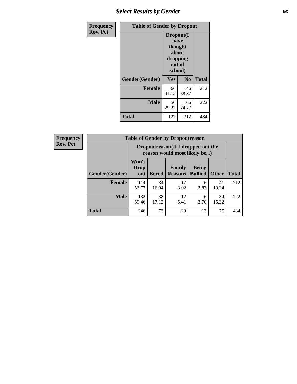# *Select Results by Gender* **66**

| Frequency      | <b>Table of Gender by Dropout</b> |                                                                        |                |              |
|----------------|-----------------------------------|------------------------------------------------------------------------|----------------|--------------|
| <b>Row Pct</b> |                                   | Dropout(I<br>have<br>thought<br>about<br>dropping<br>out of<br>school) |                |              |
|                | Gender(Gender)                    | Yes                                                                    | N <sub>0</sub> | <b>Total</b> |
|                | <b>Female</b>                     | 66<br>31.13                                                            | 146<br>68.87   | 212          |
|                | <b>Male</b>                       | 56<br>25.23                                                            | 166<br>74.77   | 222          |
|                | <b>Total</b>                      | 122                                                                    | 312            | 434          |

| <b>Frequency</b> | <b>Table of Gender by Dropoutreason</b> |                                                                    |              |                                 |                                |              |              |
|------------------|-----------------------------------------|--------------------------------------------------------------------|--------------|---------------------------------|--------------------------------|--------------|--------------|
| <b>Row Pct</b>   |                                         | Dropoutreason(If I dropped out the<br>reason would most likely be) |              |                                 |                                |              |              |
|                  | Gender(Gender)                          | Won't<br>Drop<br>out                                               | <b>Bored</b> | <b>Family</b><br><b>Reasons</b> | <b>Being</b><br><b>Bullied</b> | <b>Other</b> | <b>Total</b> |
|                  | Female                                  | 114<br>53.77                                                       | 34<br>16.04  | 17<br>8.02                      | 6<br>2.83                      | 41<br>19.34  | 212          |
|                  | <b>Male</b>                             | 132<br>59.46                                                       | 38<br>17.12  | 12<br>5.41                      | 6<br>2.70                      | 34<br>15.32  | 222          |
|                  | <b>Total</b>                            | 246                                                                | 72           | 29                              | 12                             | 75           | 434          |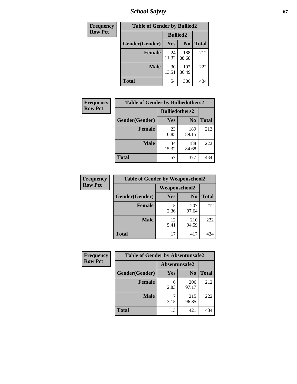*School Safety* **67**

| Frequency      | <b>Table of Gender by Bullied2</b> |                 |                |              |
|----------------|------------------------------------|-----------------|----------------|--------------|
| <b>Row Pct</b> |                                    | <b>Bullied2</b> |                |              |
|                | Gender(Gender)                     | <b>Yes</b>      | N <sub>0</sub> | <b>Total</b> |
|                | <b>Female</b>                      | 24<br>11.32     | 188<br>88.68   | 212          |
|                | <b>Male</b>                        | 30<br>13.51     | 192<br>86.49   | 222          |
|                | <b>Total</b>                       | 54              | 380            | 434          |

| <b>Frequency</b> | <b>Table of Gender by Bulliedothers2</b> |                       |                |              |
|------------------|------------------------------------------|-----------------------|----------------|--------------|
| <b>Row Pct</b>   |                                          | <b>Bulliedothers2</b> |                |              |
|                  | Gender(Gender)                           | <b>Yes</b>            | N <sub>0</sub> | <b>Total</b> |
|                  | <b>Female</b>                            | 23<br>10.85           | 189<br>89.15   | 212          |
|                  | <b>Male</b>                              | 34<br>15.32           | 188<br>84.68   | 222          |
|                  | <b>Total</b>                             | 57                    | 377            | 434          |

| Frequency      | <b>Table of Gender by Weaponschool2</b> |                      |                |              |
|----------------|-----------------------------------------|----------------------|----------------|--------------|
| <b>Row Pct</b> |                                         | <b>Weaponschool2</b> |                |              |
|                | Gender(Gender)                          | Yes                  | N <sub>0</sub> | <b>Total</b> |
|                | <b>Female</b>                           | 5<br>2.36            | 207<br>97.64   | 212          |
|                | <b>Male</b>                             | 12<br>5.41           | 210<br>94.59   | 222          |
|                | <b>Total</b>                            | 17                   | 417            | 434          |

| Frequency      | <b>Table of Gender by Absentunsafe2</b> |               |                |              |
|----------------|-----------------------------------------|---------------|----------------|--------------|
| <b>Row Pct</b> |                                         | Absentunsafe2 |                |              |
|                | Gender(Gender)                          | Yes           | N <sub>0</sub> | <b>Total</b> |
|                | <b>Female</b>                           | 6<br>2.83     | 206<br>97.17   | 212          |
|                | <b>Male</b>                             | 3.15          | 215<br>96.85   | 222          |
|                | <b>Total</b>                            | 13            | 421            | 434          |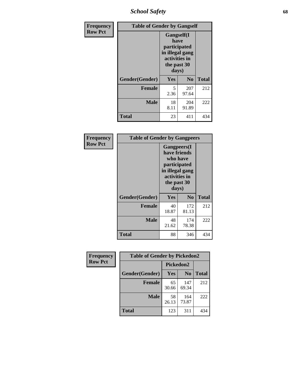*School Safety* **68**

| Frequency      | <b>Table of Gender by Gangself</b> |                                                                                                        |                |              |
|----------------|------------------------------------|--------------------------------------------------------------------------------------------------------|----------------|--------------|
| <b>Row Pct</b> |                                    | <b>Gangself</b> (I<br>have<br>participated<br>in illegal gang<br>activities in<br>the past 30<br>days) |                |              |
|                | Gender(Gender)                     | Yes                                                                                                    | N <sub>0</sub> | <b>Total</b> |
|                | <b>Female</b>                      | 5<br>2.36                                                                                              | 207<br>97.64   | 212          |
|                | <b>Male</b>                        | 18<br>8.11                                                                                             | 204<br>91.89   | 222          |
|                | <b>Total</b>                       | 23                                                                                                     | 411            | 434          |

| Frequency      | <b>Table of Gender by Gangpeers</b> |             |                                                                                                                             |              |  |
|----------------|-------------------------------------|-------------|-----------------------------------------------------------------------------------------------------------------------------|--------------|--|
| <b>Row Pct</b> |                                     |             | <b>Gangpeers</b> (I<br>have friends<br>who have<br>participated<br>in illegal gang<br>activities in<br>the past 30<br>days) |              |  |
|                | Gender(Gender)                      | Yes         | N <sub>0</sub>                                                                                                              | <b>Total</b> |  |
|                | <b>Female</b>                       | 40<br>18.87 | 172<br>81.13                                                                                                                | 212          |  |
|                | <b>Male</b>                         | 48<br>21.62 | 174<br>78.38                                                                                                                | 222          |  |
|                | <b>Total</b>                        | 88          | 346                                                                                                                         | 434          |  |

| Frequency      | <b>Table of Gender by Pickedon2</b> |             |                |              |  |
|----------------|-------------------------------------|-------------|----------------|--------------|--|
| <b>Row Pct</b> |                                     | Pickedon2   |                |              |  |
|                | Gender(Gender)                      | Yes         | N <sub>0</sub> | <b>Total</b> |  |
|                | <b>Female</b>                       | 65<br>30.66 | 147<br>69.34   | 212          |  |
|                | <b>Male</b>                         | 58<br>26.13 | 164<br>73.87   | 222          |  |
|                | <b>Total</b>                        | 123         | 311            | 434          |  |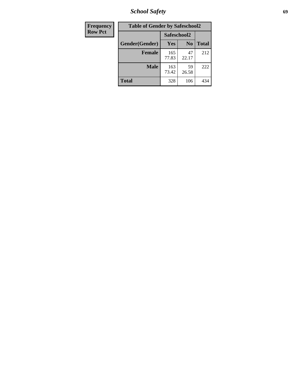*School Safety* **69**

| Frequency      | <b>Table of Gender by Safeschool2</b> |              |                |              |
|----------------|---------------------------------------|--------------|----------------|--------------|
| <b>Row Pct</b> | Safeschool2                           |              |                |              |
|                | Gender(Gender)                        | <b>Yes</b>   | N <sub>0</sub> | <b>Total</b> |
|                | <b>Female</b>                         | 165<br>77.83 | 47<br>22.17    | 212          |
|                | <b>Male</b>                           | 163<br>73.42 | 59<br>26.58    | 222          |
|                | <b>Total</b>                          | 328          | 106            | 434          |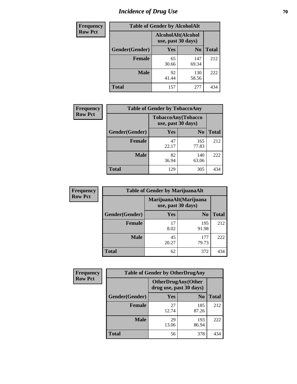# *Incidence of Drug Use* **70**

| <b>Frequency</b> | <b>Table of Gender by AlcoholAlt</b> |                                          |                |              |
|------------------|--------------------------------------|------------------------------------------|----------------|--------------|
| <b>Row Pct</b>   |                                      | AlcoholAlt(Alcohol<br>use, past 30 days) |                |              |
|                  | Gender(Gender)                       | <b>Yes</b>                               | N <sub>0</sub> | <b>Total</b> |
|                  | <b>Female</b>                        | 65<br>30.66                              | 147<br>69.34   | 212          |
|                  | <b>Male</b>                          | 92<br>41.44                              | 130<br>58.56   | 222          |
|                  | <b>Total</b>                         | 157                                      | 277            | 434          |

| Frequency      | <b>Table of Gender by TobaccoAny</b> |                                          |                |              |
|----------------|--------------------------------------|------------------------------------------|----------------|--------------|
| <b>Row Pct</b> |                                      | TobaccoAny(Tobacco<br>use, past 30 days) |                |              |
|                | Gender(Gender)                       | Yes                                      | N <sub>0</sub> | <b>Total</b> |
|                | <b>Female</b>                        | 47<br>22.17                              | 165<br>77.83   | 212          |
|                | <b>Male</b>                          | 82<br>36.94                              | 140<br>63.06   | 222          |
|                | <b>Total</b>                         | 129                                      | 305            | 434          |

| <b>Frequency</b> |                | <b>Table of Gender by MarijuanaAlt</b> |                        |              |  |
|------------------|----------------|----------------------------------------|------------------------|--------------|--|
| <b>Row Pct</b>   |                | use, past 30 days)                     | MarijuanaAlt(Marijuana |              |  |
|                  | Gender(Gender) | <b>Yes</b>                             | N <sub>0</sub>         | <b>Total</b> |  |
|                  | Female         | 17<br>8.02                             | 195<br>91.98           | 212          |  |
|                  | <b>Male</b>    | 45<br>20.27                            | 177<br>79.73           | 222          |  |
|                  | <b>Total</b>   | 62                                     | 372                    | 434          |  |

| <b>Frequency</b> | <b>Table of Gender by OtherDrugAny</b> |                                               |                |              |  |
|------------------|----------------------------------------|-----------------------------------------------|----------------|--------------|--|
| <b>Row Pct</b>   |                                        | OtherDrugAny(Other<br>drug use, past 30 days) |                |              |  |
|                  | Gender(Gender)                         | <b>Yes</b>                                    | N <sub>0</sub> | <b>Total</b> |  |
|                  | <b>Female</b>                          | 27<br>12.74                                   | 185<br>87.26   | 212          |  |
|                  | <b>Male</b>                            | 29<br>13.06                                   | 193<br>86.94   | 222          |  |
|                  | <b>Total</b>                           | 56                                            | 378            | 434          |  |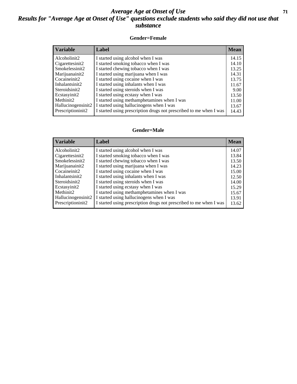## *Average Age at Onset of Use* **71** *Results for "Average Age at Onset of Use" questions exclude students who said they did not use that substance*

### **Gender=Female**

| <b>Variable</b>    | <b>Label</b>                                                       | <b>Mean</b> |
|--------------------|--------------------------------------------------------------------|-------------|
| Alcoholinit2       | I started using alcohol when I was                                 | 14.15       |
| Cigarettesinit2    | I started smoking tobacco when I was                               | 14.10       |
| Smokelessinit2     | I started chewing tobacco when I was                               | 13.25       |
| Marijuanainit2     | I started using marijuana when I was                               | 14.31       |
| Cocaineinit2       | I started using cocaine when I was                                 | 13.75       |
| Inhalantsinit2     | I started using inhalants when I was                               | 11.67       |
| Steroidsinit2      | I started using steroids when I was                                | 9.00        |
| Ecstasyinit2       | I started using ecstasy when I was                                 | 13.50       |
| Methinit2          | I started using methamphetamines when I was                        | 11.00       |
| Hallucinogensinit2 | I started using hallucinogens when I was                           | 13.67       |
| Prescription in t2 | I started using prescription drugs not prescribed to me when I was | 14.43       |

### **Gender=Male**

| <b>Variable</b>    | Label                                                              | <b>Mean</b> |
|--------------------|--------------------------------------------------------------------|-------------|
| Alcoholinit2       | I started using alcohol when I was                                 | 14.07       |
| Cigarettesinit2    | I started smoking tobacco when I was                               | 13.84       |
| Smokelessinit2     | I started chewing tobacco when I was                               | 13.50       |
| Marijuanainit2     | I started using marijuana when I was                               | 14.23       |
| Cocaineinit2       | I started using cocaine when I was                                 | 15.00       |
| Inhalantsinit2     | I started using inhalants when I was                               | 12.50       |
| Steroidsinit2      | I started using steroids when I was                                | 14.00       |
| Ecstasyinit2       | I started using ecstasy when I was                                 | 15.29       |
| Methinit2          | I started using methamphetamines when I was                        | 15.67       |
| Hallucinogensinit2 | I started using hallucinogens when I was                           | 13.91       |
| Prescriptioninit2  | I started using prescription drugs not prescribed to me when I was | 13.62       |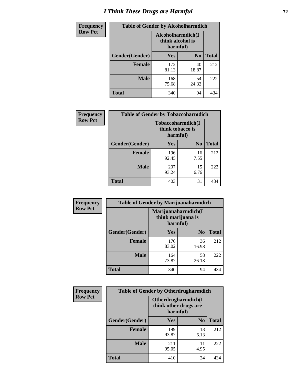# *I Think These Drugs are Harmful* **72**

| <b>Frequency</b> | <b>Table of Gender by Alcoholharmdich</b> |                                                   |                |              |
|------------------|-------------------------------------------|---------------------------------------------------|----------------|--------------|
| <b>Row Pct</b>   |                                           | Alcoholharmdich(I<br>think alcohol is<br>harmful) |                |              |
|                  | Gender(Gender)                            | <b>Yes</b>                                        | N <sub>0</sub> | <b>Total</b> |
|                  | <b>Female</b>                             | 172<br>81.13                                      | 40<br>18.87    | 212          |
|                  | <b>Male</b>                               | 168<br>75.68                                      | 54<br>24.32    | 222          |
|                  | Total                                     | 340                                               | 94             | 434          |

 $\overline{\phantom{a}}$ 

| Frequency      | <b>Table of Gender by Tobaccoharmdich</b> |                  |                               |              |
|----------------|-------------------------------------------|------------------|-------------------------------|--------------|
| <b>Row Pct</b> |                                           | think tobacco is | Tobaccoharmdich(I<br>harmful) |              |
|                | Gender(Gender)                            | <b>Yes</b>       | N <sub>0</sub>                | <b>Total</b> |
|                | <b>Female</b>                             | 196<br>92.45     | 16<br>7.55                    | 212          |
|                | <b>Male</b>                               | 207<br>93.24     | 15<br>6.76                    | 222          |
|                | <b>Total</b>                              | 403              | 31                            | 434          |

| Frequency      | <b>Table of Gender by Marijuanaharmdich</b> |                                                       |                |              |  |
|----------------|---------------------------------------------|-------------------------------------------------------|----------------|--------------|--|
| <b>Row Pct</b> |                                             | Marijuanaharmdich(I<br>think marijuana is<br>harmful) |                |              |  |
|                | Gender(Gender)                              | <b>Yes</b>                                            | N <sub>0</sub> | <b>Total</b> |  |
|                | <b>Female</b>                               | 176<br>83.02                                          | 36<br>16.98    | 212          |  |
|                | <b>Male</b>                                 | 164<br>73.87                                          | 58<br>26.13    | 222          |  |
|                | <b>Total</b>                                | 340                                                   | 94             | 434          |  |

| Frequency      | <b>Table of Gender by Otherdrugharmdich</b> |                                                          |                |              |
|----------------|---------------------------------------------|----------------------------------------------------------|----------------|--------------|
| <b>Row Pct</b> |                                             | Otherdrugharmdich(I<br>think other drugs are<br>harmful) |                |              |
|                | Gender(Gender)                              | <b>Yes</b>                                               | N <sub>0</sub> | <b>Total</b> |
|                | <b>Female</b>                               | 199<br>93.87                                             | 13<br>6.13     | 212          |
|                | <b>Male</b>                                 | 211<br>95.05                                             | 11<br>4.95     | 222          |
|                | <b>Total</b>                                | 410                                                      | 24             | 434          |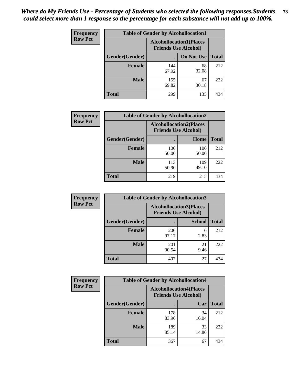| <b>Frequency</b> | <b>Table of Gender by Alcohollocation1</b> |                                                               |             |              |
|------------------|--------------------------------------------|---------------------------------------------------------------|-------------|--------------|
| <b>Row Pct</b>   |                                            | <b>Alcohollocation1(Places</b><br><b>Friends Use Alcohol)</b> |             |              |
|                  | Gender(Gender)                             |                                                               | Do Not Use  | <b>Total</b> |
|                  | <b>Female</b>                              | 144<br>67.92                                                  | 68<br>32.08 | 212          |
|                  | <b>Male</b>                                | 155<br>69.82                                                  | 67<br>30.18 | 222          |
|                  | <b>Total</b>                               | 299                                                           | 135         | 434          |

| <b>Frequency</b> | <b>Table of Gender by Alcohollocation2</b> |                                                               |              |              |
|------------------|--------------------------------------------|---------------------------------------------------------------|--------------|--------------|
| <b>Row Pct</b>   |                                            | <b>Alcohollocation2(Places</b><br><b>Friends Use Alcohol)</b> |              |              |
|                  | Gender(Gender)                             |                                                               | Home         | <b>Total</b> |
|                  | <b>Female</b>                              | 106<br>50.00                                                  | 106<br>50.00 | 212          |
|                  | <b>Male</b>                                | 113<br>50.90                                                  | 109<br>49.10 | 222          |
|                  | <b>Total</b>                               | 219                                                           | 215          | 434          |

| Frequency      | <b>Table of Gender by Alcohollocation3</b> |                                                               |               |              |
|----------------|--------------------------------------------|---------------------------------------------------------------|---------------|--------------|
| <b>Row Pct</b> |                                            | <b>Alcohollocation3(Places</b><br><b>Friends Use Alcohol)</b> |               |              |
|                | Gender(Gender)                             |                                                               | <b>School</b> | <b>Total</b> |
|                | <b>Female</b>                              | 206<br>97.17                                                  | 6<br>2.83     | 212          |
|                | <b>Male</b>                                | 201<br>90.54                                                  | 21<br>9.46    | 222          |
|                | <b>Total</b>                               | 407                                                           | 27            | 434          |

| Frequency      | <b>Table of Gender by Alcohollocation4</b> |              |                                                               |              |  |
|----------------|--------------------------------------------|--------------|---------------------------------------------------------------|--------------|--|
| <b>Row Pct</b> |                                            |              | <b>Alcohollocation4(Places</b><br><b>Friends Use Alcohol)</b> |              |  |
|                | Gender(Gender)                             |              | Car                                                           | <b>Total</b> |  |
|                | <b>Female</b>                              | 178<br>83.96 | 34<br>16.04                                                   | 212          |  |
|                | <b>Male</b>                                | 189<br>85.14 | 33<br>14.86                                                   | 222          |  |
|                | <b>Total</b>                               | 367          | 67                                                            | 434          |  |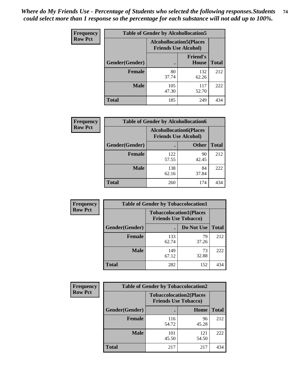| <b>Frequency</b> | <b>Table of Gender by Alcohollocation5</b> |                                                               |                                 |              |
|------------------|--------------------------------------------|---------------------------------------------------------------|---------------------------------|--------------|
| <b>Row Pct</b>   |                                            | <b>Alcohollocation5(Places</b><br><b>Friends Use Alcohol)</b> |                                 |              |
|                  | Gender(Gender)                             |                                                               | <b>Friend's</b><br><b>House</b> | <b>Total</b> |
|                  | <b>Female</b>                              | 80<br>37.74                                                   | 132<br>62.26                    | 212          |
|                  | <b>Male</b>                                | 105<br>47.30                                                  | 117<br>52.70                    | 222          |
|                  | <b>Total</b>                               | 185                                                           | 249                             | 434          |

| <b>Frequency</b> | <b>Table of Gender by Alcohollocation6</b> |                                                               |              |              |
|------------------|--------------------------------------------|---------------------------------------------------------------|--------------|--------------|
| <b>Row Pct</b>   |                                            | <b>Alcohollocation6(Places</b><br><b>Friends Use Alcohol)</b> |              |              |
|                  | <b>Gender</b> (Gender)                     |                                                               | <b>Other</b> | <b>Total</b> |
|                  | <b>Female</b>                              | 122<br>57.55                                                  | 90<br>42.45  | 212          |
|                  | <b>Male</b>                                | 138<br>62.16                                                  | 84<br>37.84  | 222          |
|                  | <b>Total</b>                               | 260                                                           | 174          | 434          |

| Frequency      | <b>Table of Gender by Tobaccolocation1</b> |                                                               |             |              |  |
|----------------|--------------------------------------------|---------------------------------------------------------------|-------------|--------------|--|
| <b>Row Pct</b> |                                            | <b>Tobaccolocation1(Places</b><br><b>Friends Use Tobacco)</b> |             |              |  |
|                | Gender(Gender)                             |                                                               | Do Not Use  | <b>Total</b> |  |
|                | Female                                     | 133<br>62.74                                                  | 79<br>37.26 | 212          |  |
|                | <b>Male</b>                                | 149<br>67.12                                                  | 73<br>32.88 | 222          |  |
|                | <b>Total</b>                               | 282                                                           | 152         | 434          |  |

| <b>Frequency</b> | <b>Table of Gender by Tobaccolocation2</b> |                                                               |              |              |
|------------------|--------------------------------------------|---------------------------------------------------------------|--------------|--------------|
| <b>Row Pct</b>   |                                            | <b>Tobaccolocation2(Places</b><br><b>Friends Use Tobacco)</b> |              |              |
|                  | Gender(Gender)                             |                                                               | Home         | <b>Total</b> |
|                  | Female                                     | 116<br>54.72                                                  | 96<br>45.28  | 212          |
|                  | <b>Male</b>                                | 101<br>45.50                                                  | 121<br>54.50 | 222          |
|                  | <b>Total</b>                               | 217                                                           | 217          | 434          |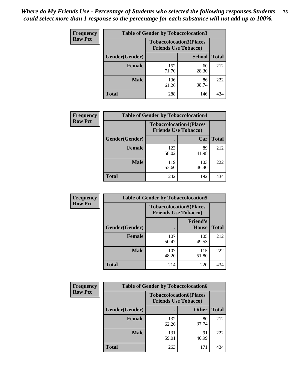| <b>Frequency</b> | <b>Table of Gender by Tobaccolocation3</b> |                                                               |               |              |
|------------------|--------------------------------------------|---------------------------------------------------------------|---------------|--------------|
| <b>Row Pct</b>   |                                            | <b>Tobaccolocation3(Places</b><br><b>Friends Use Tobacco)</b> |               |              |
|                  | Gender(Gender)                             |                                                               | <b>School</b> | <b>Total</b> |
|                  | <b>Female</b>                              | 152<br>71.70                                                  | 60<br>28.30   | 212          |
|                  | <b>Male</b>                                | 136<br>61.26                                                  | 86<br>38.74   | 222          |
|                  | <b>Total</b>                               | 288                                                           | 146           | 434          |

| <b>Frequency</b> | <b>Table of Gender by Tobaccolocation4</b> |                                                               |              |              |
|------------------|--------------------------------------------|---------------------------------------------------------------|--------------|--------------|
| <b>Row Pct</b>   |                                            | <b>Tobaccolocation4(Places</b><br><b>Friends Use Tobacco)</b> |              |              |
|                  | Gender(Gender)                             |                                                               | Car          | <b>Total</b> |
|                  | <b>Female</b>                              | 123<br>58.02                                                  | 89<br>41.98  | 212          |
|                  | <b>Male</b>                                | 119<br>53.60                                                  | 103<br>46.40 | 222          |
|                  | <b>Total</b>                               | 242                                                           | 192          | 434          |

| <b>Frequency</b> | <b>Table of Gender by Tobaccolocation5</b> |                                                               |                                 |              |
|------------------|--------------------------------------------|---------------------------------------------------------------|---------------------------------|--------------|
| <b>Row Pct</b>   |                                            | <b>Tobaccolocation5(Places</b><br><b>Friends Use Tobacco)</b> |                                 |              |
|                  | Gender(Gender)                             |                                                               | <b>Friend's</b><br><b>House</b> | <b>Total</b> |
|                  | <b>Female</b>                              | 107<br>50.47                                                  | 105<br>49.53                    | 212          |
|                  | <b>Male</b>                                | 107<br>48.20                                                  | 115<br>51.80                    | 222          |
|                  | <b>Total</b>                               | 214                                                           | 220                             | 434          |

| <b>Frequency</b> |                | <b>Table of Gender by Tobaccolocation6</b>                    |              |              |
|------------------|----------------|---------------------------------------------------------------|--------------|--------------|
| <b>Row Pct</b>   |                | <b>Tobaccolocation6(Places</b><br><b>Friends Use Tobacco)</b> |              |              |
|                  | Gender(Gender) |                                                               | <b>Other</b> | <b>Total</b> |
|                  | Female         | 132<br>62.26                                                  | 80<br>37.74  | 212          |
|                  | <b>Male</b>    | 131<br>59.01                                                  | 91<br>40.99  | 222          |
|                  | <b>Total</b>   | 263                                                           | 171          | 434          |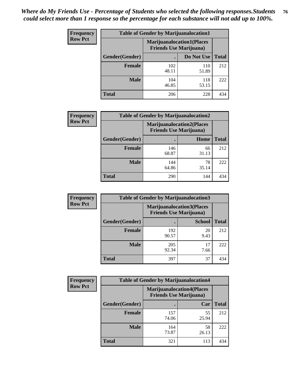| <b>Frequency</b> | <b>Table of Gender by Marijuanalocation1</b> |                                                                    |              |              |
|------------------|----------------------------------------------|--------------------------------------------------------------------|--------------|--------------|
| <b>Row Pct</b>   |                                              | <b>Marijuanalocation1(Places</b><br><b>Friends Use Marijuana</b> ) |              |              |
|                  | Gender(Gender)                               |                                                                    | Do Not Use   | <b>Total</b> |
|                  | <b>Female</b>                                | 102<br>48.11                                                       | 110<br>51.89 | 212          |
|                  | <b>Male</b>                                  | 104<br>46.85                                                       | 118<br>53.15 | 222          |
|                  | <b>Total</b>                                 | 206                                                                | 228          | 434          |

| <b>Frequency</b> | <b>Table of Gender by Marijuanalocation2</b> |                                                                    |             |              |  |
|------------------|----------------------------------------------|--------------------------------------------------------------------|-------------|--------------|--|
| <b>Row Pct</b>   |                                              | <b>Marijuanalocation2(Places</b><br><b>Friends Use Marijuana</b> ) |             |              |  |
|                  | Gender(Gender)                               |                                                                    | Home        | <b>Total</b> |  |
|                  | <b>Female</b>                                | 146<br>68.87                                                       | 66<br>31.13 | 212          |  |
|                  | <b>Male</b>                                  | 144<br>64.86                                                       | 78<br>35.14 | 222          |  |
|                  | Total                                        | 290                                                                | 144         | 434          |  |

| <b>Frequency</b> | <b>Table of Gender by Marijuanalocation3</b> |                                                                    |               |              |
|------------------|----------------------------------------------|--------------------------------------------------------------------|---------------|--------------|
| <b>Row Pct</b>   |                                              | <b>Marijuanalocation3(Places</b><br><b>Friends Use Marijuana</b> ) |               |              |
|                  | <b>Gender</b> (Gender)                       |                                                                    | <b>School</b> | <b>Total</b> |
|                  | <b>Female</b>                                | 192<br>90.57                                                       | 20<br>9.43    | 212          |
|                  | <b>Male</b>                                  | 205<br>92.34                                                       | 17<br>7.66    | 222          |
|                  | <b>Total</b>                                 | 397                                                                | 37            | 434          |

| <b>Frequency</b> |                | <b>Table of Gender by Marijuanalocation4</b>                       |             |              |
|------------------|----------------|--------------------------------------------------------------------|-------------|--------------|
| <b>Row Pct</b>   |                | <b>Marijuanalocation4(Places</b><br><b>Friends Use Marijuana</b> ) |             |              |
|                  | Gender(Gender) |                                                                    | Car         | <b>Total</b> |
|                  | Female         | 157<br>74.06                                                       | 55<br>25.94 | 212          |
|                  | <b>Male</b>    | 164<br>73.87                                                       | 58<br>26.13 | 222          |
|                  | <b>Total</b>   | 321                                                                | 113         | 434          |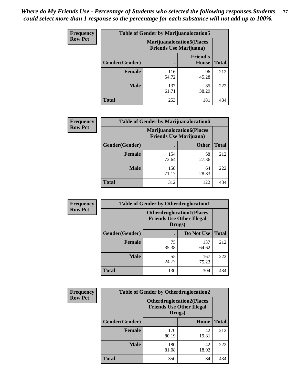| <b>Frequency</b> | <b>Table of Gender by Marijuanalocation5</b> |                                                                     |                          |              |
|------------------|----------------------------------------------|---------------------------------------------------------------------|--------------------------|--------------|
| <b>Row Pct</b>   |                                              | <b>Marijuanalocation5</b> (Places<br><b>Friends Use Marijuana</b> ) |                          |              |
|                  | Gender(Gender)                               |                                                                     | <b>Friend's</b><br>House | <b>Total</b> |
|                  | <b>Female</b>                                | 116<br>54.72                                                        | 96<br>45.28              | 212          |
|                  | <b>Male</b>                                  | 137<br>61.71                                                        | 85<br>38.29              | 222          |
|                  | <b>Total</b>                                 | 253                                                                 | 181                      | 434          |

| <b>Frequency</b> | <b>Table of Gender by Marijuanalocation6</b> |                                |                                  |              |
|------------------|----------------------------------------------|--------------------------------|----------------------------------|--------------|
| <b>Row Pct</b>   |                                              | <b>Friends Use Marijuana</b> ) | <b>Marijuanalocation6(Places</b> |              |
|                  | Gender(Gender)                               |                                | <b>Other</b>                     | <b>Total</b> |
|                  | <b>Female</b>                                | 154<br>72.64                   | 58<br>27.36                      | 212          |
|                  | <b>Male</b>                                  | 158<br>71.17                   | 64<br>28.83                      | 222          |
|                  | <b>Total</b>                                 | 312                            | 122                              | 434          |

| <b>Frequency</b> | <b>Table of Gender by Otherdruglocation1</b> |                                                                                |              |              |
|------------------|----------------------------------------------|--------------------------------------------------------------------------------|--------------|--------------|
| <b>Row Pct</b>   |                                              | <b>Otherdruglocation1(Places</b><br><b>Friends Use Other Illegal</b><br>Drugs) |              |              |
|                  | Gender(Gender)                               |                                                                                | Do Not Use   | <b>Total</b> |
|                  | <b>Female</b>                                | 75<br>35.38                                                                    | 137<br>64.62 | 212          |
|                  | <b>Male</b>                                  | 55<br>24.77                                                                    | 167<br>75.23 | 222          |
|                  | <b>Total</b>                                 | 130                                                                            | 304          | 434          |

| <b>Frequency</b> | <b>Table of Gender by Otherdruglocation2</b> |                                                                                |             |              |
|------------------|----------------------------------------------|--------------------------------------------------------------------------------|-------------|--------------|
| <b>Row Pct</b>   |                                              | <b>Otherdruglocation2(Places</b><br><b>Friends Use Other Illegal</b><br>Drugs) |             |              |
|                  | Gender(Gender)                               |                                                                                | Home        | <b>Total</b> |
|                  | Female                                       | 170<br>80.19                                                                   | 42<br>19.81 | 212          |
|                  | <b>Male</b>                                  | 180<br>81.08                                                                   | 42<br>18.92 | 222          |
|                  | <b>Total</b>                                 | 350                                                                            | 84          | 434          |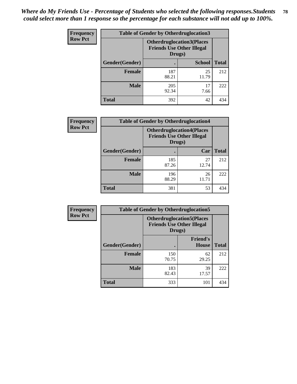| <b>Frequency</b> | <b>Table of Gender by Otherdruglocation3</b> |                                                                                |               |              |
|------------------|----------------------------------------------|--------------------------------------------------------------------------------|---------------|--------------|
| <b>Row Pct</b>   |                                              | <b>Otherdruglocation3(Places</b><br><b>Friends Use Other Illegal</b><br>Drugs) |               |              |
|                  | Gender(Gender)                               |                                                                                | <b>School</b> | <b>Total</b> |
|                  | <b>Female</b>                                | 187<br>88.21                                                                   | 25<br>11.79   | 212          |
|                  | <b>Male</b>                                  | 205<br>92.34                                                                   | 17<br>7.66    | 222          |
|                  | <b>Total</b>                                 | 392                                                                            | 42            | 434          |

| <b>Frequency</b> | <b>Table of Gender by Otherdruglocation4</b> |                                                                                |             |              |
|------------------|----------------------------------------------|--------------------------------------------------------------------------------|-------------|--------------|
| <b>Row Pct</b>   |                                              | <b>Otherdruglocation4(Places</b><br><b>Friends Use Other Illegal</b><br>Drugs) |             |              |
|                  | Gender(Gender)                               |                                                                                | Car         | <b>Total</b> |
|                  | <b>Female</b>                                | 185<br>87.26                                                                   | 27<br>12.74 | 212          |
|                  | <b>Male</b>                                  | 196<br>88.29                                                                   | 26<br>11.71 | 222          |
|                  | <b>Total</b>                                 | 381                                                                            | 53          | 434          |

| Frequency      | <b>Table of Gender by Otherdruglocation5</b>                                   |              |                                 |              |
|----------------|--------------------------------------------------------------------------------|--------------|---------------------------------|--------------|
| <b>Row Pct</b> | <b>Otherdruglocation5(Places</b><br><b>Friends Use Other Illegal</b><br>Drugs) |              |                                 |              |
|                | Gender(Gender)                                                                 |              | <b>Friend's</b><br><b>House</b> | <b>Total</b> |
|                | <b>Female</b>                                                                  | 150<br>70.75 | 62<br>29.25                     | 212          |
|                | <b>Male</b>                                                                    | 183<br>82.43 | 39<br>17.57                     | 222          |
|                | <b>Total</b>                                                                   | 333          | 101                             | 434          |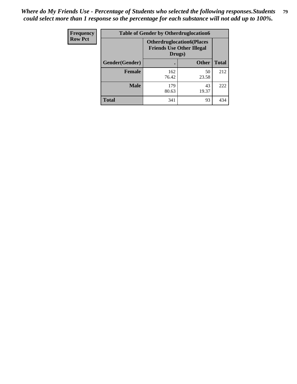| <b>Frequency</b> | <b>Table of Gender by Otherdruglocation6</b> |                                                                                |              |              |
|------------------|----------------------------------------------|--------------------------------------------------------------------------------|--------------|--------------|
| <b>Row Pct</b>   |                                              | <b>Otherdruglocation6(Places</b><br><b>Friends Use Other Illegal</b><br>Drugs) |              |              |
|                  | Gender(Gender)                               |                                                                                | <b>Other</b> | <b>Total</b> |
|                  | <b>Female</b>                                | 162<br>76.42                                                                   | 50<br>23.58  | 212          |
|                  | <b>Male</b>                                  | 179<br>80.63                                                                   | 43<br>19.37  | 222          |
|                  | <b>Total</b>                                 | 341                                                                            | 93           | 434          |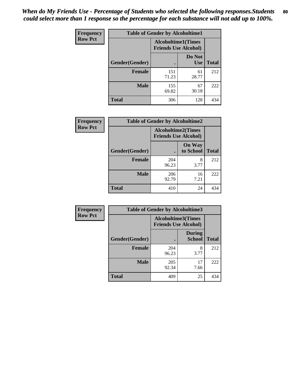| <b>Frequency</b> | <b>Table of Gender by Alcoholtime1</b> |                                                          |                      |              |
|------------------|----------------------------------------|----------------------------------------------------------|----------------------|--------------|
| <b>Row Pct</b>   |                                        | <b>Alcoholtime1(Times</b><br><b>Friends Use Alcohol)</b> |                      |              |
|                  | Gender(Gender)                         | $\bullet$                                                | Do Not<br><b>Use</b> | <b>Total</b> |
|                  | <b>Female</b>                          | 151<br>71.23                                             | 61<br>28.77          | 212          |
|                  | <b>Male</b>                            | 155<br>69.82                                             | 67<br>30.18          | 222          |
|                  | <b>Total</b>                           | 306                                                      | 128                  | 434          |

| Frequency      | <b>Table of Gender by Alcoholtime2</b> |                                                          |                            |              |
|----------------|----------------------------------------|----------------------------------------------------------|----------------------------|--------------|
| <b>Row Pct</b> |                                        | <b>Alcoholtime2(Times</b><br><b>Friends Use Alcohol)</b> |                            |              |
|                | Gender(Gender)                         |                                                          | <b>On Way</b><br>to School | <b>Total</b> |
|                | <b>Female</b>                          | 204<br>96.23                                             | 8<br>3.77                  | 212          |
|                | <b>Male</b>                            | 206<br>92.79                                             | 16<br>7.21                 | 222          |
|                | <b>Total</b>                           | 410                                                      | 24                         | 434          |

| Frequency      | <b>Table of Gender by Alcoholtime3</b> |                                                          |                                |              |
|----------------|----------------------------------------|----------------------------------------------------------|--------------------------------|--------------|
| <b>Row Pct</b> |                                        | <b>Alcoholtime3(Times</b><br><b>Friends Use Alcohol)</b> |                                |              |
|                | Gender(Gender)                         |                                                          | <b>During</b><br><b>School</b> | <b>Total</b> |
|                | Female                                 | 204<br>96.23                                             | 8<br>3.77                      | 212          |
|                | <b>Male</b>                            | 205<br>92.34                                             | 17<br>7.66                     | 222          |
|                | <b>Total</b>                           | 409                                                      | 25                             | 434          |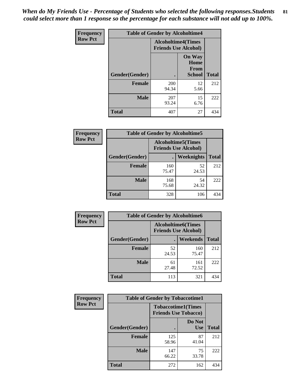*When do My Friends Use - Percentage of Students who selected the following responses.Students could select more than 1 response so the percentage for each substance will not add up to 100%.* **81**

| <b>Frequency</b> | <b>Table of Gender by Alcoholtime4</b> |                                                          |                                                |              |
|------------------|----------------------------------------|----------------------------------------------------------|------------------------------------------------|--------------|
| <b>Row Pct</b>   |                                        | <b>Alcoholtime4(Times</b><br><b>Friends Use Alcohol)</b> |                                                |              |
|                  | Gender(Gender)                         |                                                          | <b>On Way</b><br>Home<br>From<br><b>School</b> | <b>Total</b> |
|                  | <b>Female</b>                          | 200<br>94.34                                             | 12<br>5.66                                     | 212          |
|                  | <b>Male</b>                            | 207<br>93.24                                             | 15<br>6.76                                     | 222          |
|                  | <b>Total</b>                           | 407                                                      | 27                                             | 434          |

| <b>Frequency</b> | <b>Table of Gender by Alcoholtime5</b> |                                                           |             |              |
|------------------|----------------------------------------|-----------------------------------------------------------|-------------|--------------|
| <b>Row Pct</b>   |                                        | <b>Alcoholtime5</b> (Times<br><b>Friends Use Alcohol)</b> |             |              |
|                  | Gender(Gender)                         |                                                           | Weeknights  | <b>Total</b> |
|                  | <b>Female</b>                          | 160<br>75.47                                              | 52<br>24.53 | 212          |
|                  | <b>Male</b>                            | 168<br>75.68                                              | 54<br>24.32 | 222          |
|                  | <b>Total</b>                           | 328                                                       | 106         | 434          |

| <b>Frequency</b> | <b>Table of Gender by Alcoholtime6</b> |             |                                                          |              |
|------------------|----------------------------------------|-------------|----------------------------------------------------------|--------------|
| <b>Row Pct</b>   |                                        |             | <b>Alcoholtime6(Times</b><br><b>Friends Use Alcohol)</b> |              |
|                  | Gender(Gender)                         |             | <b>Weekends</b>                                          | <b>Total</b> |
|                  | Female                                 | 52<br>24.53 | 160<br>75.47                                             | 212          |
|                  | <b>Male</b>                            | 61<br>27.48 | 161<br>72.52                                             | 222          |
|                  | <b>Total</b>                           | 113         | 321                                                      | 434          |

| Frequency      | <b>Table of Gender by Tobaccotime1</b> |                                                          |                      |              |
|----------------|----------------------------------------|----------------------------------------------------------|----------------------|--------------|
| <b>Row Pct</b> |                                        | <b>Tobaccotime1(Times</b><br><b>Friends Use Tobacco)</b> |                      |              |
|                | Gender(Gender)                         |                                                          | Do Not<br><b>Use</b> | <b>Total</b> |
|                | <b>Female</b>                          | 125<br>58.96                                             | 87<br>41.04          | 212          |
|                | <b>Male</b>                            | 147<br>66.22                                             | 75<br>33.78          | 222          |
|                | <b>Total</b>                           | 272                                                      | 162                  | 434          |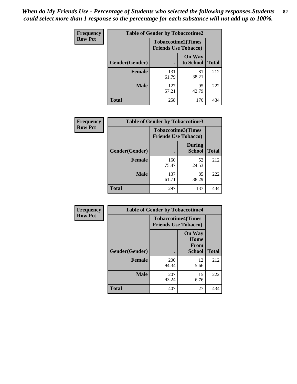*When do My Friends Use - Percentage of Students who selected the following responses.Students could select more than 1 response so the percentage for each substance will not add up to 100%.* **82**

| <b>Frequency</b> | <b>Table of Gender by Tobaccotime2</b> |                                                          |                            |              |
|------------------|----------------------------------------|----------------------------------------------------------|----------------------------|--------------|
| <b>Row Pct</b>   |                                        | <b>Tobaccotime2(Times</b><br><b>Friends Use Tobacco)</b> |                            |              |
|                  | Gender(Gender)                         | $\bullet$                                                | <b>On Way</b><br>to School | <b>Total</b> |
|                  | Female                                 | 131<br>61.79                                             | 81<br>38.21                | 212          |
|                  | <b>Male</b>                            | 127<br>57.21                                             | 95<br>42.79                | 222          |
|                  | <b>Total</b>                           | 258                                                      | 176                        | 434          |

| Frequency      | <b>Table of Gender by Tobaccotime3</b> |                             |                                |              |
|----------------|----------------------------------------|-----------------------------|--------------------------------|--------------|
| <b>Row Pct</b> |                                        | <b>Friends Use Tobacco)</b> | <b>Tobaccotime3(Times</b>      |              |
|                | Gender(Gender)                         |                             | <b>During</b><br><b>School</b> | <b>Total</b> |
|                | <b>Female</b>                          | 160<br>75.47                | 52<br>24.53                    | 212          |
|                | <b>Male</b>                            | 137<br>61.71                | 85<br>38.29                    | 222          |
|                | <b>Total</b>                           | 297                         | 137                            | 434          |

| <b>Frequency</b> | <b>Table of Gender by Tobaccotime4</b> |                                                          |                                                |              |
|------------------|----------------------------------------|----------------------------------------------------------|------------------------------------------------|--------------|
| <b>Row Pct</b>   |                                        | <b>Tobaccotime4(Times</b><br><b>Friends Use Tobacco)</b> |                                                |              |
|                  | Gender(Gender)                         |                                                          | <b>On Way</b><br>Home<br>From<br><b>School</b> | <b>Total</b> |
|                  | <b>Female</b>                          | 200<br>94.34                                             | 12<br>5.66                                     | 212          |
|                  | <b>Male</b>                            | 207<br>93.24                                             | 15<br>6.76                                     | 222          |
|                  | <b>Total</b>                           | 407                                                      | 27                                             | 434          |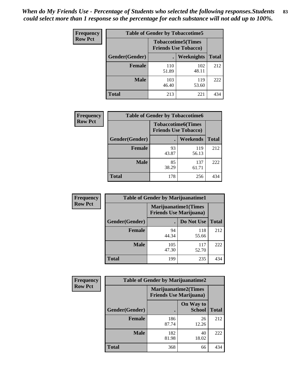| <b>Frequency</b> | <b>Table of Gender by Tobaccotime5</b> |              |                                                          |              |  |
|------------------|----------------------------------------|--------------|----------------------------------------------------------|--------------|--|
| <b>Row Pct</b>   |                                        |              | <b>Tobaccotime5(Times</b><br><b>Friends Use Tobacco)</b> |              |  |
|                  | Gender(Gender)                         |              | Weeknights                                               | <b>Total</b> |  |
|                  | Female                                 | 110<br>51.89 | 102<br>48.11                                             | 212          |  |
|                  | <b>Male</b>                            | 103<br>46.40 | 119<br>53.60                                             | 222          |  |
|                  | <b>Total</b>                           | 213          | 221                                                      | 434          |  |

| Frequency      | <b>Table of Gender by Tobaccotime6</b> |                                                          |              |              |
|----------------|----------------------------------------|----------------------------------------------------------|--------------|--------------|
| <b>Row Pct</b> |                                        | <b>Tobaccotime6(Times</b><br><b>Friends Use Tobacco)</b> |              |              |
|                | Gender(Gender)                         |                                                          | Weekends     | <b>Total</b> |
|                | Female                                 | 93<br>43.87                                              | 119<br>56.13 | 212          |
|                | <b>Male</b>                            | 85<br>38.29                                              | 137<br>61.71 | 222          |
|                | <b>Total</b>                           | 178                                                      | 256          | 434          |

| <b>Frequency</b> | <b>Table of Gender by Marijuanatime1</b> |                                                               |              |              |
|------------------|------------------------------------------|---------------------------------------------------------------|--------------|--------------|
| <b>Row Pct</b>   |                                          | <b>Marijuanatime1(Times</b><br><b>Friends Use Marijuana</b> ) |              |              |
|                  | Gender(Gender)                           |                                                               | Do Not Use   | <b>Total</b> |
|                  | <b>Female</b>                            | 94<br>44.34                                                   | 118<br>55.66 | 212          |
|                  | <b>Male</b>                              | 105<br>47.30                                                  | 117<br>52.70 | 222          |
|                  | <b>Total</b>                             | 199                                                           | 235          | 434          |

| <b>Frequency</b> | <b>Table of Gender by Marijuanatime2</b> |                                                               |                            |              |
|------------------|------------------------------------------|---------------------------------------------------------------|----------------------------|--------------|
| <b>Row Pct</b>   |                                          | <b>Marijuanatime2(Times</b><br><b>Friends Use Marijuana</b> ) |                            |              |
|                  | Gender(Gender)                           |                                                               | On Way to<br><b>School</b> | <b>Total</b> |
|                  | Female                                   | 186<br>87.74                                                  | 26<br>12.26                | 212          |
|                  | <b>Male</b>                              | 182<br>81.98                                                  | 40<br>18.02                | 222          |
|                  | <b>Total</b>                             | 368                                                           | 66                         | 434          |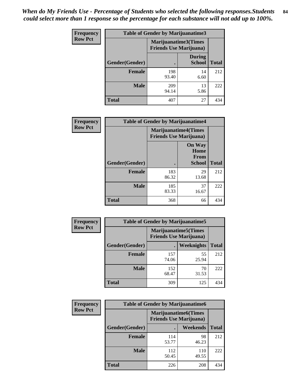| <b>Frequency</b> | Table of Gender by Marijuanatime3 |                                                        |                                |              |
|------------------|-----------------------------------|--------------------------------------------------------|--------------------------------|--------------|
| <b>Row Pct</b>   |                                   | Marijuanatime3(Times<br><b>Friends Use Marijuana</b> ) |                                |              |
|                  | Gender(Gender)                    |                                                        | <b>During</b><br><b>School</b> | <b>Total</b> |
|                  | <b>Female</b>                     | 198<br>93.40                                           | 14<br>6.60                     | 212          |
|                  | <b>Male</b>                       | 209<br>94.14                                           | 13<br>5.86                     | 222          |
|                  | <b>Total</b>                      | 407                                                    | 27                             | 434          |

| Frequency      | <b>Table of Gender by Marijuanatime4</b> |                                                                |                                                       |              |
|----------------|------------------------------------------|----------------------------------------------------------------|-------------------------------------------------------|--------------|
| <b>Row Pct</b> |                                          | <b>Marijuanatime4</b> (Times<br><b>Friends Use Marijuana</b> ) |                                                       |              |
|                | Gender(Gender)                           |                                                                | <b>On Way</b><br>Home<br><b>From</b><br><b>School</b> | <b>Total</b> |
|                | <b>Female</b>                            | 183<br>86.32                                                   | 29<br>13.68                                           | 212          |
|                | <b>Male</b>                              | 185<br>83.33                                                   | 37<br>16.67                                           | 222          |
|                | <b>Total</b>                             | 368                                                            | 66                                                    | 434          |

| Frequency      | <b>Table of Gender by Marijuanatime5</b> |              |                                                                |              |  |
|----------------|------------------------------------------|--------------|----------------------------------------------------------------|--------------|--|
| <b>Row Pct</b> |                                          |              | <b>Marijuanatime5</b> (Times<br><b>Friends Use Marijuana</b> ) |              |  |
|                | Gender(Gender)                           |              | <b>Weeknights</b>                                              | <b>Total</b> |  |
|                | <b>Female</b>                            | 157<br>74.06 | 55<br>25.94                                                    | 212          |  |
|                | <b>Male</b>                              | 152<br>68.47 | 70<br>31.53                                                    | 222          |  |
|                | <b>Total</b>                             | 309          | 125                                                            | 434          |  |

| Frequency      |                | <b>Table of Gender by Marijuanatime6</b>                      |                 |              |
|----------------|----------------|---------------------------------------------------------------|-----------------|--------------|
| <b>Row Pct</b> |                | <b>Marijuanatime6(Times</b><br><b>Friends Use Marijuana</b> ) |                 |              |
|                | Gender(Gender) |                                                               | <b>Weekends</b> | <b>Total</b> |
|                | <b>Female</b>  | 114<br>53.77                                                  | 98<br>46.23     | 212          |
|                | <b>Male</b>    | 112<br>50.45                                                  | 110<br>49.55    | 222          |
|                | <b>Total</b>   | 226                                                           | 208             | 434          |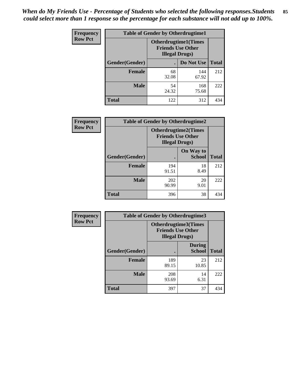*When do My Friends Use - Percentage of Students who selected the following responses.Students could select more than 1 response so the percentage for each substance will not add up to 100%.* **85**

| <b>Frequency</b> | <b>Table of Gender by Otherdrugtime1</b> |                                                                                    |              |              |
|------------------|------------------------------------------|------------------------------------------------------------------------------------|--------------|--------------|
| <b>Row Pct</b>   |                                          | <b>Otherdrugtime1</b> (Times<br><b>Friends Use Other</b><br><b>Illegal Drugs</b> ) |              |              |
|                  | Gender(Gender)                           |                                                                                    | Do Not Use   | <b>Total</b> |
|                  | <b>Female</b>                            | 68<br>32.08                                                                        | 144<br>67.92 | 212          |
|                  | <b>Male</b>                              | 54<br>24.32                                                                        | 168<br>75.68 | 222          |
|                  | <b>Total</b>                             | 122                                                                                | 312          | 434          |

| Frequency      | <b>Table of Gender by Otherdrugtime2</b> |                                                                                   |                            |              |
|----------------|------------------------------------------|-----------------------------------------------------------------------------------|----------------------------|--------------|
| <b>Row Pct</b> |                                          | <b>Otherdrugtime2(Times</b><br><b>Friends Use Other</b><br><b>Illegal Drugs</b> ) |                            |              |
|                | <b>Gender</b> (Gender)                   |                                                                                   | On Way to<br><b>School</b> | <b>Total</b> |
|                | <b>Female</b>                            | 194<br>91.51                                                                      | 18<br>8.49                 | 212          |
|                | <b>Male</b>                              | 202<br>90.99                                                                      | 20<br>9.01                 | 222          |
|                | <b>Total</b>                             | 396                                                                               | 38                         | 434          |

| Frequency      | <b>Table of Gender by Otherdrugtime3</b> |                        |                                                         |              |
|----------------|------------------------------------------|------------------------|---------------------------------------------------------|--------------|
| <b>Row Pct</b> |                                          | <b>Illegal Drugs</b> ) | <b>Otherdrugtime3(Times</b><br><b>Friends Use Other</b> |              |
|                | Gender(Gender)                           |                        | <b>During</b><br><b>School</b>                          | <b>Total</b> |
|                | <b>Female</b>                            | 189<br>89.15           | 23<br>10.85                                             | 212          |
|                | <b>Male</b>                              | 208<br>93.69           | 14<br>6.31                                              | 222          |
|                | <b>Total</b>                             | 397                    | 37                                                      | 434          |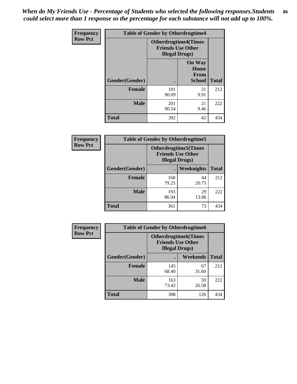*When do My Friends Use - Percentage of Students who selected the following responses.Students could select more than 1 response so the percentage for each substance will not add up to 100%.* **86**

| <b>Frequency</b> | <b>Table of Gender by Otherdrugtime4</b> |                        |                                                         |              |
|------------------|------------------------------------------|------------------------|---------------------------------------------------------|--------------|
| <b>Row Pct</b>   |                                          | <b>Illegal Drugs</b> ) | <b>Otherdrugtime4(Times</b><br><b>Friends Use Other</b> |              |
|                  | Gender(Gender)                           |                        | <b>On Way</b><br>Home<br><b>From</b><br><b>School</b>   | <b>Total</b> |
|                  | <b>Female</b>                            | 191<br>90.09           | 21<br>9.91                                              | 212          |
|                  | <b>Male</b>                              | 201<br>90.54           | 21<br>9.46                                              | 222          |
|                  | <b>Total</b>                             | 392                    | 42                                                      | 434          |

| Frequency      | <b>Table of Gender by Otherdrugtime5</b> |                                                                                    |             |              |
|----------------|------------------------------------------|------------------------------------------------------------------------------------|-------------|--------------|
| <b>Row Pct</b> |                                          | <b>Otherdrugtime5</b> (Times<br><b>Friends Use Other</b><br><b>Illegal Drugs</b> ) |             |              |
|                | Gender(Gender)                           |                                                                                    | Weeknights  | <b>Total</b> |
|                | <b>Female</b>                            | 168<br>79.25                                                                       | 44<br>20.75 | 212          |
|                | <b>Male</b>                              | 193<br>86.94                                                                       | 29<br>13.06 | 222          |
|                | <b>Total</b>                             | 361                                                                                | 73          | 434          |

| <b>Frequency</b> | <b>Table of Gender by Otherdrugtime6</b> |                                                                                   |             |              |
|------------------|------------------------------------------|-----------------------------------------------------------------------------------|-------------|--------------|
| <b>Row Pct</b>   |                                          | <b>Otherdrugtime6(Times</b><br><b>Friends Use Other</b><br><b>Illegal Drugs</b> ) |             |              |
|                  | Gender(Gender)                           |                                                                                   | Weekends    | <b>Total</b> |
|                  | <b>Female</b>                            | 145<br>68.40                                                                      | 67<br>31.60 | 212          |
|                  | <b>Male</b>                              | 163<br>73.42                                                                      | 59<br>26.58 | 222          |
|                  | <b>Total</b>                             | 308                                                                               | 126         | 434          |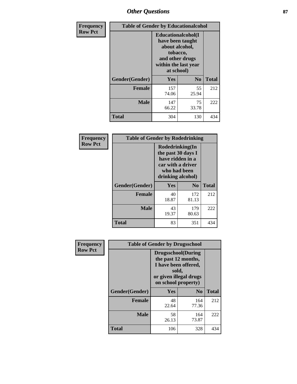# *Other Questions* **87**

| <b>Frequency</b> | <b>Table of Gender by Educationalcohol</b> |                                                                                                                                       |                |              |  |
|------------------|--------------------------------------------|---------------------------------------------------------------------------------------------------------------------------------------|----------------|--------------|--|
| <b>Row Pct</b>   |                                            | <b>Educationalcohol</b> (I<br>have been taught<br>about alcohol,<br>tobacco,<br>and other drugs<br>within the last year<br>at school) |                |              |  |
|                  | Gender(Gender)                             | <b>Yes</b>                                                                                                                            | N <sub>0</sub> | <b>Total</b> |  |
|                  | <b>Female</b>                              | 157<br>74.06                                                                                                                          | 55<br>25.94    | 212          |  |
|                  | <b>Male</b>                                | 147<br>66.22                                                                                                                          | 75<br>33.78    | 222          |  |
|                  | <b>Total</b>                               | 304                                                                                                                                   | 130            | 434          |  |

| Frequency      | <b>Table of Gender by Rodedrinking</b> |                                                                                                                     |                |              |  |
|----------------|----------------------------------------|---------------------------------------------------------------------------------------------------------------------|----------------|--------------|--|
| <b>Row Pct</b> |                                        | Rodedrinking(In<br>the past 30 days I<br>have ridden in a<br>car with a driver<br>who had been<br>drinking alcohol) |                |              |  |
|                | Gender(Gender)                         | Yes                                                                                                                 | N <sub>0</sub> | <b>Total</b> |  |
|                | <b>Female</b>                          | 40<br>18.87                                                                                                         | 172<br>81.13   | 212          |  |
|                | <b>Male</b>                            | 43<br>19.37                                                                                                         | 179<br>80.63   | 222          |  |
|                | <b>Total</b>                           | 83                                                                                                                  | 351            | 434          |  |

| Frequency      | <b>Table of Gender by Drugsschool</b> |                                                                                                                                     |                |              |  |
|----------------|---------------------------------------|-------------------------------------------------------------------------------------------------------------------------------------|----------------|--------------|--|
| <b>Row Pct</b> |                                       | <b>Drugsschool</b> (During<br>the past 12 months,<br>I have been offered,<br>sold,<br>or given illegal drugs<br>on school property) |                |              |  |
|                | Gender(Gender)                        | <b>Yes</b>                                                                                                                          | N <sub>0</sub> | <b>Total</b> |  |
|                | <b>Female</b>                         | 48<br>22.64                                                                                                                         | 164<br>77.36   | 212          |  |
|                | <b>Male</b>                           | 58<br>26.13                                                                                                                         | 164<br>73.87   | 222          |  |
|                | <b>Total</b>                          | 106                                                                                                                                 | 328            | 434          |  |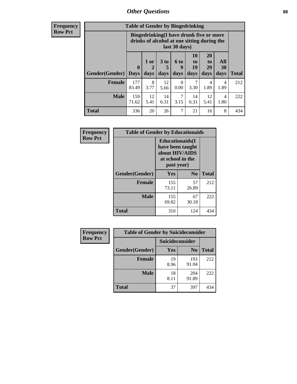# *Other Questions* **88**

**Frequency Row Pct**

| <b>Table of Gender by Bingedrinking</b> |                            |                                                                                                         |                   |                   |                        |                               |                   |              |
|-----------------------------------------|----------------------------|---------------------------------------------------------------------------------------------------------|-------------------|-------------------|------------------------|-------------------------------|-------------------|--------------|
|                                         |                            | Bingedrinking(I have drunk five or more<br>drinks of alcohol at one sitting during the<br>last 30 days) |                   |                   |                        |                               |                   |              |
| <b>Gender</b> (Gender)                  | $\mathbf 0$<br><b>Days</b> | 1 or<br>days                                                                                            | 3 to<br>5<br>days | 6 to<br>9<br>days | 10<br>to<br>19<br>days | <b>20</b><br>to<br>29<br>days | All<br>30<br>days | <b>Total</b> |
| <b>Female</b>                           | 177<br>83.49               | 8<br>3.77                                                                                               | 12<br>5.66        | 0<br>0.00         | 7<br>3.30              | 4<br>1.89                     | 4<br>1.89         | 212          |
|                                         |                            |                                                                                                         |                   |                   |                        |                               |                   |              |
| <b>Male</b>                             | 159<br>71.62               | 12<br>5.41                                                                                              | 14<br>6.31        | 7<br>3.15         | 14<br>6.31             | 12<br>5.41                    | 4<br>1.80         | 222          |

| Frequency      | <b>Table of Gender by Educationaids</b> |                                                                                                 |                |              |  |
|----------------|-----------------------------------------|-------------------------------------------------------------------------------------------------|----------------|--------------|--|
| <b>Row Pct</b> |                                         | <b>Educationaids</b> (I<br>have been taught<br>about HIV/AIDS<br>at school in the<br>past year) |                |              |  |
|                | Gender(Gender)                          | Yes                                                                                             | $\mathbf{N_0}$ | <b>Total</b> |  |
|                | <b>Female</b>                           | 155<br>73.11                                                                                    | 57<br>26.89    | 212          |  |
|                | <b>Male</b>                             | 155<br>69.82                                                                                    | 67<br>30.18    | 222          |  |
|                | <b>Total</b>                            | 310                                                                                             | 124            | 434          |  |

| <b>Frequency</b> | <b>Table of Gender by Suicideconsider</b> |                 |                |              |  |
|------------------|-------------------------------------------|-----------------|----------------|--------------|--|
| <b>Row Pct</b>   |                                           | Suicideconsider |                |              |  |
|                  | Gender(Gender)                            | <b>Yes</b>      | N <sub>0</sub> | <b>Total</b> |  |
|                  | <b>Female</b>                             | 19<br>8.96      | 193<br>91.04   | 212          |  |
|                  | <b>Male</b>                               | 18<br>8.11      | 204<br>91.89   | 222          |  |
|                  | Total                                     | 37              | 397            | 434          |  |